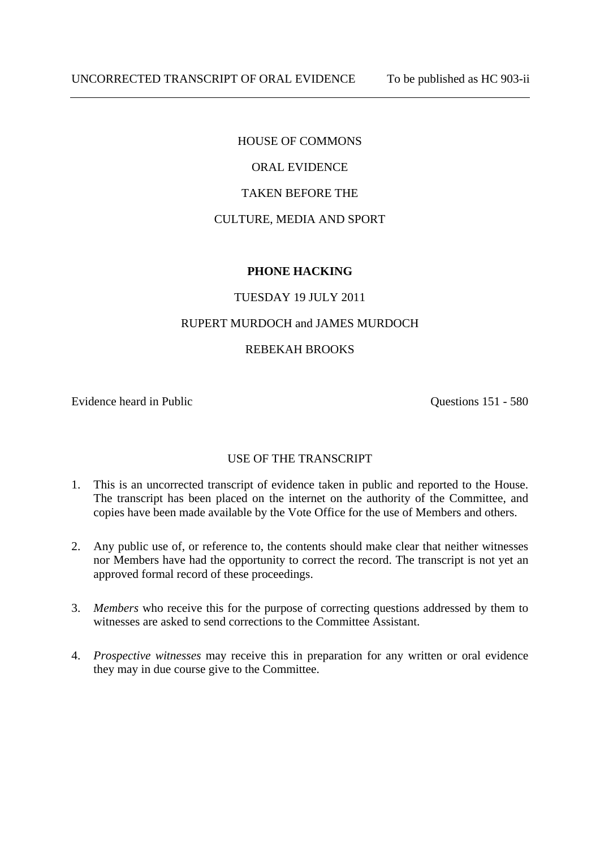## HOUSE OF COMMONS

# ORAL EVIDENCE

## TAKEN BEFORE THE

## CULTURE, MEDIA AND SPORT

## **PHONE HACKING**

## TUESDAY 19 JULY 2011

## RUPERT MURDOCH and JAMES MURDOCH

## REBEKAH BROOKS

Evidence heard in Public Contract Contract Contract Contract Contract Contract Contract Contract Contract Contract Contract Contract Contract Contract Contract Contract Contract Contract Contract Contract Contract Contract

## USE OF THE TRANSCRIPT

- 1. This is an uncorrected transcript of evidence taken in public and reported to the House. The transcript has been placed on the internet on the authority of the Committee, and copies have been made available by the Vote Office for the use of Members and others.
- 2. Any public use of, or reference to, the contents should make clear that neither witnesses nor Members have had the opportunity to correct the record. The transcript is not yet an approved formal record of these proceedings.
- 3. *Members* who receive this for the purpose of correcting questions addressed by them to witnesses are asked to send corrections to the Committee Assistant.
- 4. *Prospective witnesses* may receive this in preparation for any written or oral evidence they may in due course give to the Committee.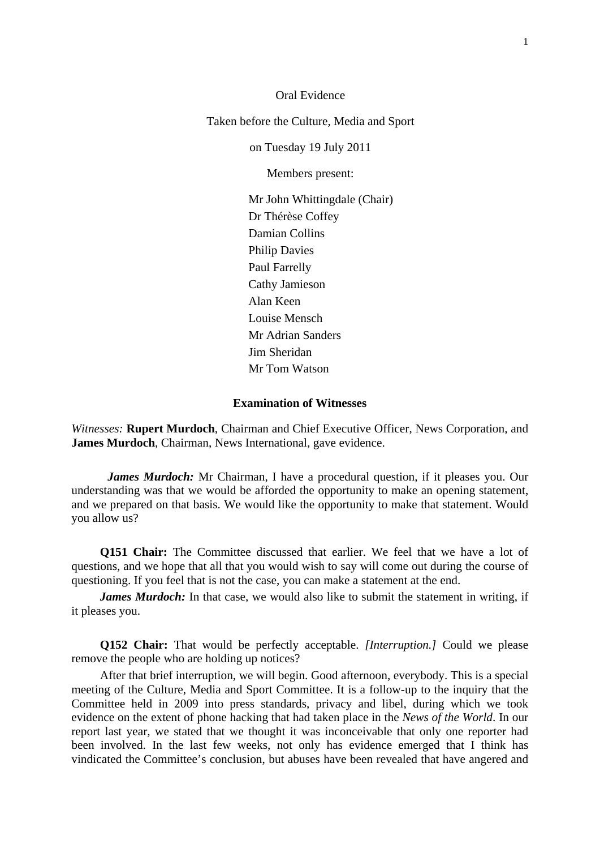Oral Evidence

Taken before the Culture, Media and Sport

on Tuesday 19 July 2011

Members present:

Mr John Whittingdale (Chair) Dr Thérèse Coffey Damian Collins Philip Davies Paul Farrelly Cathy Jamieson Alan Keen Louise Mensch Mr Adrian Sanders Jim Sheridan Mr Tom Watson

### **Examination of Witnesses**

*Witnesses:* **Rupert Murdoch**, Chairman and Chief Executive Officer, News Corporation, and **James Murdoch**, Chairman, News International, gave evidence.

*James Murdoch:* Mr Chairman, I have a procedural question, if it pleases you. Our understanding was that we would be afforded the opportunity to make an opening statement, and we prepared on that basis. We would like the opportunity to make that statement. Would you allow us?

**Q151 Chair:** The Committee discussed that earlier. We feel that we have a lot of questions, and we hope that all that you would wish to say will come out during the course of questioning. If you feel that is not the case, you can make a statement at the end.

*James Murdoch*: In that case, we would also like to submit the statement in writing, if it pleases you.

**Q152 Chair:** That would be perfectly acceptable. *[Interruption.]* Could we please remove the people who are holding up notices?

 After that brief interruption, we will begin. Good afternoon, everybody. This is a special meeting of the Culture, Media and Sport Committee. It is a follow-up to the inquiry that the Committee held in 2009 into press standards, privacy and libel, during which we took evidence on the extent of phone hacking that had taken place in the *News of the World*. In our report last year, we stated that we thought it was inconceivable that only one reporter had been involved. In the last few weeks, not only has evidence emerged that I think has vindicated the Committee's conclusion, but abuses have been revealed that have angered and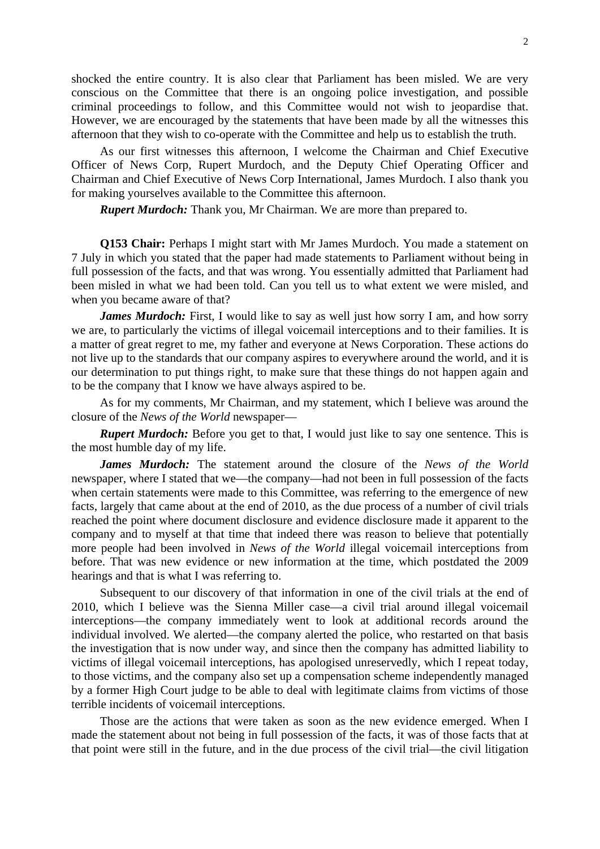2

shocked the entire country. It is also clear that Parliament has been misled. We are very conscious on the Committee that there is an ongoing police investigation, and possible criminal proceedings to follow, and this Committee would not wish to jeopardise that. However, we are encouraged by the statements that have been made by all the witnesses this afternoon that they wish to co-operate with the Committee and help us to establish the truth.

 As our first witnesses this afternoon, I welcome the Chairman and Chief Executive Officer of News Corp, Rupert Murdoch, and the Deputy Chief Operating Officer and Chairman and Chief Executive of News Corp International, James Murdoch. I also thank you for making yourselves available to the Committee this afternoon.

*Rupert Murdoch:* Thank you, Mr Chairman. We are more than prepared to.

**Q153 Chair:** Perhaps I might start with Mr James Murdoch. You made a statement on 7 July in which you stated that the paper had made statements to Parliament without being in full possession of the facts, and that was wrong. You essentially admitted that Parliament had been misled in what we had been told. Can you tell us to what extent we were misled, and when you became aware of that?

*James Murdoch:* First, I would like to say as well just how sorry I am, and how sorry we are, to particularly the victims of illegal voicemail interceptions and to their families. It is a matter of great regret to me, my father and everyone at News Corporation. These actions do not live up to the standards that our company aspires to everywhere around the world, and it is our determination to put things right, to make sure that these things do not happen again and to be the company that I know we have always aspired to be.

 As for my comments, Mr Chairman, and my statement, which I believe was around the closure of the *News of the World* newspaper—

*Rupert Murdoch:* Before you get to that, I would just like to say one sentence. This is the most humble day of my life.

*James Murdoch:* The statement around the closure of the *News of the World* newspaper, where I stated that we—the company—had not been in full possession of the facts when certain statements were made to this Committee, was referring to the emergence of new facts, largely that came about at the end of 2010, as the due process of a number of civil trials reached the point where document disclosure and evidence disclosure made it apparent to the company and to myself at that time that indeed there was reason to believe that potentially more people had been involved in *News of the World* illegal voicemail interceptions from before. That was new evidence or new information at the time, which postdated the 2009 hearings and that is what I was referring to.

Subsequent to our discovery of that information in one of the civil trials at the end of 2010, which I believe was the Sienna Miller case—a civil trial around illegal voicemail interceptions—the company immediately went to look at additional records around the individual involved. We alerted—the company alerted the police, who restarted on that basis the investigation that is now under way, and since then the company has admitted liability to victims of illegal voicemail interceptions, has apologised unreservedly, which I repeat today, to those victims, and the company also set up a compensation scheme independently managed by a former High Court judge to be able to deal with legitimate claims from victims of those terrible incidents of voicemail interceptions.

 Those are the actions that were taken as soon as the new evidence emerged. When I made the statement about not being in full possession of the facts, it was of those facts that at that point were still in the future, and in the due process of the civil trial—the civil litigation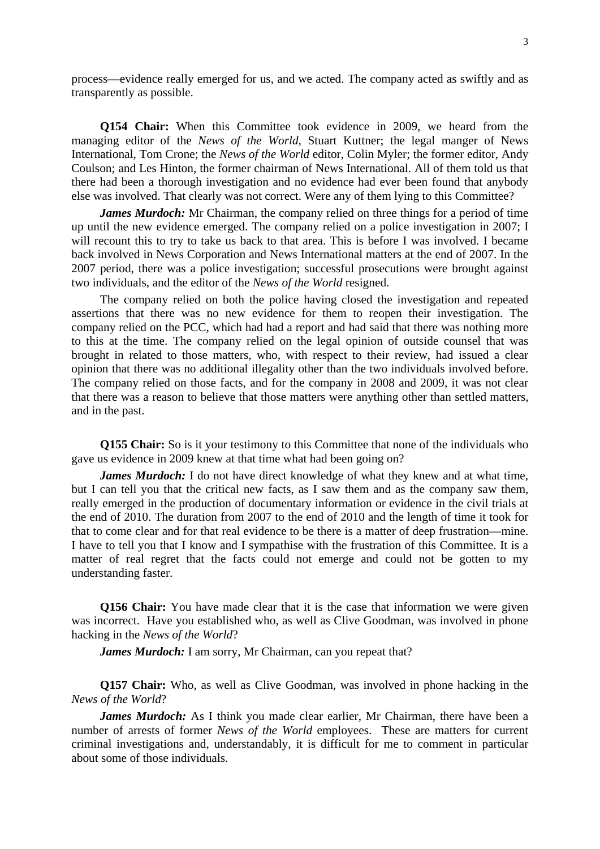process—evidence really emerged for us, and we acted. The company acted as swiftly and as transparently as possible.

**Q154 Chair:** When this Committee took evidence in 2009, we heard from the managing editor of the *News of the World,* Stuart Kuttner; the legal manger of News International, Tom Crone; the *News of the World* editor, Colin Myler; the former editor, Andy Coulson; and Les Hinton, the former chairman of News International. All of them told us that there had been a thorough investigation and no evidence had ever been found that anybody else was involved. That clearly was not correct. Were any of them lying to this Committee?

*James Murdoch:* Mr Chairman, the company relied on three things for a period of time up until the new evidence emerged. The company relied on a police investigation in 2007; I will recount this to try to take us back to that area. This is before I was involved. I became back involved in News Corporation and News International matters at the end of 2007. In the 2007 period, there was a police investigation; successful prosecutions were brought against two individuals, and the editor of the *News of the World* resigned.

 The company relied on both the police having closed the investigation and repeated assertions that there was no new evidence for them to reopen their investigation. The company relied on the PCC, which had had a report and had said that there was nothing more to this at the time. The company relied on the legal opinion of outside counsel that was brought in related to those matters, who, with respect to their review, had issued a clear opinion that there was no additional illegality other than the two individuals involved before. The company relied on those facts, and for the company in 2008 and 2009, it was not clear that there was a reason to believe that those matters were anything other than settled matters, and in the past.

**Q155 Chair:** So is it your testimony to this Committee that none of the individuals who gave us evidence in 2009 knew at that time what had been going on?

*James Murdoch:* I do not have direct knowledge of what they knew and at what time, but I can tell you that the critical new facts, as I saw them and as the company saw them, really emerged in the production of documentary information or evidence in the civil trials at the end of 2010. The duration from 2007 to the end of 2010 and the length of time it took for that to come clear and for that real evidence to be there is a matter of deep frustration—mine. I have to tell you that I know and I sympathise with the frustration of this Committee. It is a matter of real regret that the facts could not emerge and could not be gotten to my understanding faster.

**Q156 Chair:** You have made clear that it is the case that information we were given was incorrect. Have you established who, as well as Clive Goodman, was involved in phone hacking in the *News of the World*?

James Murdoch: I am sorry, Mr Chairman, can you repeat that?

**Q157 Chair:** Who, as well as Clive Goodman, was involved in phone hacking in the *News of the World*?

James Murdoch: As I think you made clear earlier, Mr Chairman, there have been a number of arrests of former *News of the World* employees. These are matters for current criminal investigations and, understandably, it is difficult for me to comment in particular about some of those individuals.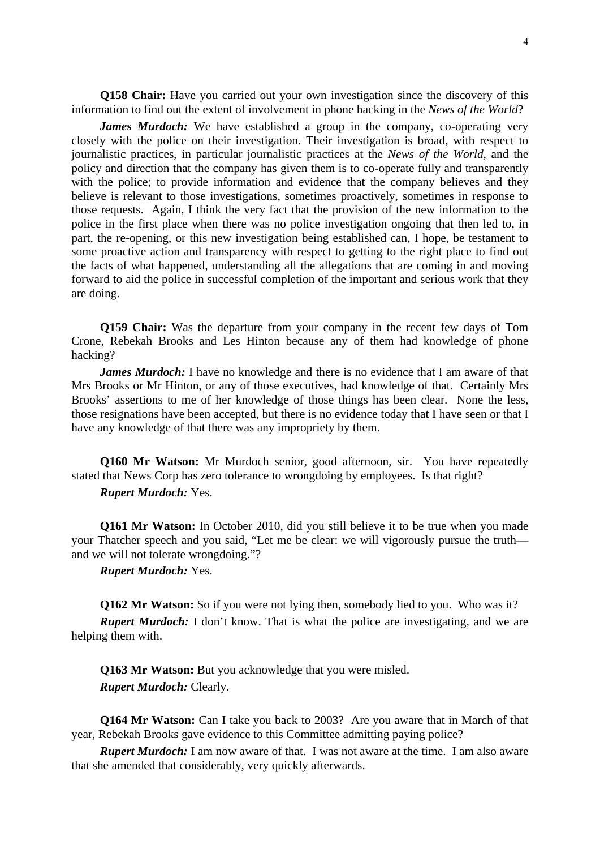**Q158 Chair:** Have you carried out your own investigation since the discovery of this information to find out the extent of involvement in phone hacking in the *News of the World*?

*James Murdoch:* We have established a group in the company, co-operating very closely with the police on their investigation. Their investigation is broad, with respect to journalistic practices, in particular journalistic practices at the *News of the World*, and the policy and direction that the company has given them is to co-operate fully and transparently with the police; to provide information and evidence that the company believes and they believe is relevant to those investigations, sometimes proactively, sometimes in response to those requests. Again, I think the very fact that the provision of the new information to the police in the first place when there was no police investigation ongoing that then led to, in part, the re-opening, or this new investigation being established can, I hope, be testament to some proactive action and transparency with respect to getting to the right place to find out the facts of what happened, understanding all the allegations that are coming in and moving forward to aid the police in successful completion of the important and serious work that they are doing.

**Q159 Chair:** Was the departure from your company in the recent few days of Tom Crone, Rebekah Brooks and Les Hinton because any of them had knowledge of phone hacking?

*James Murdoch:* I have no knowledge and there is no evidence that I am aware of that Mrs Brooks or Mr Hinton, or any of those executives, had knowledge of that. Certainly Mrs Brooks' assertions to me of her knowledge of those things has been clear. None the less, those resignations have been accepted, but there is no evidence today that I have seen or that I have any knowledge of that there was any impropriety by them.

**Q160 Mr Watson:** Mr Murdoch senior, good afternoon, sir. You have repeatedly stated that News Corp has zero tolerance to wrongdoing by employees. Is that right?

*Rupert Murdoch:* Yes.

**Q161 Mr Watson:** In October 2010, did you still believe it to be true when you made your Thatcher speech and you said, "Let me be clear: we will vigorously pursue the truth and we will not tolerate wrongdoing."?

*Rupert Murdoch:* Yes.

**Q162 Mr Watson:** So if you were not lying then, somebody lied to you. Who was it? *Rupert Murdoch:* I don't know. That is what the police are investigating, and we are helping them with.

**Q163 Mr Watson:** But you acknowledge that you were misled. *Rupert Murdoch:* Clearly.

**Q164 Mr Watson:** Can I take you back to 2003? Are you aware that in March of that year, Rebekah Brooks gave evidence to this Committee admitting paying police?

*Rupert Murdoch:* I am now aware of that. I was not aware at the time. I am also aware that she amended that considerably, very quickly afterwards.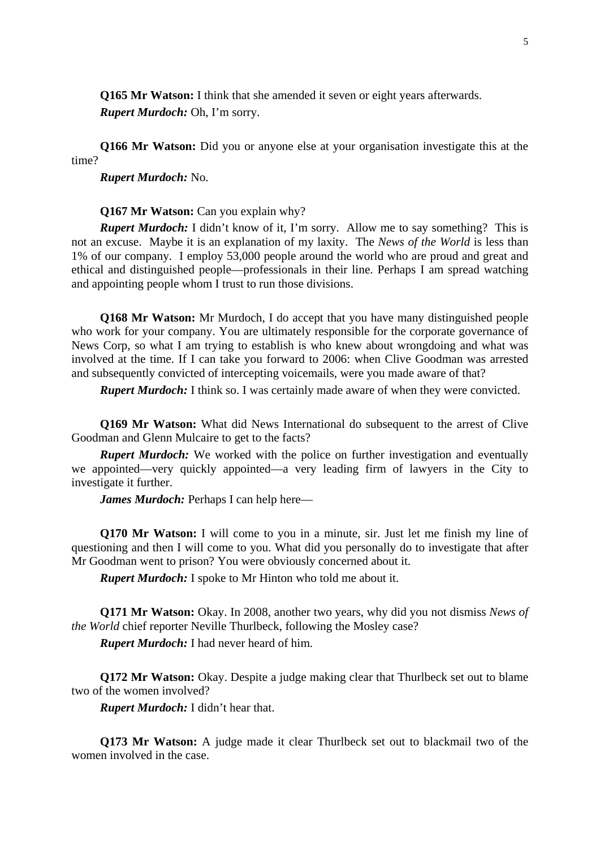**Q165 Mr Watson:** I think that she amended it seven or eight years afterwards. *Rupert Murdoch:* Oh, I'm sorry.

**Q166 Mr Watson:** Did you or anyone else at your organisation investigate this at the time?

*Rupert Murdoch:* No.

### **Q167 Mr Watson:** Can you explain why?

*Rupert Murdoch:* I didn't know of it, I'm sorry. Allow me to say something? This is not an excuse. Maybe it is an explanation of my laxity. The *News of the World* is less than 1% of our company. I employ 53,000 people around the world who are proud and great and ethical and distinguished people—professionals in their line. Perhaps I am spread watching and appointing people whom I trust to run those divisions.

**Q168 Mr Watson:** Mr Murdoch, I do accept that you have many distinguished people who work for your company. You are ultimately responsible for the corporate governance of News Corp, so what I am trying to establish is who knew about wrongdoing and what was involved at the time. If I can take you forward to 2006: when Clive Goodman was arrested and subsequently convicted of intercepting voicemails, were you made aware of that?

**Rupert Murdoch:** I think so. I was certainly made aware of when they were convicted.

**Q169 Mr Watson:** What did News International do subsequent to the arrest of Clive Goodman and Glenn Mulcaire to get to the facts?

*Rupert Murdoch:* We worked with the police on further investigation and eventually we appointed—very quickly appointed—a very leading firm of lawyers in the City to investigate it further.

*James Murdoch:* Perhaps I can help here—

**Q170 Mr Watson:** I will come to you in a minute, sir. Just let me finish my line of questioning and then I will come to you. What did you personally do to investigate that after Mr Goodman went to prison? You were obviously concerned about it.

*Rupert Murdoch:* I spoke to Mr Hinton who told me about it.

**Q171 Mr Watson:** Okay. In 2008, another two years, why did you not dismiss *News of the World* chief reporter Neville Thurlbeck, following the Mosley case?

*Rupert Murdoch:* I had never heard of him.

**Q172 Mr Watson:** Okay. Despite a judge making clear that Thurlbeck set out to blame two of the women involved?

*Rupert Murdoch:* I didn't hear that.

**Q173 Mr Watson:** A judge made it clear Thurlbeck set out to blackmail two of the women involved in the case.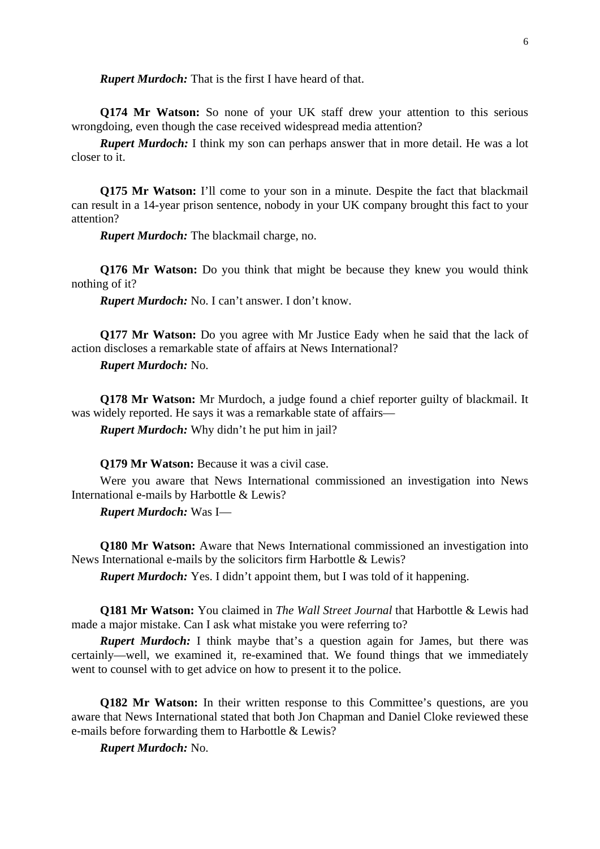*Rupert Murdoch:* That is the first I have heard of that.

**Q174 Mr Watson:** So none of your UK staff drew your attention to this serious wrongdoing, even though the case received widespread media attention?

*Rupert Murdoch:* I think my son can perhaps answer that in more detail. He was a lot closer to it.

**Q175 Mr Watson:** I'll come to your son in a minute. Despite the fact that blackmail can result in a 14-year prison sentence, nobody in your UK company brought this fact to your attention?

*Rupert Murdoch:* The blackmail charge, no.

**Q176 Mr Watson:** Do you think that might be because they knew you would think nothing of it?

*Rupert Murdoch:* No. I can't answer. I don't know.

**Q177 Mr Watson:** Do you agree with Mr Justice Eady when he said that the lack of action discloses a remarkable state of affairs at News International?

*Rupert Murdoch:* No.

**Q178 Mr Watson:** Mr Murdoch, a judge found a chief reporter guilty of blackmail. It was widely reported. He says it was a remarkable state of affairs—

*Rupert Murdoch:* Why didn't he put him in jail?

**Q179 Mr Watson:** Because it was a civil case.

 Were you aware that News International commissioned an investigation into News International e-mails by Harbottle & Lewis?

*Rupert Murdoch:* Was I—

**Q180 Mr Watson:** Aware that News International commissioned an investigation into News International e-mails by the solicitors firm Harbottle & Lewis?

*Rupert Murdoch:* Yes. I didn't appoint them, but I was told of it happening.

**Q181 Mr Watson:** You claimed in *The Wall Street Journal* that Harbottle & Lewis had made a major mistake. Can I ask what mistake you were referring to?

*Rupert Murdoch:* I think maybe that's a question again for James, but there was certainly—well, we examined it, re-examined that. We found things that we immediately went to counsel with to get advice on how to present it to the police.

**Q182 Mr Watson:** In their written response to this Committee's questions, are you aware that News International stated that both Jon Chapman and Daniel Cloke reviewed these e-mails before forwarding them to Harbottle & Lewis?

*Rupert Murdoch:* No.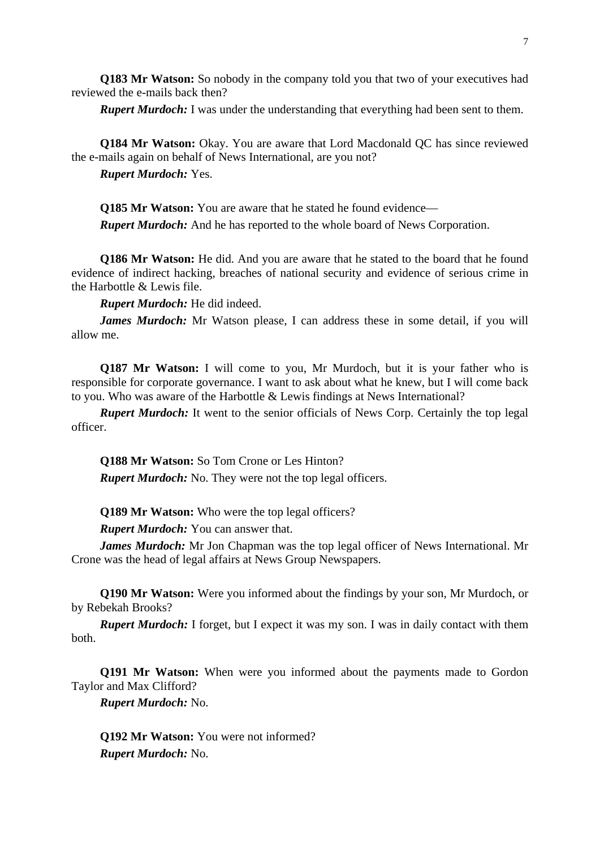**Q183 Mr Watson:** So nobody in the company told you that two of your executives had reviewed the e-mails back then?

*Rupert Murdoch:* I was under the understanding that everything had been sent to them.

**Q184 Mr Watson:** Okay. You are aware that Lord Macdonald QC has since reviewed the e-mails again on behalf of News International, are you not?

*Rupert Murdoch:* Yes.

**Q185 Mr Watson:** You are aware that he stated he found evidence— *Rupert Murdoch:* And he has reported to the whole board of News Corporation.

**Q186 Mr Watson:** He did. And you are aware that he stated to the board that he found evidence of indirect hacking, breaches of national security and evidence of serious crime in the Harbottle & Lewis file.

*Rupert Murdoch:* He did indeed.

*James Murdoch:* Mr Watson please, I can address these in some detail, if you will allow me.

**Q187 Mr Watson:** I will come to you, Mr Murdoch, but it is your father who is responsible for corporate governance. I want to ask about what he knew, but I will come back to you. Who was aware of the Harbottle & Lewis findings at News International?

*Rupert Murdoch:* It went to the senior officials of News Corp. Certainly the top legal officer.

**Q188 Mr Watson:** So Tom Crone or Les Hinton? *Rupert Murdoch:* No. They were not the top legal officers.

**Q189 Mr Watson:** Who were the top legal officers?

*Rupert Murdoch:* You can answer that.

*James Murdoch:* Mr Jon Chapman was the top legal officer of News International. Mr Crone was the head of legal affairs at News Group Newspapers.

 **Q190 Mr Watson:** Were you informed about the findings by your son, Mr Murdoch, or by Rebekah Brooks?

*Rupert Murdoch:* I forget, but I expect it was my son. I was in daily contact with them both.

**Q191 Mr Watson:** When were you informed about the payments made to Gordon Taylor and Max Clifford?

*Rupert Murdoch:* No.

**Q192 Mr Watson:** You were not informed? *Rupert Murdoch:* No.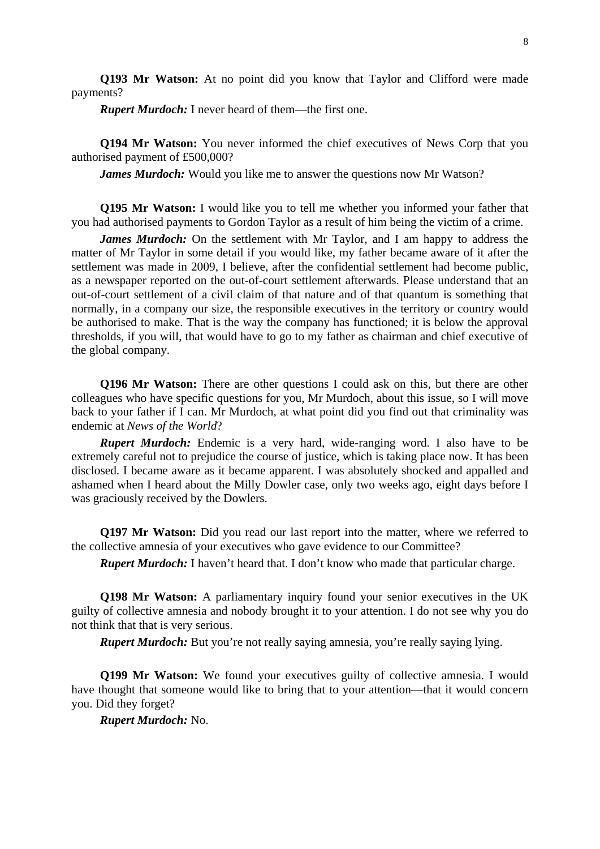**Q193 Mr Watson:** At no point did you know that Taylor and Clifford were made payments?

*Rupert Murdoch:* I never heard of them—the first one.

**Q194 Mr Watson:** You never informed the chief executives of News Corp that you authorised payment of £500,000?

*James Murdoch:* Would you like me to answer the questions now Mr Watson?

**Q195 Mr Watson:** I would like you to tell me whether you informed your father that you had authorised payments to Gordon Taylor as a result of him being the victim of a crime.

*James Murdoch:* On the settlement with Mr Taylor, and I am happy to address the matter of Mr Taylor in some detail if you would like, my father became aware of it after the settlement was made in 2009, I believe, after the confidential settlement had become public, as a newspaper reported on the out-of-court settlement afterwards. Please understand that an out-of-court settlement of a civil claim of that nature and of that quantum is something that normally, in a company our size, the responsible executives in the territory or country would be authorised to make. That is the way the company has functioned; it is below the approval thresholds, if you will, that would have to go to my father as chairman and chief executive of the global company.

**Q196 Mr Watson:** There are other questions I could ask on this, but there are other colleagues who have specific questions for you, Mr Murdoch, about this issue, so I will move back to your father if I can. Mr Murdoch, at what point did you find out that criminality was endemic at *News of the World*?

*Rupert Murdoch:* Endemic is a very hard, wide-ranging word. I also have to be extremely careful not to prejudice the course of justice, which is taking place now. It has been disclosed. I became aware as it became apparent. I was absolutely shocked and appalled and ashamed when I heard about the Milly Dowler case, only two weeks ago, eight days before I was graciously received by the Dowlers.

**Q197 Mr Watson:** Did you read our last report into the matter, where we referred to the collective amnesia of your executives who gave evidence to our Committee?

*Rupert Murdoch:* I haven't heard that. I don't know who made that particular charge.

**Q198 Mr Watson:** A parliamentary inquiry found your senior executives in the UK guilty of collective amnesia and nobody brought it to your attention. I do not see why you do not think that that is very serious.

*Rupert Murdoch:* But you're not really saying amnesia, you're really saying lying.

**Q199 Mr Watson:** We found your executives guilty of collective amnesia. I would have thought that someone would like to bring that to your attention—that it would concern you. Did they forget?

*Rupert Murdoch:* No.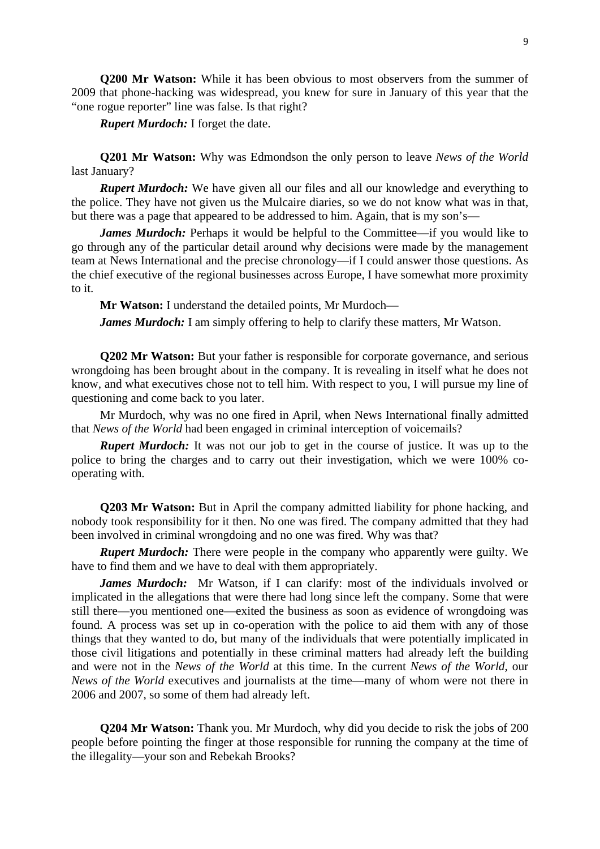**Q200 Mr Watson:** While it has been obvious to most observers from the summer of 2009 that phone-hacking was widespread, you knew for sure in January of this year that the "one rogue reporter" line was false. Is that right?

*Rupert Murdoch:* I forget the date.

**Q201 Mr Watson:** Why was Edmondson the only person to leave *News of the World*  last January?

*Rupert Murdoch:* We have given all our files and all our knowledge and everything to the police. They have not given us the Mulcaire diaries, so we do not know what was in that, but there was a page that appeared to be addressed to him. Again, that is my son's—

*James Murdoch:* Perhaps it would be helpful to the Committee—if you would like to go through any of the particular detail around why decisions were made by the management team at News International and the precise chronology—if I could answer those questions. As the chief executive of the regional businesses across Europe, I have somewhat more proximity to it.

**Mr Watson:** I understand the detailed points, Mr Murdoch—

*James Murdoch:* I am simply offering to help to clarify these matters, Mr Watson.

**Q202 Mr Watson:** But your father is responsible for corporate governance, and serious wrongdoing has been brought about in the company. It is revealing in itself what he does not know, and what executives chose not to tell him. With respect to you, I will pursue my line of questioning and come back to you later.

 Mr Murdoch, why was no one fired in April, when News International finally admitted that *News of the World* had been engaged in criminal interception of voicemails?

*Rupert Murdoch:* It was not our job to get in the course of justice. It was up to the police to bring the charges and to carry out their investigation, which we were 100% cooperating with.

**Q203 Mr Watson:** But in April the company admitted liability for phone hacking, and nobody took responsibility for it then. No one was fired. The company admitted that they had been involved in criminal wrongdoing and no one was fired. Why was that?

**Rupert Murdoch:** There were people in the company who apparently were guilty. We have to find them and we have to deal with them appropriately.

James Murdoch: Mr Watson, if I can clarify: most of the individuals involved or implicated in the allegations that were there had long since left the company. Some that were still there—you mentioned one—exited the business as soon as evidence of wrongdoing was found. A process was set up in co-operation with the police to aid them with any of those things that they wanted to do, but many of the individuals that were potentially implicated in those civil litigations and potentially in these criminal matters had already left the building and were not in the *News of the World* at this time. In the current *News of the World*, our *News of the World* executives and journalists at the time—many of whom were not there in 2006 and 2007, so some of them had already left.

**Q204 Mr Watson:** Thank you. Mr Murdoch, why did you decide to risk the jobs of 200 people before pointing the finger at those responsible for running the company at the time of the illegality—your son and Rebekah Brooks?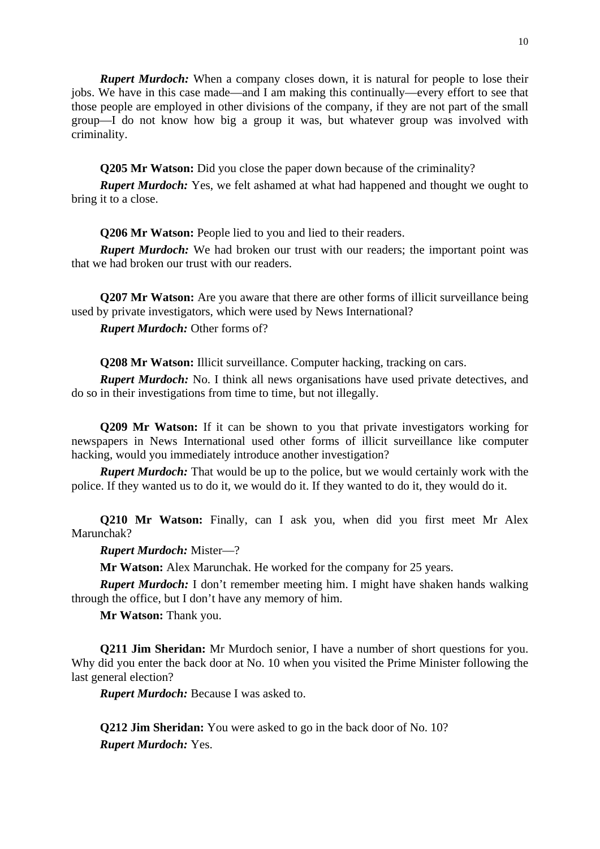**Rupert Murdoch:** When a company closes down, it is natural for people to lose their jobs. We have in this case made—and I am making this continually—every effort to see that those people are employed in other divisions of the company, if they are not part of the small group—I do not know how big a group it was, but whatever group was involved with criminality.

**Q205 Mr Watson:** Did you close the paper down because of the criminality?

*Rupert Murdoch:* Yes, we felt ashamed at what had happened and thought we ought to bring it to a close.

**Q206 Mr Watson:** People lied to you and lied to their readers.

*Rupert Murdoch:* We had broken our trust with our readers; the important point was that we had broken our trust with our readers.

 **Q207 Mr Watson:** Are you aware that there are other forms of illicit surveillance being used by private investigators, which were used by News International?

*Rupert Murdoch:* Other forms of?

**Q208 Mr Watson:** Illicit surveillance. Computer hacking, tracking on cars.

**Rupert Murdoch:** No. I think all news organisations have used private detectives, and do so in their investigations from time to time, but not illegally.

**Q209 Mr Watson:** If it can be shown to you that private investigators working for newspapers in News International used other forms of illicit surveillance like computer hacking, would you immediately introduce another investigation?

*Rupert Murdoch:* That would be up to the police, but we would certainly work with the police. If they wanted us to do it, we would do it. If they wanted to do it, they would do it.

**Q210 Mr Watson:** Finally, can I ask you, when did you first meet Mr Alex Marunchak?

*Rupert Murdoch:* Mister—?

**Mr Watson:** Alex Marunchak. He worked for the company for 25 years.

*Rupert Murdoch:* I don't remember meeting him. I might have shaken hands walking through the office, but I don't have any memory of him.

**Mr Watson:** Thank you.

**Q211 Jim Sheridan:** Mr Murdoch senior, I have a number of short questions for you. Why did you enter the back door at No. 10 when you visited the Prime Minister following the last general election?

*Rupert Murdoch:* Because I was asked to.

**Q212 Jim Sheridan:** You were asked to go in the back door of No. 10? *Rupert Murdoch:* Yes.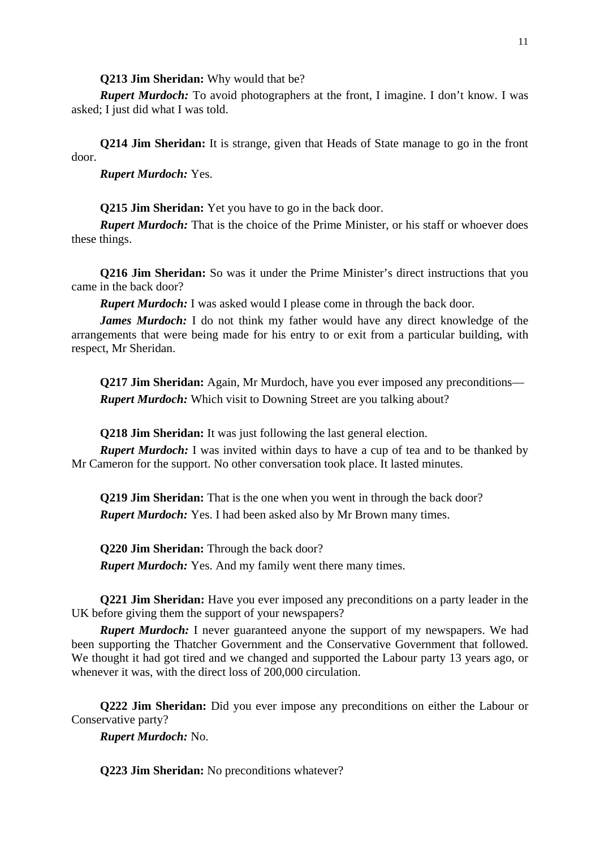### **Q213 Jim Sheridan:** Why would that be?

*Rupert Murdoch:* To avoid photographers at the front, I imagine. I don't know. I was asked; I just did what I was told.

**Q214 Jim Sheridan:** It is strange, given that Heads of State manage to go in the front door.

*Rupert Murdoch:* Yes.

**Q215 Jim Sheridan:** Yet you have to go in the back door.

*Rupert Murdoch:* That is the choice of the Prime Minister, or his staff or whoever does these things.

**Q216 Jim Sheridan:** So was it under the Prime Minister's direct instructions that you came in the back door?

*Rupert Murdoch:* I was asked would I please come in through the back door.

*James Murdoch*: I do not think my father would have any direct knowledge of the arrangements that were being made for his entry to or exit from a particular building, with respect, Mr Sheridan.

**Q217 Jim Sheridan:** Again, Mr Murdoch, have you ever imposed any preconditions— *Rupert Murdoch:* Which visit to Downing Street are you talking about?

**Q218 Jim Sheridan:** It was just following the last general election.

*Rupert Murdoch:* I was invited within days to have a cup of tea and to be thanked by Mr Cameron for the support. No other conversation took place. It lasted minutes.

**Q219 Jim Sheridan:** That is the one when you went in through the back door? *Rupert Murdoch:* Yes. I had been asked also by Mr Brown many times.

**Q220 Jim Sheridan:** Through the back door? *Rupert Murdoch:* Yes. And my family went there many times.

**Q221 Jim Sheridan:** Have you ever imposed any preconditions on a party leader in the UK before giving them the support of your newspapers?

*Rupert Murdoch:* I never guaranteed anyone the support of my newspapers. We had been supporting the Thatcher Government and the Conservative Government that followed. We thought it had got tired and we changed and supported the Labour party 13 years ago, or whenever it was, with the direct loss of 200,000 circulation.

**Q222 Jim Sheridan:** Did you ever impose any preconditions on either the Labour or Conservative party?

*Rupert Murdoch:* No.

**Q223 Jim Sheridan:** No preconditions whatever?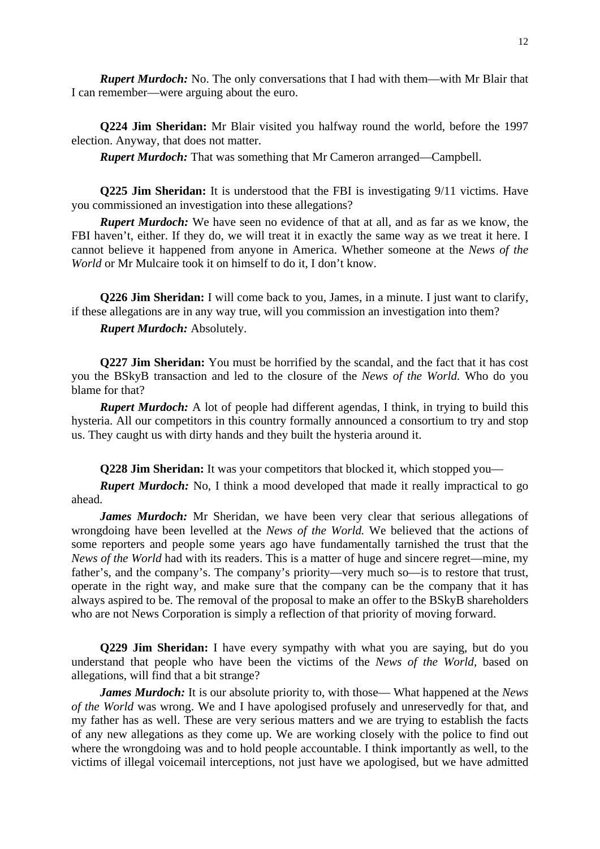*Rupert Murdoch:* No. The only conversations that I had with them—with Mr Blair that I can remember—were arguing about the euro.

**Q224 Jim Sheridan:** Mr Blair visited you halfway round the world, before the 1997 election. Anyway, that does not matter.

*Rupert Murdoch:* That was something that Mr Cameron arranged—Campbell.

**Q225 Jim Sheridan:** It is understood that the FBI is investigating 9/11 victims. Have you commissioned an investigation into these allegations?

*Rupert Murdoch:* We have seen no evidence of that at all, and as far as we know, the FBI haven't, either. If they do, we will treat it in exactly the same way as we treat it here. I cannot believe it happened from anyone in America. Whether someone at the *News of the World* or Mr Mulcaire took it on himself to do it. I don't know.

**Q226 Jim Sheridan:** I will come back to you, James, in a minute. I just want to clarify, if these allegations are in any way true, will you commission an investigation into them?

*Rupert Murdoch:* Absolutely.

**Q227 Jim Sheridan:** You must be horrified by the scandal, and the fact that it has cost you the BSkyB transaction and led to the closure of the *News of the World.* Who do you blame for that?

*Rupert Murdoch:* A lot of people had different agendas, I think, in trying to build this hysteria. All our competitors in this country formally announced a consortium to try and stop us. They caught us with dirty hands and they built the hysteria around it.

**Q228 Jim Sheridan:** It was your competitors that blocked it, which stopped you—

**Rupert Murdoch:** No, I think a mood developed that made it really impractical to go ahead.

*James Murdoch:* Mr Sheridan, we have been very clear that serious allegations of wrongdoing have been levelled at the *News of the World.* We believed that the actions of some reporters and people some years ago have fundamentally tarnished the trust that the *News of the World* had with its readers. This is a matter of huge and sincere regret—mine, my father's, and the company's. The company's priority—very much so—is to restore that trust, operate in the right way, and make sure that the company can be the company that it has always aspired to be. The removal of the proposal to make an offer to the BSkyB shareholders who are not News Corporation is simply a reflection of that priority of moving forward.

 **Q229 Jim Sheridan:** I have every sympathy with what you are saying, but do you understand that people who have been the victims of the *News of the World,* based on allegations, will find that a bit strange?

*James Murdoch:* It is our absolute priority to, with those— What happened at the *News of the World* was wrong. We and I have apologised profusely and unreservedly for that, and my father has as well. These are very serious matters and we are trying to establish the facts of any new allegations as they come up. We are working closely with the police to find out where the wrongdoing was and to hold people accountable. I think importantly as well, to the victims of illegal voicemail interceptions, not just have we apologised, but we have admitted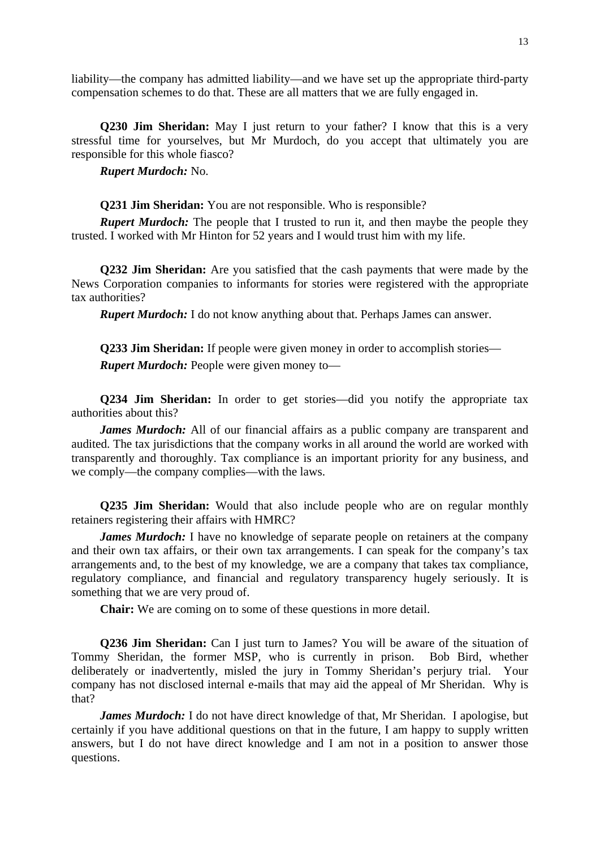liability—the company has admitted liability—and we have set up the appropriate third-party compensation schemes to do that. These are all matters that we are fully engaged in.

**Q230 Jim Sheridan:** May I just return to your father? I know that this is a very stressful time for yourselves, but Mr Murdoch, do you accept that ultimately you are responsible for this whole fiasco?

*Rupert Murdoch:* No.

**Q231 Jim Sheridan:** You are not responsible. Who is responsible?

*Rupert Murdoch:* The people that I trusted to run it, and then maybe the people they trusted. I worked with Mr Hinton for 52 years and I would trust him with my life.

**Q232 Jim Sheridan:** Are you satisfied that the cash payments that were made by the News Corporation companies to informants for stories were registered with the appropriate tax authorities?

*Rupert Murdoch:* I do not know anything about that. Perhaps James can answer.

**Q233 Jim Sheridan:** If people were given money in order to accomplish stories— *Rupert Murdoch:* People were given money to—

**Q234 Jim Sheridan:** In order to get stories—did you notify the appropriate tax authorities about this?

James Murdoch: All of our financial affairs as a public company are transparent and audited. The tax jurisdictions that the company works in all around the world are worked with transparently and thoroughly. Tax compliance is an important priority for any business, and we comply—the company complies—with the laws.

**Q235 Jim Sheridan:** Would that also include people who are on regular monthly retainers registering their affairs with HMRC?

*James Murdoch:* I have no knowledge of separate people on retainers at the company and their own tax affairs, or their own tax arrangements. I can speak for the company's tax arrangements and, to the best of my knowledge, we are a company that takes tax compliance, regulatory compliance, and financial and regulatory transparency hugely seriously. It is something that we are very proud of.

**Chair:** We are coming on to some of these questions in more detail.

**Q236 Jim Sheridan:** Can I just turn to James? You will be aware of the situation of Tommy Sheridan, the former MSP, who is currently in prison. Bob Bird, whether deliberately or inadvertently, misled the jury in Tommy Sheridan's perjury trial. Your company has not disclosed internal e-mails that may aid the appeal of Mr Sheridan. Why is that?

*James Murdoch:* I do not have direct knowledge of that, Mr Sheridan. I apologise, but certainly if you have additional questions on that in the future, I am happy to supply written answers, but I do not have direct knowledge and I am not in a position to answer those questions.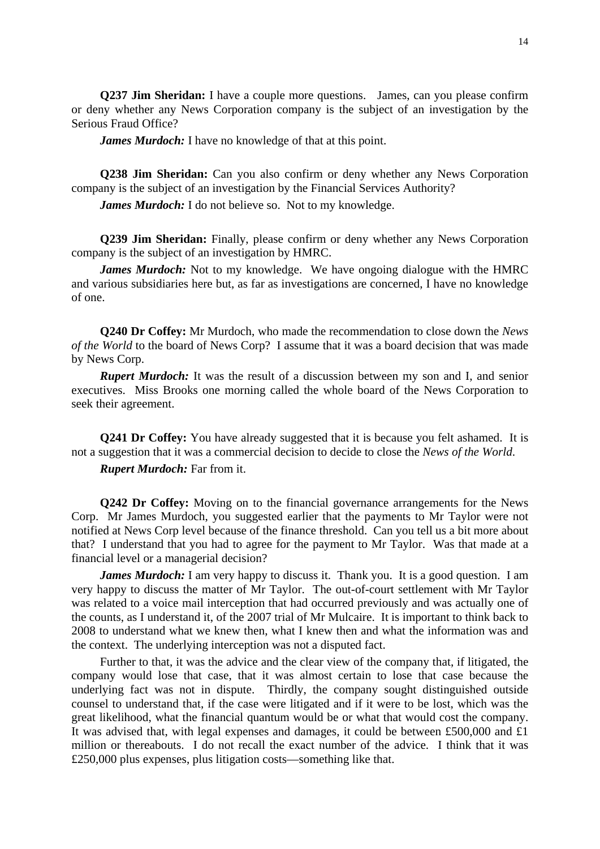**Q237 Jim Sheridan:** I have a couple more questions. James, can you please confirm or deny whether any News Corporation company is the subject of an investigation by the Serious Fraud Office?

*James Murdoch:* I have no knowledge of that at this point.

**Q238 Jim Sheridan:** Can you also confirm or deny whether any News Corporation company is the subject of an investigation by the Financial Services Authority?

James Murdoch: I do not believe so. Not to my knowledge.

**Q239 Jim Sheridan:** Finally, please confirm or deny whether any News Corporation company is the subject of an investigation by HMRC.

*James Murdoch:* Not to my knowledge. We have ongoing dialogue with the HMRC and various subsidiaries here but, as far as investigations are concerned, I have no knowledge of one.

**Q240 Dr Coffey:** Mr Murdoch, who made the recommendation to close down the *News of the World* to the board of News Corp? I assume that it was a board decision that was made by News Corp.

*Rupert Murdoch:* It was the result of a discussion between my son and I, and senior executives. Miss Brooks one morning called the whole board of the News Corporation to seek their agreement.

**Q241 Dr Coffey:** You have already suggested that it is because you felt ashamed. It is not a suggestion that it was a commercial decision to decide to close the *News of the World*.

*Rupert Murdoch:* Far from it.

**Q242 Dr Coffey:** Moving on to the financial governance arrangements for the News Corp. Mr James Murdoch, you suggested earlier that the payments to Mr Taylor were not notified at News Corp level because of the finance threshold. Can you tell us a bit more about that? I understand that you had to agree for the payment to Mr Taylor. Was that made at a financial level or a managerial decision?

James Murdoch: I am very happy to discuss it. Thank you. It is a good question. I am very happy to discuss the matter of Mr Taylor. The out-of-court settlement with Mr Taylor was related to a voice mail interception that had occurred previously and was actually one of the counts, as I understand it, of the 2007 trial of Mr Mulcaire. It is important to think back to 2008 to understand what we knew then, what I knew then and what the information was and the context. The underlying interception was not a disputed fact.

 Further to that, it was the advice and the clear view of the company that, if litigated, the company would lose that case, that it was almost certain to lose that case because the underlying fact was not in dispute. Thirdly, the company sought distinguished outside counsel to understand that, if the case were litigated and if it were to be lost, which was the great likelihood, what the financial quantum would be or what that would cost the company. It was advised that, with legal expenses and damages, it could be between £500,000 and £1 million or thereabouts. I do not recall the exact number of the advice. I think that it was £250,000 plus expenses, plus litigation costs—something like that.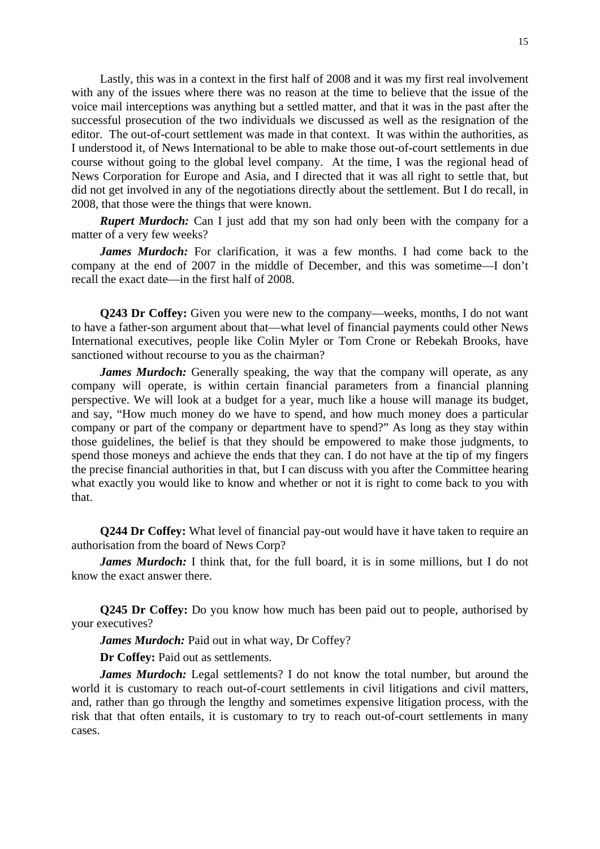Lastly, this was in a context in the first half of 2008 and it was my first real involvement with any of the issues where there was no reason at the time to believe that the issue of the voice mail interceptions was anything but a settled matter, and that it was in the past after the successful prosecution of the two individuals we discussed as well as the resignation of the editor. The out-of-court settlement was made in that context. It was within the authorities, as I understood it, of News International to be able to make those out-of-court settlements in due course without going to the global level company. At the time, I was the regional head of News Corporation for Europe and Asia, and I directed that it was all right to settle that, but did not get involved in any of the negotiations directly about the settlement. But I do recall, in 2008, that those were the things that were known.

*Rupert Murdoch:* Can I just add that my son had only been with the company for a matter of a very few weeks?

*James Murdoch:* For clarification, it was a few months. I had come back to the company at the end of 2007 in the middle of December, and this was sometime—I don't recall the exact date—in the first half of 2008.

**Q243 Dr Coffey:** Given you were new to the company—weeks, months, I do not want to have a father-son argument about that—what level of financial payments could other News International executives, people like Colin Myler or Tom Crone or Rebekah Brooks, have sanctioned without recourse to you as the chairman?

*James Murdoch:* Generally speaking, the way that the company will operate, as any company will operate, is within certain financial parameters from a financial planning perspective. We will look at a budget for a year, much like a house will manage its budget, and say, "How much money do we have to spend, and how much money does a particular company or part of the company or department have to spend?" As long as they stay within those guidelines, the belief is that they should be empowered to make those judgments, to spend those moneys and achieve the ends that they can. I do not have at the tip of my fingers the precise financial authorities in that, but I can discuss with you after the Committee hearing what exactly you would like to know and whether or not it is right to come back to you with that.

**Q244 Dr Coffey:** What level of financial pay-out would have it have taken to require an authorisation from the board of News Corp?

*James Murdoch:* I think that, for the full board, it is in some millions, but I do not know the exact answer there.

**Q245 Dr Coffey:** Do you know how much has been paid out to people, authorised by your executives?

James Murdoch: Paid out in what way, Dr Coffey?

**Dr Coffey:** Paid out as settlements.

*James Murdoch:* Legal settlements? I do not know the total number, but around the world it is customary to reach out-of-court settlements in civil litigations and civil matters, and, rather than go through the lengthy and sometimes expensive litigation process, with the risk that that often entails, it is customary to try to reach out-of-court settlements in many cases.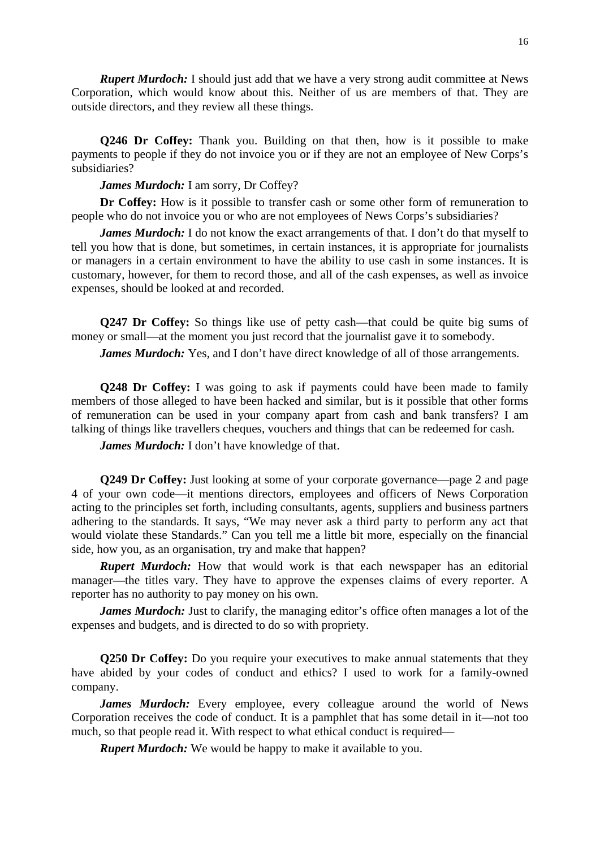*Rupert Murdoch:* I should just add that we have a very strong audit committee at News Corporation, which would know about this. Neither of us are members of that. They are outside directors, and they review all these things.

**Q246 Dr Coffey:** Thank you. Building on that then, how is it possible to make payments to people if they do not invoice you or if they are not an employee of New Corps's subsidiaries?

## *James Murdoch:* I am sorry, Dr Coffey?

**Dr Coffey:** How is it possible to transfer cash or some other form of remuneration to people who do not invoice you or who are not employees of News Corps's subsidiaries?

*James Murdoch:* I do not know the exact arrangements of that. I don't do that myself to tell you how that is done, but sometimes, in certain instances, it is appropriate for journalists or managers in a certain environment to have the ability to use cash in some instances. It is customary, however, for them to record those, and all of the cash expenses, as well as invoice expenses, should be looked at and recorded.

**Q247 Dr Coffey:** So things like use of petty cash—that could be quite big sums of money or small—at the moment you just record that the journalist gave it to somebody.

*James Murdoch:* Yes, and I don't have direct knowledge of all of those arrangements.

**Q248 Dr Coffey:** I was going to ask if payments could have been made to family members of those alleged to have been hacked and similar, but is it possible that other forms of remuneration can be used in your company apart from cash and bank transfers? I am talking of things like travellers cheques, vouchers and things that can be redeemed for cash.

James Murdoch: I don't have knowledge of that.

**Q249 Dr Coffey:** Just looking at some of your corporate governance—page 2 and page 4 of your own code—it mentions directors, employees and officers of News Corporation acting to the principles set forth, including consultants, agents, suppliers and business partners adhering to the standards. It says, "We may never ask a third party to perform any act that would violate these Standards." Can you tell me a little bit more, especially on the financial side, how you, as an organisation, try and make that happen?

*Rupert Murdoch:* How that would work is that each newspaper has an editorial manager—the titles vary. They have to approve the expenses claims of every reporter. A reporter has no authority to pay money on his own.

*James Murdoch:* Just to clarify, the managing editor's office often manages a lot of the expenses and budgets, and is directed to do so with propriety.

**Q250** Dr Coffey: Do you require your executives to make annual statements that they have abided by your codes of conduct and ethics? I used to work for a family-owned company.

*James Murdoch:* Every employee, every colleague around the world of News Corporation receives the code of conduct. It is a pamphlet that has some detail in it—not too much, so that people read it. With respect to what ethical conduct is required—

*Rupert Murdoch:* We would be happy to make it available to you.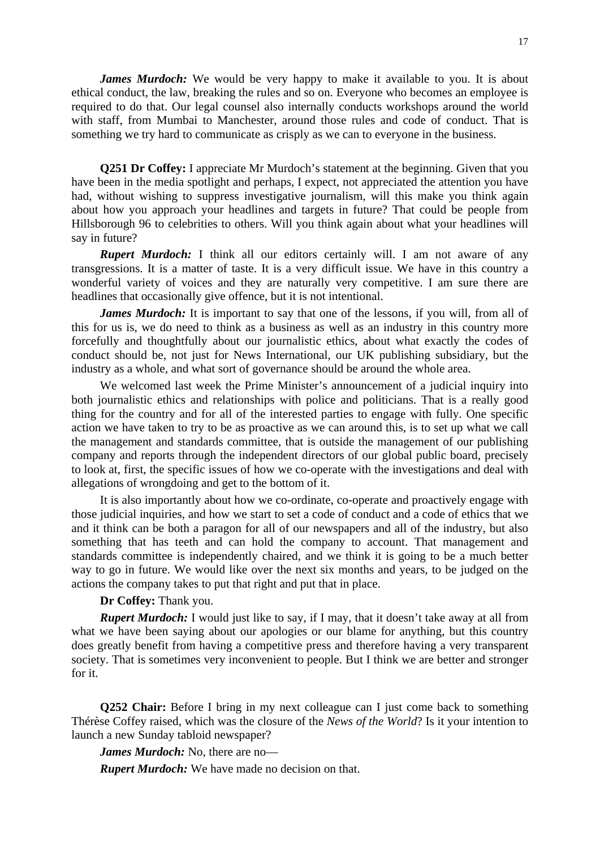*James Murdoch*: We would be very happy to make it available to you. It is about ethical conduct, the law, breaking the rules and so on. Everyone who becomes an employee is required to do that. Our legal counsel also internally conducts workshops around the world with staff, from Mumbai to Manchester, around those rules and code of conduct. That is something we try hard to communicate as crisply as we can to everyone in the business.

**Q251 Dr Coffey:** I appreciate Mr Murdoch's statement at the beginning. Given that you have been in the media spotlight and perhaps, I expect, not appreciated the attention you have had, without wishing to suppress investigative journalism, will this make you think again about how you approach your headlines and targets in future? That could be people from Hillsborough 96 to celebrities to others. Will you think again about what your headlines will say in future?

*Rupert Murdoch:* I think all our editors certainly will. I am not aware of any transgressions. It is a matter of taste. It is a very difficult issue. We have in this country a wonderful variety of voices and they are naturally very competitive. I am sure there are headlines that occasionally give offence, but it is not intentional.

*James Murdoch:* It is important to say that one of the lessons, if you will, from all of this for us is, we do need to think as a business as well as an industry in this country more forcefully and thoughtfully about our journalistic ethics, about what exactly the codes of conduct should be, not just for News International, our UK publishing subsidiary, but the industry as a whole, and what sort of governance should be around the whole area.

 We welcomed last week the Prime Minister's announcement of a judicial inquiry into both journalistic ethics and relationships with police and politicians. That is a really good thing for the country and for all of the interested parties to engage with fully. One specific action we have taken to try to be as proactive as we can around this, is to set up what we call the management and standards committee, that is outside the management of our publishing company and reports through the independent directors of our global public board, precisely to look at, first, the specific issues of how we co-operate with the investigations and deal with allegations of wrongdoing and get to the bottom of it.

 It is also importantly about how we co-ordinate, co-operate and proactively engage with those judicial inquiries, and how we start to set a code of conduct and a code of ethics that we and it think can be both a paragon for all of our newspapers and all of the industry, but also something that has teeth and can hold the company to account. That management and standards committee is independently chaired, and we think it is going to be a much better way to go in future. We would like over the next six months and years, to be judged on the actions the company takes to put that right and put that in place.

## **Dr Coffey:** Thank you.

*Rupert Murdoch:* I would just like to say, if I may, that it doesn't take away at all from what we have been saying about our apologies or our blame for anything, but this country does greatly benefit from having a competitive press and therefore having a very transparent society. That is sometimes very inconvenient to people. But I think we are better and stronger for it.

 **Q252 Chair:** Before I bring in my next colleague can I just come back to something Thérèse Coffey raised, which was the closure of the *News of the World*? Is it your intention to launch a new Sunday tabloid newspaper?

*James Murdoch:* No, there are no—

*Rupert Murdoch:* We have made no decision on that.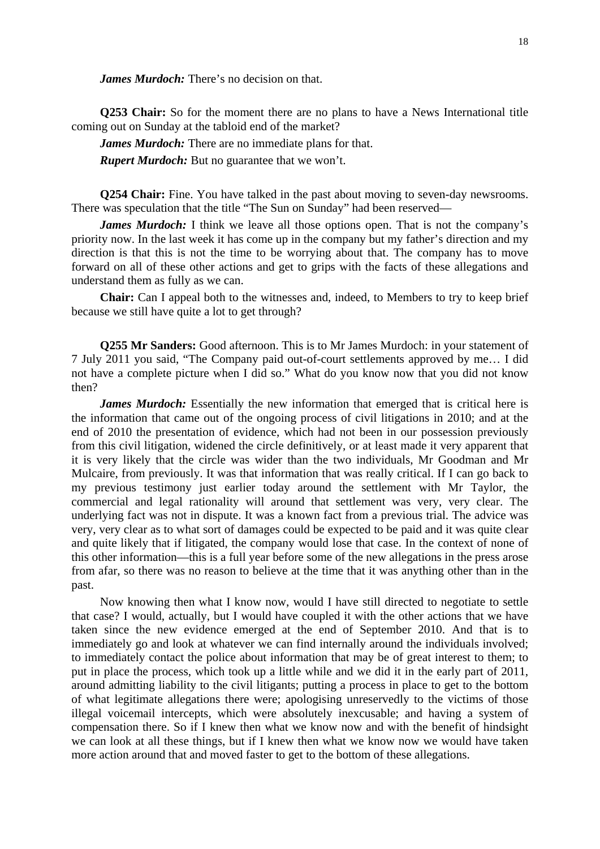*<i>James Murdoch:* There's no decision on that.

 **Q253 Chair:** So for the moment there are no plans to have a News International title coming out on Sunday at the tabloid end of the market?

*James Murdoch:* There are no immediate plans for that.

*Rupert Murdoch:* But no guarantee that we won't.

 **Q254 Chair:** Fine. You have talked in the past about moving to seven-day newsrooms. There was speculation that the title "The Sun on Sunday" had been reserved—

*James Murdoch:* I think we leave all those options open. That is not the company's priority now. In the last week it has come up in the company but my father's direction and my direction is that this is not the time to be worrying about that. The company has to move forward on all of these other actions and get to grips with the facts of these allegations and understand them as fully as we can.

 **Chair:** Can I appeal both to the witnesses and, indeed, to Members to try to keep brief because we still have quite a lot to get through?

**Q255 Mr Sanders:** Good afternoon. This is to Mr James Murdoch: in your statement of 7 July 2011 you said, "The Company paid out-of-court settlements approved by me… I did not have a complete picture when I did so." What do you know now that you did not know then?

*James Murdoch:* Essentially the new information that emerged that is critical here is the information that came out of the ongoing process of civil litigations in 2010; and at the end of 2010 the presentation of evidence, which had not been in our possession previously from this civil litigation, widened the circle definitively, or at least made it very apparent that it is very likely that the circle was wider than the two individuals, Mr Goodman and Mr Mulcaire, from previously. It was that information that was really critical. If I can go back to my previous testimony just earlier today around the settlement with Mr Taylor, the commercial and legal rationality will around that settlement was very, very clear. The underlying fact was not in dispute. It was a known fact from a previous trial. The advice was very, very clear as to what sort of damages could be expected to be paid and it was quite clear and quite likely that if litigated, the company would lose that case. In the context of none of this other information—this is a full year before some of the new allegations in the press arose from afar, so there was no reason to believe at the time that it was anything other than in the past.

 Now knowing then what I know now, would I have still directed to negotiate to settle that case? I would, actually, but I would have coupled it with the other actions that we have taken since the new evidence emerged at the end of September 2010. And that is to immediately go and look at whatever we can find internally around the individuals involved; to immediately contact the police about information that may be of great interest to them; to put in place the process, which took up a little while and we did it in the early part of 2011, around admitting liability to the civil litigants; putting a process in place to get to the bottom of what legitimate allegations there were; apologising unreservedly to the victims of those illegal voicemail intercepts, which were absolutely inexcusable; and having a system of compensation there. So if I knew then what we know now and with the benefit of hindsight we can look at all these things, but if I knew then what we know now we would have taken more action around that and moved faster to get to the bottom of these allegations.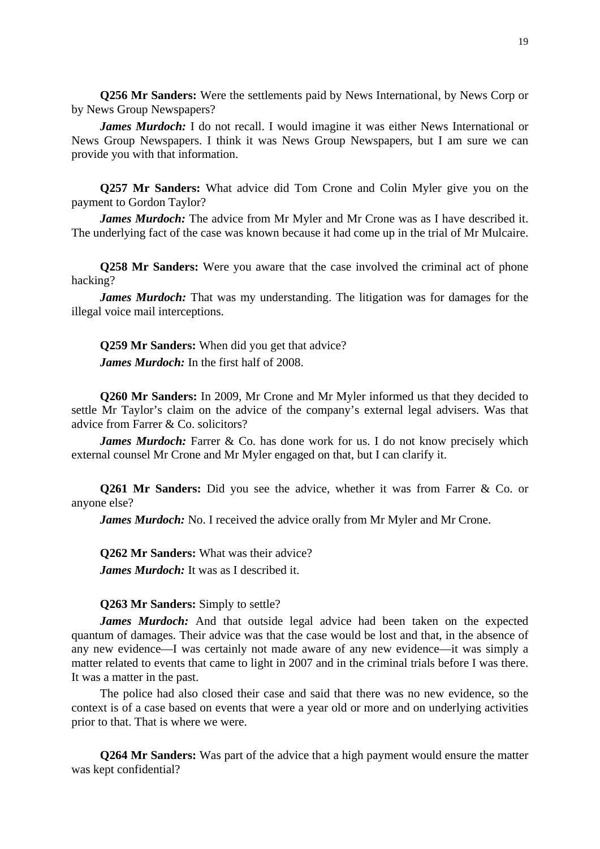**Q256 Mr Sanders:** Were the settlements paid by News International, by News Corp or by News Group Newspapers?

James Murdoch: I do not recall. I would imagine it was either News International or News Group Newspapers. I think it was News Group Newspapers, but I am sure we can provide you with that information.

**Q257 Mr Sanders:** What advice did Tom Crone and Colin Myler give you on the payment to Gordon Taylor?

*James Murdoch:* The advice from Mr Myler and Mr Crone was as I have described it. The underlying fact of the case was known because it had come up in the trial of Mr Mulcaire.

**Q258 Mr Sanders:** Were you aware that the case involved the criminal act of phone hacking?

*James Murdoch:* That was my understanding. The litigation was for damages for the illegal voice mail interceptions.

**Q259 Mr Sanders:** When did you get that advice?

*James Murdoch:* In the first half of 2008.

**Q260 Mr Sanders:** In 2009, Mr Crone and Mr Myler informed us that they decided to settle Mr Taylor's claim on the advice of the company's external legal advisers. Was that advice from Farrer & Co. solicitors?

*James Murdoch:* Farrer & Co. has done work for us. I do not know precisely which external counsel Mr Crone and Mr Myler engaged on that, but I can clarify it.

**Q261 Mr Sanders:** Did you see the advice, whether it was from Farrer & Co. or anyone else?

*James Murdoch:* No. I received the advice orally from Mr Myler and Mr Crone.

**Q262 Mr Sanders:** What was their advice? *James Murdoch:* It was as I described it.

### **Q263 Mr Sanders:** Simply to settle?

James Murdoch: And that outside legal advice had been taken on the expected quantum of damages. Their advice was that the case would be lost and that, in the absence of any new evidence—I was certainly not made aware of any new evidence—it was simply a matter related to events that came to light in 2007 and in the criminal trials before I was there. It was a matter in the past.

 The police had also closed their case and said that there was no new evidence, so the context is of a case based on events that were a year old or more and on underlying activities prior to that. That is where we were.

**Q264 Mr Sanders:** Was part of the advice that a high payment would ensure the matter was kept confidential?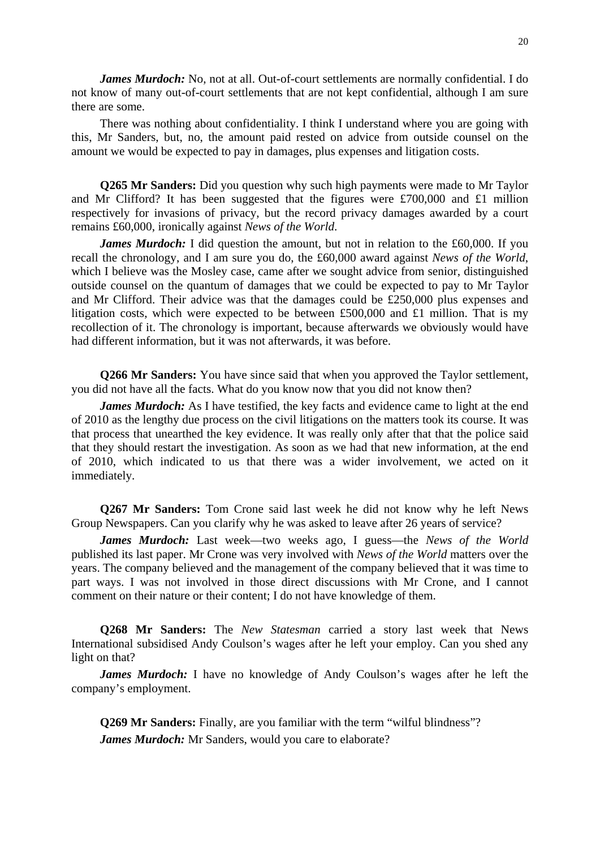James Murdoch: No, not at all. Out-of-court settlements are normally confidential. I do not know of many out-of-court settlements that are not kept confidential, although I am sure there are some.

 There was nothing about confidentiality. I think I understand where you are going with this, Mr Sanders, but, no, the amount paid rested on advice from outside counsel on the amount we would be expected to pay in damages, plus expenses and litigation costs.

**Q265 Mr Sanders:** Did you question why such high payments were made to Mr Taylor and Mr Clifford? It has been suggested that the figures were £700,000 and £1 million respectively for invasions of privacy, but the record privacy damages awarded by a court remains £60,000, ironically against *News of the World*.

*James Murdoch:* I did question the amount, but not in relation to the £60,000. If you recall the chronology, and I am sure you do, the £60,000 award against *News of the World*, which I believe was the Mosley case, came after we sought advice from senior, distinguished outside counsel on the quantum of damages that we could be expected to pay to Mr Taylor and Mr Clifford. Their advice was that the damages could be £250,000 plus expenses and litigation costs, which were expected to be between £500,000 and £1 million. That is my recollection of it. The chronology is important, because afterwards we obviously would have had different information, but it was not afterwards, it was before.

**Q266 Mr Sanders:** You have since said that when you approved the Taylor settlement, you did not have all the facts. What do you know now that you did not know then?

*James Murdoch:* As I have testified, the key facts and evidence came to light at the end of 2010 as the lengthy due process on the civil litigations on the matters took its course. It was that process that unearthed the key evidence. It was really only after that that the police said that they should restart the investigation. As soon as we had that new information, at the end of 2010, which indicated to us that there was a wider involvement, we acted on it immediately.

**Q267 Mr Sanders:** Tom Crone said last week he did not know why he left News Group Newspapers. Can you clarify why he was asked to leave after 26 years of service?

*James Murdoch:* Last week—two weeks ago, I guess—the *News of the World* published its last paper. Mr Crone was very involved with *News of the World* matters over the years. The company believed and the management of the company believed that it was time to part ways. I was not involved in those direct discussions with Mr Crone, and I cannot comment on their nature or their content; I do not have knowledge of them.

**Q268 Mr Sanders:** The *New Statesman* carried a story last week that News International subsidised Andy Coulson's wages after he left your employ. Can you shed any light on that?

*James Murdoch*: I have no knowledge of Andy Coulson's wages after he left the company's employment.

**Q269 Mr Sanders:** Finally, are you familiar with the term "wilful blindness"? James Murdoch: Mr Sanders, would you care to elaborate?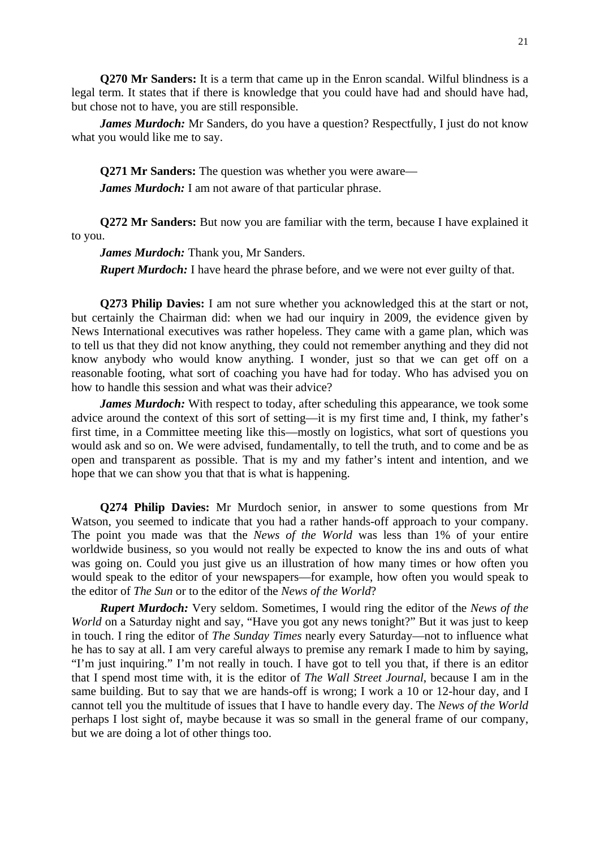**Q270 Mr Sanders:** It is a term that came up in the Enron scandal. Wilful blindness is a legal term. It states that if there is knowledge that you could have had and should have had, but chose not to have, you are still responsible.

*James Murdoch:* Mr Sanders, do you have a question? Respectfully, I just do not know what you would like me to say.

**Q271 Mr Sanders:** The question was whether you were aware— James Murdoch: I am not aware of that particular phrase.

**Q272 Mr Sanders:** But now you are familiar with the term, because I have explained it to you.

James Murdoch: Thank you, Mr Sanders.

*Rupert Murdoch:* I have heard the phrase before, and we were not ever guilty of that.

**Q273 Philip Davies:** I am not sure whether you acknowledged this at the start or not, but certainly the Chairman did: when we had our inquiry in 2009, the evidence given by News International executives was rather hopeless. They came with a game plan, which was to tell us that they did not know anything, they could not remember anything and they did not know anybody who would know anything. I wonder, just so that we can get off on a reasonable footing, what sort of coaching you have had for today. Who has advised you on how to handle this session and what was their advice?

*James Murdoch:* With respect to today, after scheduling this appearance, we took some advice around the context of this sort of setting—it is my first time and, I think, my father's first time, in a Committee meeting like this—mostly on logistics, what sort of questions you would ask and so on. We were advised, fundamentally, to tell the truth, and to come and be as open and transparent as possible. That is my and my father's intent and intention, and we hope that we can show you that that is what is happening.

**Q274 Philip Davies:** Mr Murdoch senior, in answer to some questions from Mr Watson, you seemed to indicate that you had a rather hands-off approach to your company. The point you made was that the *News of the World* was less than 1% of your entire worldwide business, so you would not really be expected to know the ins and outs of what was going on. Could you just give us an illustration of how many times or how often you would speak to the editor of your newspapers—for example, how often you would speak to the editor of *The Sun* or to the editor of the *News of the World*?

*Rupert Murdoch:* Very seldom. Sometimes, I would ring the editor of the *News of the World* on a Saturday night and say, "Have you got any news tonight?" But it was just to keep in touch. I ring the editor of *The Sunday Times* nearly every Saturday—not to influence what he has to say at all. I am very careful always to premise any remark I made to him by saying, "I'm just inquiring." I'm not really in touch. I have got to tell you that, if there is an editor that I spend most time with, it is the editor of *The Wall Street Journal*, because I am in the same building. But to say that we are hands-off is wrong; I work a 10 or 12-hour day, and I cannot tell you the multitude of issues that I have to handle every day. The *News of the World* perhaps I lost sight of, maybe because it was so small in the general frame of our company, but we are doing a lot of other things too.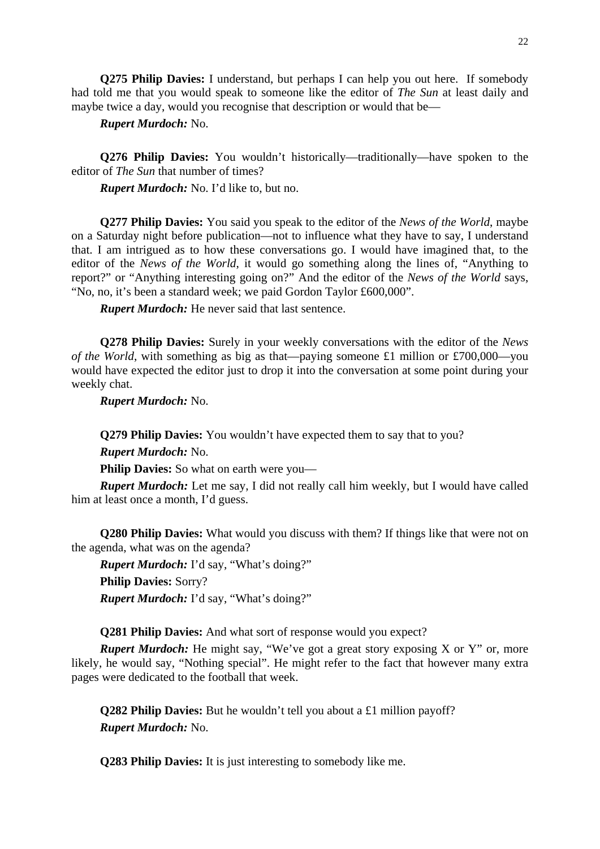**Q275 Philip Davies:** I understand, but perhaps I can help you out here. If somebody had told me that you would speak to someone like the editor of *The Sun* at least daily and maybe twice a day, would you recognise that description or would that be—

*Rupert Murdoch:* No.

**Q276 Philip Davies:** You wouldn't historically—traditionally—have spoken to the editor of *The Sun* that number of times?

*Rupert Murdoch:* No. I'd like to, but no.

 **Q277 Philip Davies:** You said you speak to the editor of the *News of the World*, maybe on a Saturday night before publication—not to influence what they have to say, I understand that. I am intrigued as to how these conversations go. I would have imagined that, to the editor of the *News of the World*, it would go something along the lines of, "Anything to report?" or "Anything interesting going on?" And the editor of the *News of the World* says, "No, no, it's been a standard week; we paid Gordon Taylor £600,000".

*Rupert Murdoch:* He never said that last sentence.

**Q278 Philip Davies:** Surely in your weekly conversations with the editor of the *News of the World*, with something as big as that—paying someone £1 million or £700,000—you would have expected the editor just to drop it into the conversation at some point during your weekly chat.

*Rupert Murdoch:* No.

**Q279 Philip Davies:** You wouldn't have expected them to say that to you?

*Rupert Murdoch:* No.

**Philip Davies:** So what on earth were you—

**Rupert Murdoch:** Let me say, I did not really call him weekly, but I would have called him at least once a month, I'd guess.

**Q280 Philip Davies:** What would you discuss with them? If things like that were not on the agenda, what was on the agenda?

*Rupert Murdoch:* I'd say, "What's doing?"

**Philip Davies:** Sorry?

*Rupert Murdoch:* I'd say, "What's doing?"

**Q281 Philip Davies:** And what sort of response would you expect?

*Rupert Murdoch:* He might say, "We've got a great story exposing X or Y" or, more likely, he would say, "Nothing special". He might refer to the fact that however many extra pages were dedicated to the football that week.

**Q282 Philip Davies:** But he wouldn't tell you about a £1 million payoff? *Rupert Murdoch:* No.

**Q283 Philip Davies:** It is just interesting to somebody like me.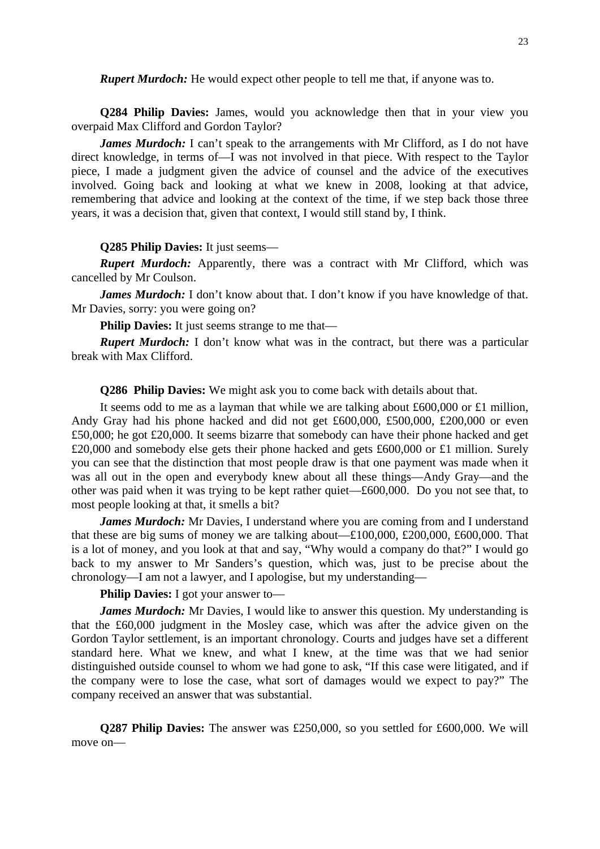*Rupert Murdoch:* He would expect other people to tell me that, if anyone was to.

**Q284 Philip Davies:** James, would you acknowledge then that in your view you overpaid Max Clifford and Gordon Taylor?

*James Murdoch:* I can't speak to the arrangements with Mr Clifford, as I do not have direct knowledge, in terms of—I was not involved in that piece. With respect to the Taylor piece, I made a judgment given the advice of counsel and the advice of the executives involved. Going back and looking at what we knew in 2008, looking at that advice, remembering that advice and looking at the context of the time, if we step back those three years, it was a decision that, given that context, I would still stand by, I think.

### **Q285 Philip Davies:** It just seems—

**Rupert Murdoch:** Apparently, there was a contract with Mr Clifford, which was cancelled by Mr Coulson.

*James Murdoch:* I don't know about that. I don't know if you have knowledge of that. Mr Davies, sorry: you were going on?

**Philip Davies:** It just seems strange to me that—

 *Rupert Murdoch:* I don't know what was in the contract, but there was a particular break with Max Clifford.

**Q286 Philip Davies:** We might ask you to come back with details about that.

 It seems odd to me as a layman that while we are talking about £600,000 or £1 million, Andy Gray had his phone hacked and did not get £600,000, £500,000, £200,000 or even £50,000; he got £20,000. It seems bizarre that somebody can have their phone hacked and get £20,000 and somebody else gets their phone hacked and gets £600,000 or £1 million. Surely you can see that the distinction that most people draw is that one payment was made when it was all out in the open and everybody knew about all these things—Andy Gray—and the other was paid when it was trying to be kept rather quiet—£600,000. Do you not see that, to most people looking at that, it smells a bit?

*James Murdoch:* Mr Davies, I understand where you are coming from and I understand that these are big sums of money we are talking about— $\pounds 100,000$ ,  $\pounds 200,000$ ,  $\pounds 600,000$ . That is a lot of money, and you look at that and say, "Why would a company do that?" I would go back to my answer to Mr Sanders's question, which was, just to be precise about the chronology—I am not a lawyer, and I apologise, but my understanding—

**Philip Davies:** I got your answer to—

*James Murdoch:* Mr Davies, I would like to answer this question. My understanding is that the £60,000 judgment in the Mosley case, which was after the advice given on the Gordon Taylor settlement, is an important chronology. Courts and judges have set a different standard here. What we knew, and what I knew, at the time was that we had senior distinguished outside counsel to whom we had gone to ask, "If this case were litigated, and if the company were to lose the case, what sort of damages would we expect to pay?" The company received an answer that was substantial.

**Q287 Philip Davies:** The answer was £250,000, so you settled for £600,000. We will move on—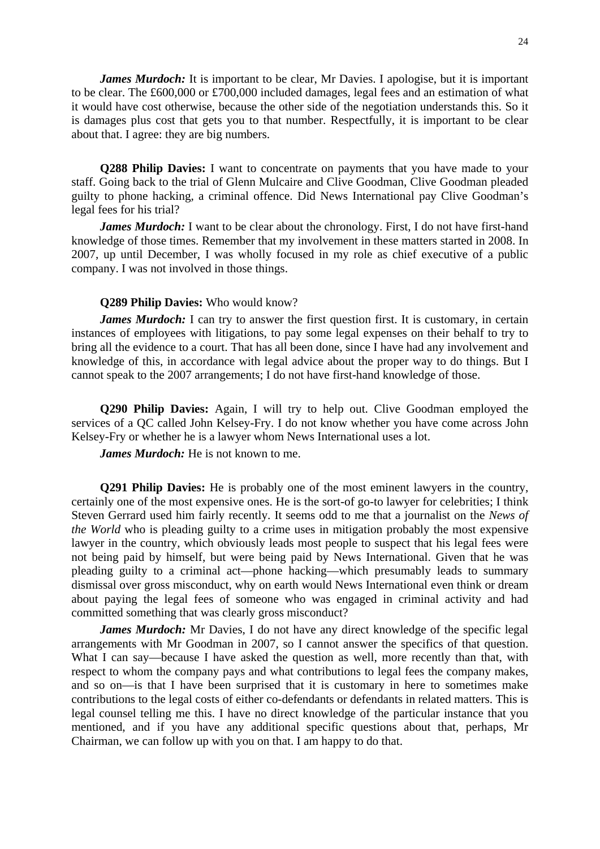*James Murdoch:* It is important to be clear, Mr Davies. I apologise, but it is important to be clear. The £600,000 or £700,000 included damages, legal fees and an estimation of what it would have cost otherwise, because the other side of the negotiation understands this. So it is damages plus cost that gets you to that number. Respectfully, it is important to be clear about that. I agree: they are big numbers.

**Q288 Philip Davies:** I want to concentrate on payments that you have made to your staff. Going back to the trial of Glenn Mulcaire and Clive Goodman, Clive Goodman pleaded guilty to phone hacking, a criminal offence. Did News International pay Clive Goodman's legal fees for his trial?

*James Murdoch:* I want to be clear about the chronology. First, I do not have first-hand knowledge of those times. Remember that my involvement in these matters started in 2008. In 2007, up until December, I was wholly focused in my role as chief executive of a public company. I was not involved in those things.

#### **Q289 Philip Davies:** Who would know?

*James Murdoch:* I can try to answer the first question first. It is customary, in certain instances of employees with litigations, to pay some legal expenses on their behalf to try to bring all the evidence to a court. That has all been done, since I have had any involvement and knowledge of this, in accordance with legal advice about the proper way to do things. But I cannot speak to the 2007 arrangements; I do not have first-hand knowledge of those.

**Q290 Philip Davies:** Again, I will try to help out. Clive Goodman employed the services of a QC called John Kelsey-Fry. I do not know whether you have come across John Kelsey-Fry or whether he is a lawyer whom News International uses a lot.

*James Murdoch:* He is not known to me.

**Q291 Philip Davies:** He is probably one of the most eminent lawyers in the country, certainly one of the most expensive ones. He is the sort-of go-to lawyer for celebrities; I think Steven Gerrard used him fairly recently. It seems odd to me that a journalist on the *News of the World* who is pleading guilty to a crime uses in mitigation probably the most expensive lawyer in the country, which obviously leads most people to suspect that his legal fees were not being paid by himself, but were being paid by News International. Given that he was pleading guilty to a criminal act—phone hacking—which presumably leads to summary dismissal over gross misconduct, why on earth would News International even think or dream about paying the legal fees of someone who was engaged in criminal activity and had committed something that was clearly gross misconduct?

*James Murdoch:* Mr Davies, I do not have any direct knowledge of the specific legal arrangements with Mr Goodman in 2007, so I cannot answer the specifics of that question. What I can say—because I have asked the question as well, more recently than that, with respect to whom the company pays and what contributions to legal fees the company makes, and so on—is that I have been surprised that it is customary in here to sometimes make contributions to the legal costs of either co-defendants or defendants in related matters. This is legal counsel telling me this. I have no direct knowledge of the particular instance that you mentioned, and if you have any additional specific questions about that, perhaps, Mr Chairman, we can follow up with you on that. I am happy to do that.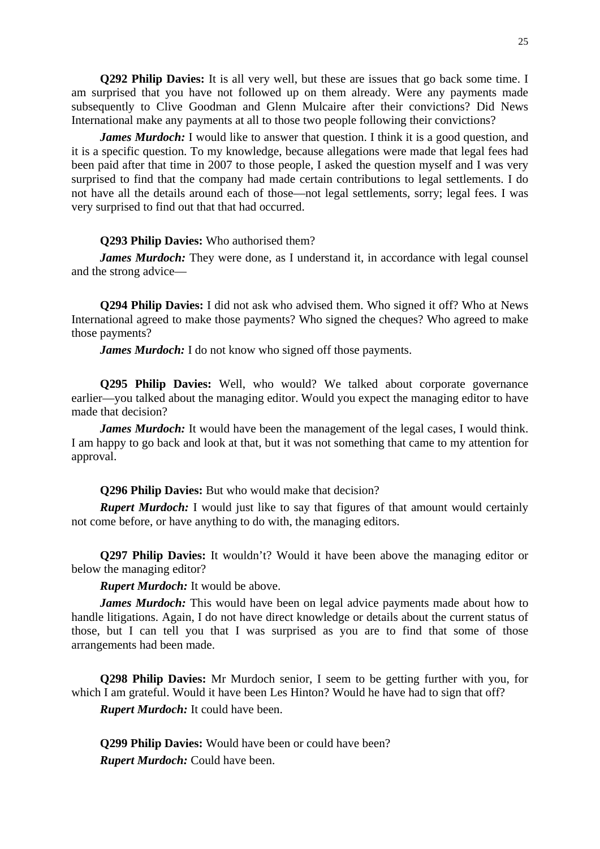**Q292 Philip Davies:** It is all very well, but these are issues that go back some time. I am surprised that you have not followed up on them already. Were any payments made subsequently to Clive Goodman and Glenn Mulcaire after their convictions? Did News International make any payments at all to those two people following their convictions?

*James Murdoch:* I would like to answer that question. I think it is a good question, and it is a specific question. To my knowledge, because allegations were made that legal fees had been paid after that time in 2007 to those people, I asked the question myself and I was very surprised to find that the company had made certain contributions to legal settlements. I do not have all the details around each of those—not legal settlements, sorry; legal fees. I was very surprised to find out that that had occurred.

### **Q293 Philip Davies:** Who authorised them?

*James Murdoch:* They were done, as I understand it, in accordance with legal counsel and the strong advice—

**Q294 Philip Davies:** I did not ask who advised them. Who signed it off? Who at News International agreed to make those payments? Who signed the cheques? Who agreed to make those payments?

*James Murdoch:* I do not know who signed off those payments.

**Q295 Philip Davies:** Well, who would? We talked about corporate governance earlier—you talked about the managing editor. Would you expect the managing editor to have made that decision?

*James Murdoch:* It would have been the management of the legal cases, I would think. I am happy to go back and look at that, but it was not something that came to my attention for approval.

**Q296 Philip Davies:** But who would make that decision?

*Rupert Murdoch:* I would just like to say that figures of that amount would certainly not come before, or have anything to do with, the managing editors.

**Q297 Philip Davies:** It wouldn't? Would it have been above the managing editor or below the managing editor?

*Rupert Murdoch:* It would be above.

James Murdoch: This would have been on legal advice payments made about how to handle litigations. Again, I do not have direct knowledge or details about the current status of those, but I can tell you that I was surprised as you are to find that some of those arrangements had been made.

**Q298 Philip Davies:** Mr Murdoch senior, I seem to be getting further with you, for which I am grateful. Would it have been Les Hinton? Would he have had to sign that off?

*Rupert Murdoch:* It could have been.

**Q299 Philip Davies:** Would have been or could have been? *Rupert Murdoch:* Could have been.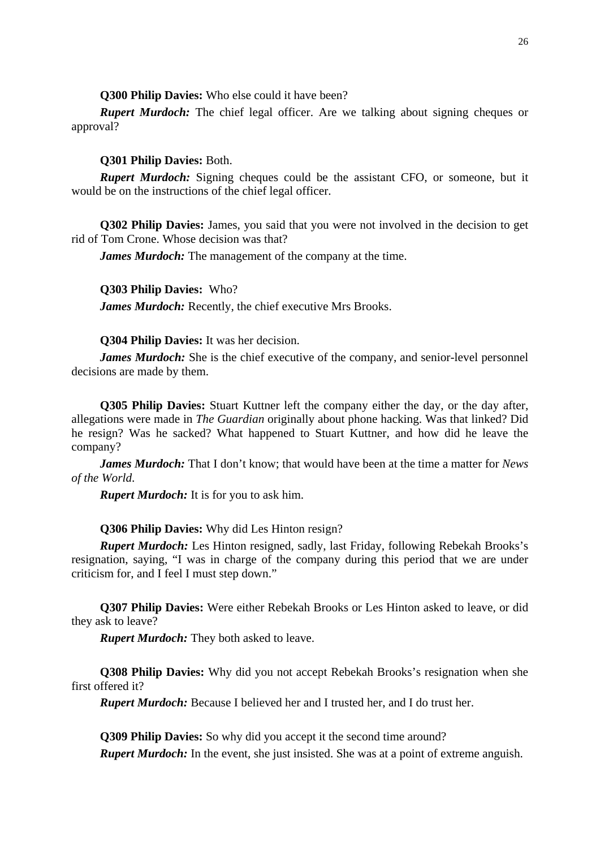**Q300 Philip Davies:** Who else could it have been?

**Rupert Murdoch:** The chief legal officer. Are we talking about signing cheques or approval?

### **Q301 Philip Davies:** Both.

*Rupert Murdoch:* Signing cheques could be the assistant CFO, or someone, but it would be on the instructions of the chief legal officer.

**Q302 Philip Davies:** James, you said that you were not involved in the decision to get rid of Tom Crone. Whose decision was that?

*James Murdoch:* The management of the company at the time.

 **Q303 Philip Davies:** Who?

James Murdoch: Recently, the chief executive Mrs Brooks.

### **Q304 Philip Davies:** It was her decision.

*James Murdoch:* She is the chief executive of the company, and senior-level personnel decisions are made by them.

**Q305 Philip Davies:** Stuart Kuttner left the company either the day, or the day after, allegations were made in *The Guardian* originally about phone hacking. Was that linked? Did he resign? Was he sacked? What happened to Stuart Kuttner, and how did he leave the company?

*James Murdoch:* That I don't know; that would have been at the time a matter for *News of the World*.

*Rupert Murdoch:* It is for you to ask him.

### **Q306 Philip Davies:** Why did Les Hinton resign?

*Rupert Murdoch:* Les Hinton resigned, sadly, last Friday, following Rebekah Brooks's resignation, saying, "I was in charge of the company during this period that we are under criticism for, and I feel I must step down."

**Q307 Philip Davies:** Were either Rebekah Brooks or Les Hinton asked to leave, or did they ask to leave?

*Rupert Murdoch:* They both asked to leave.

 **Q308 Philip Davies:** Why did you not accept Rebekah Brooks's resignation when she first offered it?

*Rupert Murdoch:* Because I believed her and I trusted her, and I do trust her.

**Q309 Philip Davies:** So why did you accept it the second time around?

*Rupert Murdoch:* In the event, she just insisted. She was at a point of extreme anguish.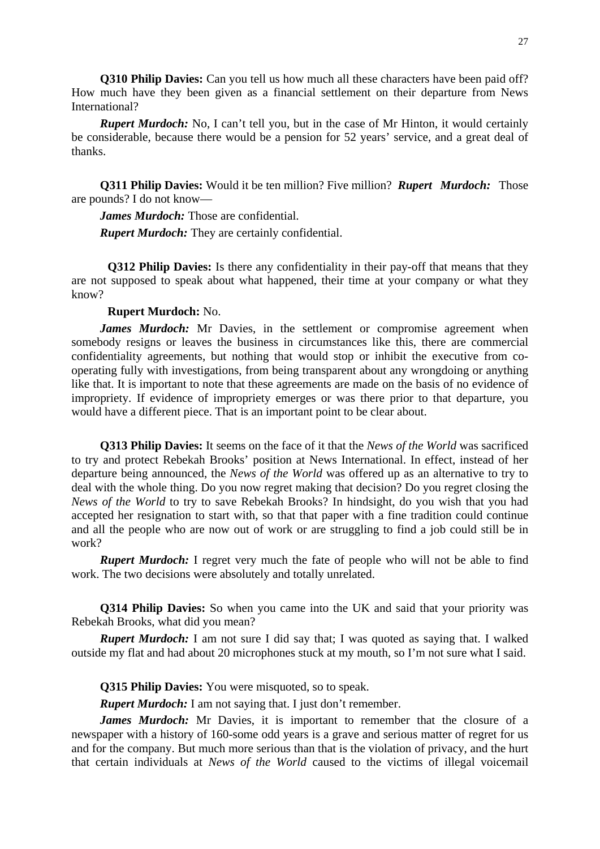**Q310 Philip Davies:** Can you tell us how much all these characters have been paid off? How much have they been given as a financial settlement on their departure from News International?

*Rupert Murdoch:* No, I can't tell you, but in the case of Mr Hinton, it would certainly be considerable, because there would be a pension for 52 years' service, and a great deal of thanks.

**Q311 Philip Davies:** Would it be ten million? Five million? *Rupert Murdoch:* Those are pounds? I do not know—

*James Murdoch:* Those are confidential.

*Rupert Murdoch:* They are certainly confidential.

**Q312 Philip Davies:** Is there any confidentiality in their pay-off that means that they are not supposed to speak about what happened, their time at your company or what they know?

### **Rupert Murdoch:** No.

James Murdoch: Mr Davies, in the settlement or compromise agreement when somebody resigns or leaves the business in circumstances like this, there are commercial confidentiality agreements, but nothing that would stop or inhibit the executive from cooperating fully with investigations, from being transparent about any wrongdoing or anything like that. It is important to note that these agreements are made on the basis of no evidence of impropriety. If evidence of impropriety emerges or was there prior to that departure, you would have a different piece. That is an important point to be clear about.

**Q313 Philip Davies:** It seems on the face of it that the *News of the World* was sacrificed to try and protect Rebekah Brooks' position at News International. In effect, instead of her departure being announced, the *News of the World* was offered up as an alternative to try to deal with the whole thing. Do you now regret making that decision? Do you regret closing the *News of the World* to try to save Rebekah Brooks? In hindsight, do you wish that you had accepted her resignation to start with, so that that paper with a fine tradition could continue and all the people who are now out of work or are struggling to find a job could still be in work?

*Rupert Murdoch:* I regret very much the fate of people who will not be able to find work. The two decisions were absolutely and totally unrelated.

**Q314 Philip Davies:** So when you came into the UK and said that your priority was Rebekah Brooks, what did you mean?

*Rupert Murdoch:* I am not sure I did say that; I was quoted as saying that. I walked outside my flat and had about 20 microphones stuck at my mouth, so I'm not sure what I said.

**Q315 Philip Davies:** You were misquoted, so to speak.

*Rupert Murdoch:* I am not saying that. I just don't remember.

*James Murdoch:* Mr Davies, it is important to remember that the closure of a newspaper with a history of 160-some odd years is a grave and serious matter of regret for us and for the company. But much more serious than that is the violation of privacy, and the hurt that certain individuals at *News of the World* caused to the victims of illegal voicemail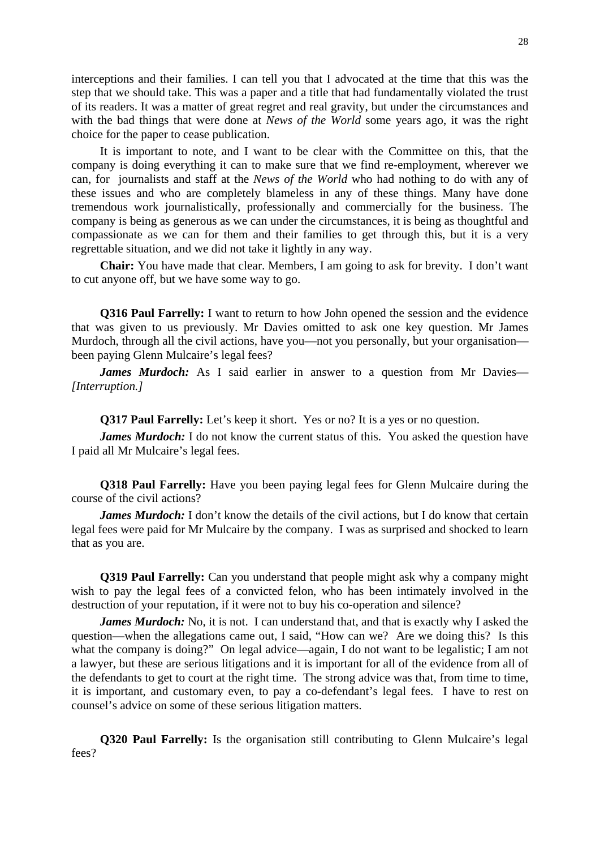interceptions and their families. I can tell you that I advocated at the time that this was the step that we should take. This was a paper and a title that had fundamentally violated the trust of its readers. It was a matter of great regret and real gravity, but under the circumstances and with the bad things that were done at *News of the World* some years ago, it was the right choice for the paper to cease publication.

 It is important to note, and I want to be clear with the Committee on this, that the company is doing everything it can to make sure that we find re-employment, wherever we can, for journalists and staff at the *News of the World* who had nothing to do with any of these issues and who are completely blameless in any of these things. Many have done tremendous work journalistically, professionally and commercially for the business. The company is being as generous as we can under the circumstances, it is being as thoughtful and compassionate as we can for them and their families to get through this, but it is a very regrettable situation, and we did not take it lightly in any way.

**Chair:** You have made that clear. Members, I am going to ask for brevity. I don't want to cut anyone off, but we have some way to go.

**Q316 Paul Farrelly:** I want to return to how John opened the session and the evidence that was given to us previously. Mr Davies omitted to ask one key question. Mr James Murdoch, through all the civil actions, have you—not you personally, but your organisation been paying Glenn Mulcaire's legal fees?

*James Murdoch:* As I said earlier in answer to a question from Mr Davies— *[Interruption.]*

**Q317 Paul Farrelly:** Let's keep it short. Yes or no? It is a yes or no question.

*James Murdoch:* I do not know the current status of this. You asked the question have I paid all Mr Mulcaire's legal fees.

**Q318 Paul Farrelly:** Have you been paying legal fees for Glenn Mulcaire during the course of the civil actions?

*James Murdoch:* I don't know the details of the civil actions, but I do know that certain legal fees were paid for Mr Mulcaire by the company. I was as surprised and shocked to learn that as you are.

**Q319 Paul Farrelly:** Can you understand that people might ask why a company might wish to pay the legal fees of a convicted felon, who has been intimately involved in the destruction of your reputation, if it were not to buy his co-operation and silence?

*James Murdoch:* No, it is not. I can understand that, and that is exactly why I asked the question—when the allegations came out, I said, "How can we? Are we doing this? Is this what the company is doing?" On legal advice—again, I do not want to be legalistic; I am not a lawyer, but these are serious litigations and it is important for all of the evidence from all of the defendants to get to court at the right time. The strong advice was that, from time to time, it is important, and customary even, to pay a co-defendant's legal fees. I have to rest on counsel's advice on some of these serious litigation matters.

**Q320 Paul Farrelly:** Is the organisation still contributing to Glenn Mulcaire's legal fees?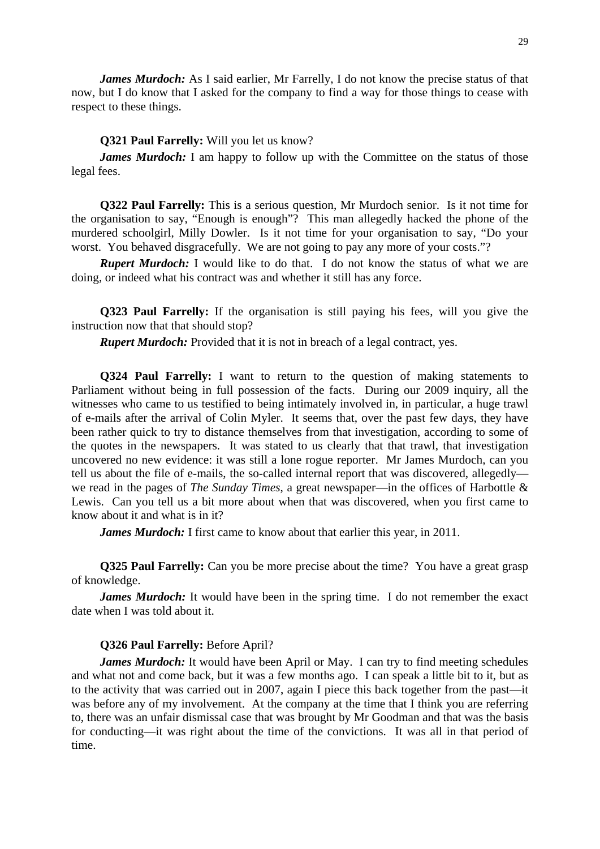*James Murdoch:* As I said earlier, Mr Farrelly, I do not know the precise status of that now, but I do know that I asked for the company to find a way for those things to cease with respect to these things.

## **Q321 Paul Farrelly:** Will you let us know?

*James Murdoch:* I am happy to follow up with the Committee on the status of those legal fees.

**Q322 Paul Farrelly:** This is a serious question, Mr Murdoch senior. Is it not time for the organisation to say, "Enough is enough"? This man allegedly hacked the phone of the murdered schoolgirl, Milly Dowler. Is it not time for your organisation to say, "Do your worst. You behaved disgracefully. We are not going to pay any more of your costs."?

*Rupert Murdoch:* I would like to do that. I do not know the status of what we are doing, or indeed what his contract was and whether it still has any force.

**Q323 Paul Farrelly:** If the organisation is still paying his fees, will you give the instruction now that that should stop?

*Rupert Murdoch:* Provided that it is not in breach of a legal contract, yes.

**Q324 Paul Farrelly:** I want to return to the question of making statements to Parliament without being in full possession of the facts. During our 2009 inquiry, all the witnesses who came to us testified to being intimately involved in, in particular, a huge trawl of e-mails after the arrival of Colin Myler. It seems that, over the past few days, they have been rather quick to try to distance themselves from that investigation, according to some of the quotes in the newspapers. It was stated to us clearly that that trawl, that investigation uncovered no new evidence: it was still a lone rogue reporter. Mr James Murdoch, can you tell us about the file of e-mails, the so-called internal report that was discovered, allegedly we read in the pages of *The Sunday Times*, a great newspaper—in the offices of Harbottle & Lewis. Can you tell us a bit more about when that was discovered, when you first came to know about it and what is in it?

*James Murdoch:* I first came to know about that earlier this year, in 2011.

**Q325 Paul Farrelly:** Can you be more precise about the time? You have a great grasp of knowledge.

*James Murdoch:* It would have been in the spring time. I do not remember the exact date when I was told about it.

### **Q326 Paul Farrelly:** Before April?

*James Murdoch:* It would have been April or May. I can try to find meeting schedules and what not and come back, but it was a few months ago. I can speak a little bit to it, but as to the activity that was carried out in 2007, again I piece this back together from the past—it was before any of my involvement. At the company at the time that I think you are referring to, there was an unfair dismissal case that was brought by Mr Goodman and that was the basis for conducting—it was right about the time of the convictions. It was all in that period of time.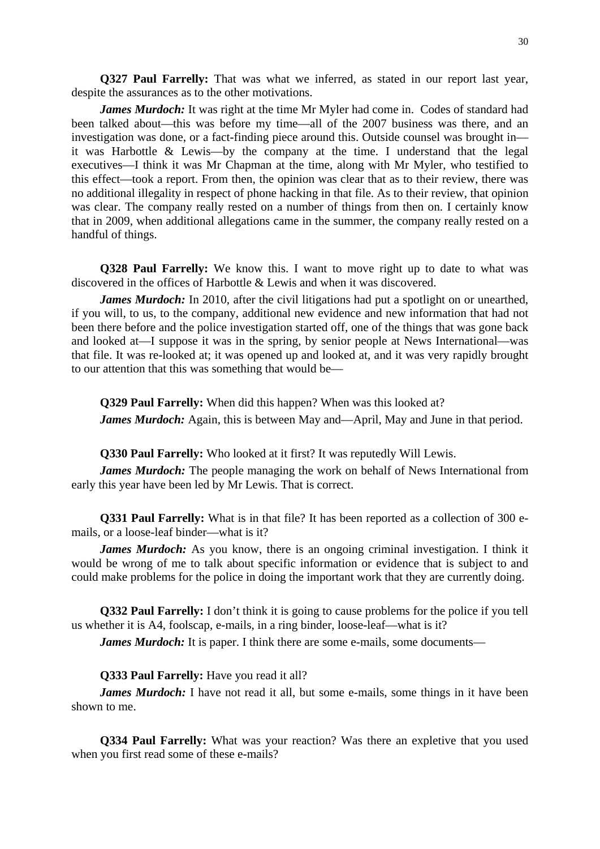**Q327 Paul Farrelly:** That was what we inferred, as stated in our report last year, despite the assurances as to the other motivations.

*James Murdoch:* It was right at the time Mr Myler had come in. Codes of standard had been talked about—this was before my time—all of the 2007 business was there, and an investigation was done, or a fact-finding piece around this. Outside counsel was brought in it was Harbottle & Lewis—by the company at the time. I understand that the legal executives—I think it was Mr Chapman at the time, along with Mr Myler, who testified to this effect—took a report. From then, the opinion was clear that as to their review, there was no additional illegality in respect of phone hacking in that file. As to their review, that opinion was clear. The company really rested on a number of things from then on. I certainly know that in 2009, when additional allegations came in the summer, the company really rested on a handful of things.

**Q328 Paul Farrelly:** We know this. I want to move right up to date to what was discovered in the offices of Harbottle & Lewis and when it was discovered.

*James Murdoch:* In 2010, after the civil litigations had put a spotlight on or unearthed, if you will, to us, to the company, additional new evidence and new information that had not been there before and the police investigation started off, one of the things that was gone back and looked at—I suppose it was in the spring, by senior people at News International—was that file. It was re-looked at; it was opened up and looked at, and it was very rapidly brought to our attention that this was something that would be—

**Q329 Paul Farrelly:** When did this happen? When was this looked at?

*James Murdoch:* Again, this is between May and—April, May and June in that period.

**Q330 Paul Farrelly:** Who looked at it first? It was reputedly Will Lewis.

*James Murdoch:* The people managing the work on behalf of News International from early this year have been led by Mr Lewis. That is correct.

**Q331 Paul Farrelly:** What is in that file? It has been reported as a collection of 300 emails, or a loose-leaf binder—what is it?

*James Murdoch:* As you know, there is an ongoing criminal investigation. I think it would be wrong of me to talk about specific information or evidence that is subject to and could make problems for the police in doing the important work that they are currently doing.

**Q332 Paul Farrelly:** I don't think it is going to cause problems for the police if you tell us whether it is A4, foolscap, e-mails, in a ring binder, loose-leaf—what is it?

*James Murdoch:* It is paper. I think there are some e-mails, some documents—

#### **Q333 Paul Farrelly:** Have you read it all?

*James Murdoch:* I have not read it all, but some e-mails, some things in it have been shown to me.

**Q334 Paul Farrelly:** What was your reaction? Was there an expletive that you used when you first read some of these e-mails?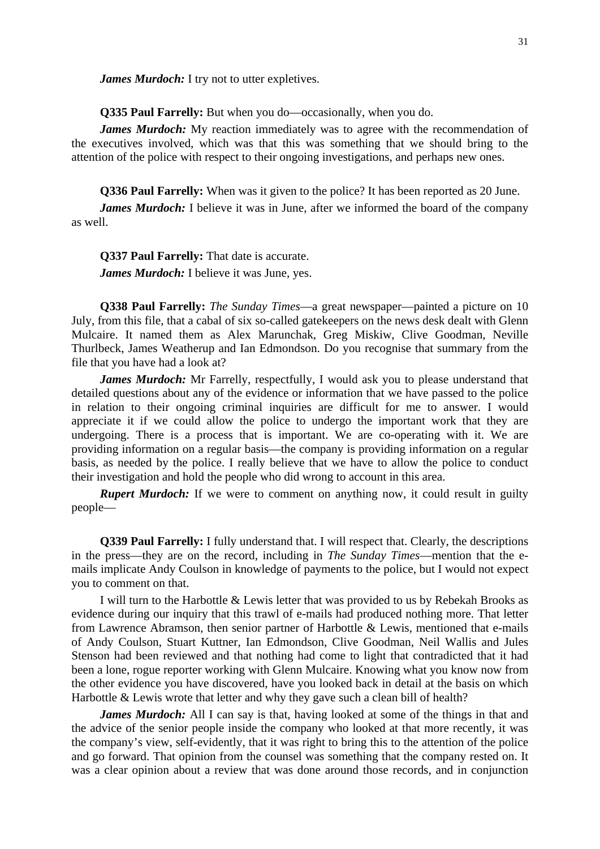*James Murdoch:* I try not to utter expletives.

**Q335 Paul Farrelly:** But when you do—occasionally, when you do.

*James Murdoch:* My reaction immediately was to agree with the recommendation of the executives involved, which was that this was something that we should bring to the attention of the police with respect to their ongoing investigations, and perhaps new ones.

**Q336 Paul Farrelly:** When was it given to the police? It has been reported as 20 June.

*James Murdoch:* I believe it was in June, after we informed the board of the company as well.

**Q337 Paul Farrelly:** That date is accurate. James Murdoch: I believe it was June, yes.

**Q338 Paul Farrelly:** *The Sunday Times*—a great newspaper—painted a picture on 10 July, from this file, that a cabal of six so-called gatekeepers on the news desk dealt with Glenn Mulcaire. It named them as Alex Marunchak, Greg Miskiw, Clive Goodman, Neville Thurlbeck, James Weatherup and Ian Edmondson. Do you recognise that summary from the file that you have had a look at?

James Murdoch: Mr Farrelly, respectfully, I would ask you to please understand that detailed questions about any of the evidence or information that we have passed to the police in relation to their ongoing criminal inquiries are difficult for me to answer. I would appreciate it if we could allow the police to undergo the important work that they are undergoing. There is a process that is important. We are co-operating with it. We are providing information on a regular basis—the company is providing information on a regular basis, as needed by the police. I really believe that we have to allow the police to conduct their investigation and hold the people who did wrong to account in this area.

*Rupert Murdoch:* If we were to comment on anything now, it could result in guilty people—

**Q339 Paul Farrelly:** I fully understand that. I will respect that. Clearly, the descriptions in the press—they are on the record, including in *The Sunday Times*—mention that the emails implicate Andy Coulson in knowledge of payments to the police, but I would not expect you to comment on that.

 I will turn to the Harbottle & Lewis letter that was provided to us by Rebekah Brooks as evidence during our inquiry that this trawl of e-mails had produced nothing more. That letter from Lawrence Abramson, then senior partner of Harbottle & Lewis, mentioned that e-mails of Andy Coulson, Stuart Kuttner, Ian Edmondson, Clive Goodman, Neil Wallis and Jules Stenson had been reviewed and that nothing had come to light that contradicted that it had been a lone, rogue reporter working with Glenn Mulcaire. Knowing what you know now from the other evidence you have discovered, have you looked back in detail at the basis on which Harbottle & Lewis wrote that letter and why they gave such a clean bill of health?

*James Murdoch:* All I can say is that, having looked at some of the things in that and the advice of the senior people inside the company who looked at that more recently, it was the company's view, self-evidently, that it was right to bring this to the attention of the police and go forward. That opinion from the counsel was something that the company rested on. It was a clear opinion about a review that was done around those records, and in conjunction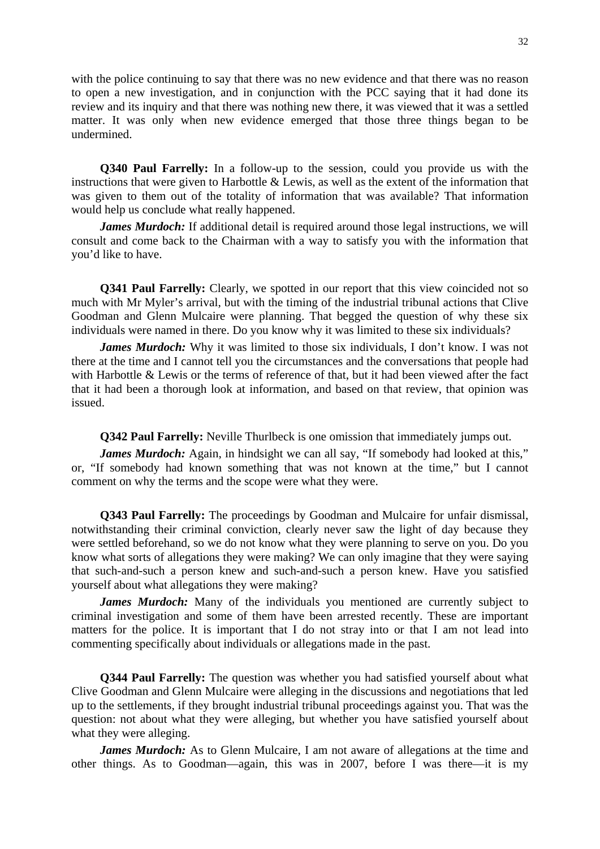with the police continuing to say that there was no new evidence and that there was no reason to open a new investigation, and in conjunction with the PCC saying that it had done its review and its inquiry and that there was nothing new there, it was viewed that it was a settled matter. It was only when new evidence emerged that those three things began to be undermined.

 **Q340 Paul Farrelly:** In a follow-up to the session, could you provide us with the instructions that were given to Harbottle & Lewis, as well as the extent of the information that was given to them out of the totality of information that was available? That information would help us conclude what really happened.

*James Murdoch:* If additional detail is required around those legal instructions, we will consult and come back to the Chairman with a way to satisfy you with the information that you'd like to have.

**Q341 Paul Farrelly:** Clearly, we spotted in our report that this view coincided not so much with Mr Myler's arrival, but with the timing of the industrial tribunal actions that Clive Goodman and Glenn Mulcaire were planning. That begged the question of why these six individuals were named in there. Do you know why it was limited to these six individuals?

*James Murdoch:* Why it was limited to those six individuals, I don't know. I was not there at the time and I cannot tell you the circumstances and the conversations that people had with Harbottle & Lewis or the terms of reference of that, but it had been viewed after the fact that it had been a thorough look at information, and based on that review, that opinion was issued.

**Q342 Paul Farrelly:** Neville Thurlbeck is one omission that immediately jumps out.

James Murdoch: Again, in hindsight we can all say, "If somebody had looked at this," or, "If somebody had known something that was not known at the time," but I cannot comment on why the terms and the scope were what they were.

**Q343 Paul Farrelly:** The proceedings by Goodman and Mulcaire for unfair dismissal, notwithstanding their criminal conviction, clearly never saw the light of day because they were settled beforehand, so we do not know what they were planning to serve on you. Do you know what sorts of allegations they were making? We can only imagine that they were saying that such-and-such a person knew and such-and-such a person knew. Have you satisfied yourself about what allegations they were making?

*James Murdoch:* Many of the individuals you mentioned are currently subject to criminal investigation and some of them have been arrested recently. These are important matters for the police. It is important that I do not stray into or that I am not lead into commenting specifically about individuals or allegations made in the past.

**Q344 Paul Farrelly:** The question was whether you had satisfied yourself about what Clive Goodman and Glenn Mulcaire were alleging in the discussions and negotiations that led up to the settlements, if they brought industrial tribunal proceedings against you. That was the question: not about what they were alleging, but whether you have satisfied yourself about what they were alleging.

*James Murdoch:* As to Glenn Mulcaire, I am not aware of allegations at the time and other things. As to Goodman—again, this was in 2007, before I was there—it is my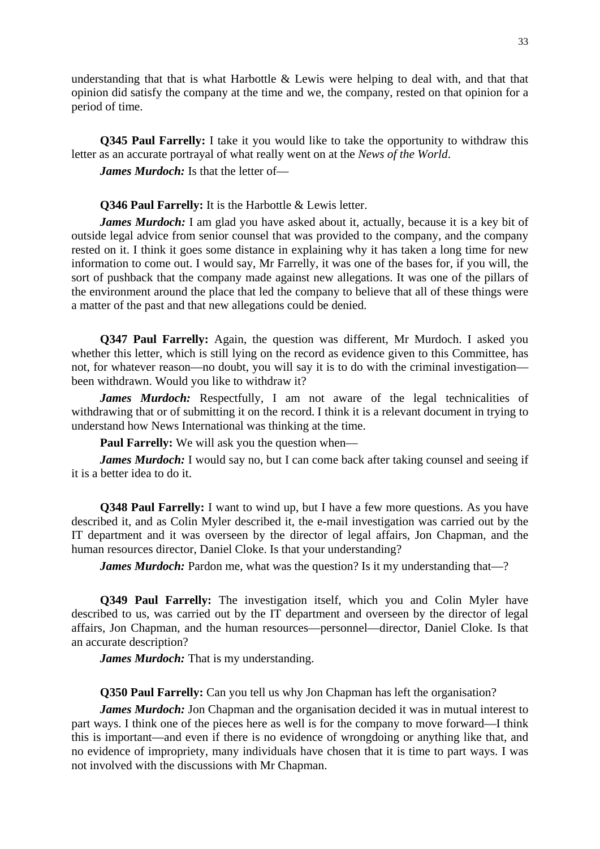understanding that that is what Harbottle & Lewis were helping to deal with, and that that opinion did satisfy the company at the time and we, the company, rested on that opinion for a period of time.

**Q345 Paul Farrelly:** I take it you would like to take the opportunity to withdraw this letter as an accurate portrayal of what really went on at the *News of the World*.

*James Murdoch:* Is that the letter of—

**Q346 Paul Farrelly:** It is the Harbottle & Lewis letter.

*James Murdoch:* I am glad you have asked about it, actually, because it is a key bit of outside legal advice from senior counsel that was provided to the company, and the company rested on it. I think it goes some distance in explaining why it has taken a long time for new information to come out. I would say, Mr Farrelly, it was one of the bases for, if you will, the sort of pushback that the company made against new allegations. It was one of the pillars of the environment around the place that led the company to believe that all of these things were a matter of the past and that new allegations could be denied.

**Q347 Paul Farrelly:** Again, the question was different, Mr Murdoch. I asked you whether this letter, which is still lying on the record as evidence given to this Committee, has not, for whatever reason—no doubt, you will say it is to do with the criminal investigation been withdrawn. Would you like to withdraw it?

James Murdoch: Respectfully, I am not aware of the legal technicalities of withdrawing that or of submitting it on the record. I think it is a relevant document in trying to understand how News International was thinking at the time.

**Paul Farrelly:** We will ask you the question when—

*James Murdoch:* I would say no, but I can come back after taking counsel and seeing if it is a better idea to do it.

**Q348 Paul Farrelly:** I want to wind up, but I have a few more questions. As you have described it, and as Colin Myler described it, the e-mail investigation was carried out by the IT department and it was overseen by the director of legal affairs, Jon Chapman, and the human resources director, Daniel Cloke. Is that your understanding?

*James Murdoch:* Pardon me, what was the question? Is it my understanding that—?

**Q349 Paul Farrelly:** The investigation itself, which you and Colin Myler have described to us, was carried out by the IT department and overseen by the director of legal affairs, Jon Chapman, and the human resources—personnel—director, Daniel Cloke. Is that an accurate description?

*James Murdoch:* That is my understanding.

**Q350 Paul Farrelly:** Can you tell us why Jon Chapman has left the organisation?

*James Murdoch:* Jon Chapman and the organisation decided it was in mutual interest to part ways. I think one of the pieces here as well is for the company to move forward—I think this is important—and even if there is no evidence of wrongdoing or anything like that, and no evidence of impropriety, many individuals have chosen that it is time to part ways. I was not involved with the discussions with Mr Chapman.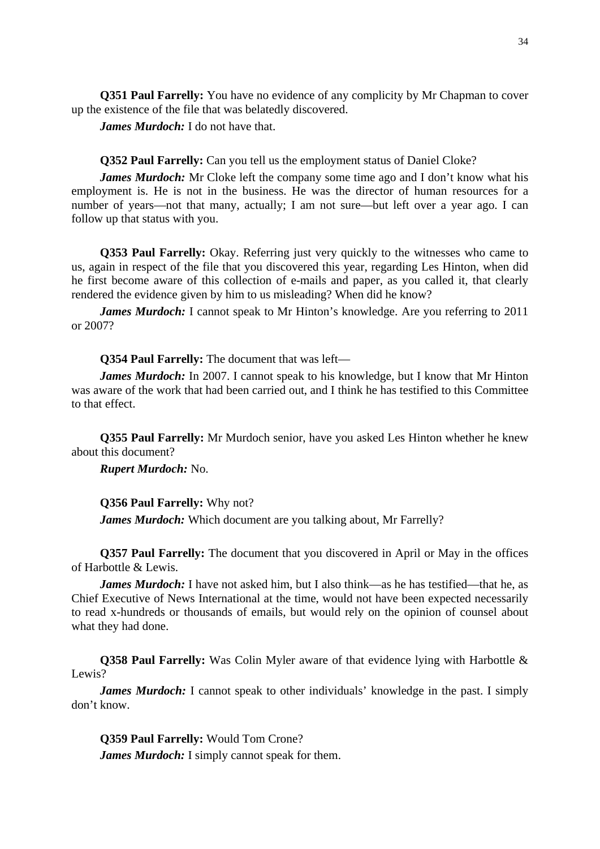**Q351 Paul Farrelly:** You have no evidence of any complicity by Mr Chapman to cover up the existence of the file that was belatedly discovered.

James Murdoch: I do not have that.

**Q352 Paul Farrelly:** Can you tell us the employment status of Daniel Cloke?

*James Murdoch:* Mr Cloke left the company some time ago and I don't know what his employment is. He is not in the business. He was the director of human resources for a number of years—not that many, actually; I am not sure—but left over a year ago. I can follow up that status with you.

**Q353 Paul Farrelly:** Okay. Referring just very quickly to the witnesses who came to us, again in respect of the file that you discovered this year, regarding Les Hinton, when did he first become aware of this collection of e-mails and paper, as you called it, that clearly rendered the evidence given by him to us misleading? When did he know?

*James Murdoch:* I cannot speak to Mr Hinton's knowledge. Are you referring to 2011 or 2007?

**Q354 Paul Farrelly:** The document that was left—

James Murdoch: In 2007. I cannot speak to his knowledge, but I know that Mr Hinton was aware of the work that had been carried out, and I think he has testified to this Committee to that effect.

**Q355 Paul Farrelly:** Mr Murdoch senior, have you asked Les Hinton whether he knew about this document?

*Rupert Murdoch:* No.

**Q356 Paul Farrelly:** Why not?

*James Murdoch:* Which document are you talking about, Mr Farrelly?

**Q357 Paul Farrelly:** The document that you discovered in April or May in the offices of Harbottle & Lewis.

*James Murdoch:* I have not asked him, but I also think—as he has testified—that he, as Chief Executive of News International at the time, would not have been expected necessarily to read x-hundreds or thousands of emails, but would rely on the opinion of counsel about what they had done.

**Q358 Paul Farrelly:** Was Colin Myler aware of that evidence lying with Harbottle & Lewis?

*James Murdoch:* I cannot speak to other individuals' knowledge in the past. I simply don't know.

**Q359 Paul Farrelly:** Would Tom Crone?

*James Murdoch:* I simply cannot speak for them.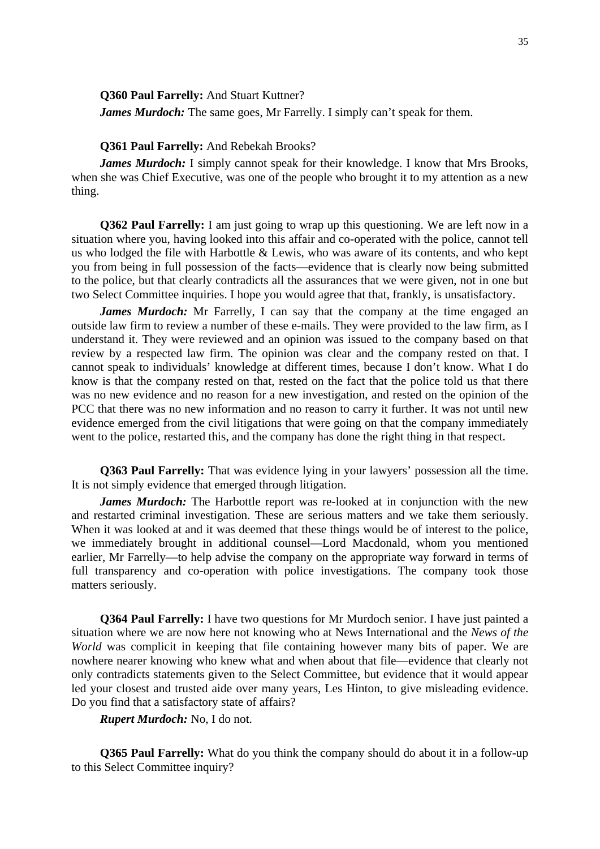### **Q360 Paul Farrelly:** And Stuart Kuttner?

*James Murdoch:* The same goes, Mr Farrelly. I simply can't speak for them.

### **Q361 Paul Farrelly:** And Rebekah Brooks?

*James Murdoch:* I simply cannot speak for their knowledge. I know that Mrs Brooks, when she was Chief Executive, was one of the people who brought it to my attention as a new thing.

**Q362 Paul Farrelly:** I am just going to wrap up this questioning. We are left now in a situation where you, having looked into this affair and co-operated with the police, cannot tell us who lodged the file with Harbottle & Lewis, who was aware of its contents, and who kept you from being in full possession of the facts—evidence that is clearly now being submitted to the police, but that clearly contradicts all the assurances that we were given, not in one but two Select Committee inquiries. I hope you would agree that that, frankly, is unsatisfactory.

*James Murdoch:* Mr Farrelly, I can say that the company at the time engaged an outside law firm to review a number of these e-mails. They were provided to the law firm, as I understand it. They were reviewed and an opinion was issued to the company based on that review by a respected law firm. The opinion was clear and the company rested on that. I cannot speak to individuals' knowledge at different times, because I don't know. What I do know is that the company rested on that, rested on the fact that the police told us that there was no new evidence and no reason for a new investigation, and rested on the opinion of the PCC that there was no new information and no reason to carry it further. It was not until new evidence emerged from the civil litigations that were going on that the company immediately went to the police, restarted this, and the company has done the right thing in that respect.

**Q363 Paul Farrelly:** That was evidence lying in your lawyers' possession all the time. It is not simply evidence that emerged through litigation.

*James Murdoch:* The Harbottle report was re-looked at in conjunction with the new and restarted criminal investigation. These are serious matters and we take them seriously. When it was looked at and it was deemed that these things would be of interest to the police, we immediately brought in additional counsel—Lord Macdonald, whom you mentioned earlier, Mr Farrelly—to help advise the company on the appropriate way forward in terms of full transparency and co-operation with police investigations. The company took those matters seriously.

**Q364 Paul Farrelly:** I have two questions for Mr Murdoch senior. I have just painted a situation where we are now here not knowing who at News International and the *News of the World* was complicit in keeping that file containing however many bits of paper. We are nowhere nearer knowing who knew what and when about that file—evidence that clearly not only contradicts statements given to the Select Committee, but evidence that it would appear led your closest and trusted aide over many years, Les Hinton, to give misleading evidence. Do you find that a satisfactory state of affairs?

*Rupert Murdoch:* No, I do not.

**Q365 Paul Farrelly:** What do you think the company should do about it in a follow-up to this Select Committee inquiry?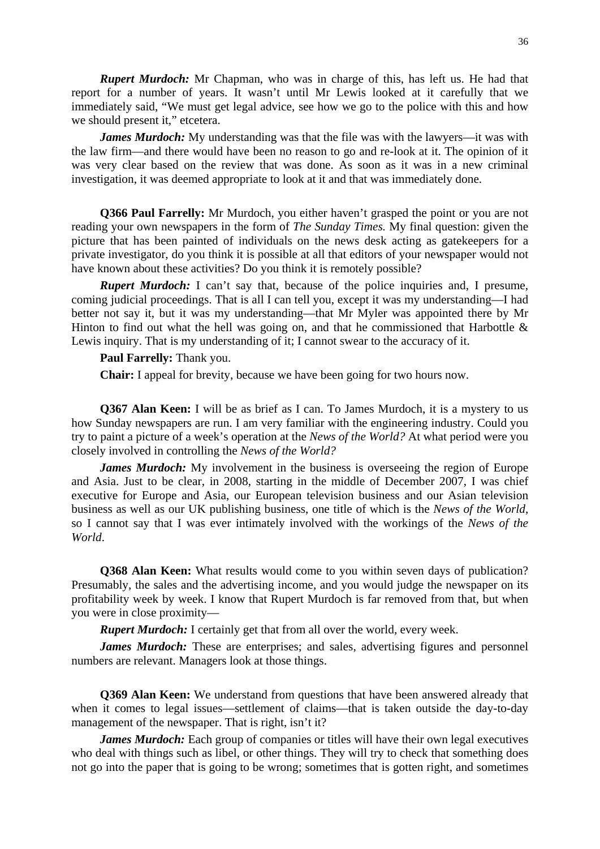*Rupert Murdoch:* Mr Chapman, who was in charge of this, has left us. He had that report for a number of years. It wasn't until Mr Lewis looked at it carefully that we immediately said, "We must get legal advice, see how we go to the police with this and how we should present it," etcetera.

*James Murdoch:* My understanding was that the file was with the lawyers—it was with the law firm—and there would have been no reason to go and re-look at it. The opinion of it was very clear based on the review that was done. As soon as it was in a new criminal investigation, it was deemed appropriate to look at it and that was immediately done.

**Q366 Paul Farrelly:** Mr Murdoch, you either haven't grasped the point or you are not reading your own newspapers in the form of *The Sunday Times.* My final question: given the picture that has been painted of individuals on the news desk acting as gatekeepers for a private investigator, do you think it is possible at all that editors of your newspaper would not have known about these activities? Do you think it is remotely possible?

*Rupert Murdoch:* I can't say that, because of the police inquiries and, I presume, coming judicial proceedings. That is all I can tell you, except it was my understanding—I had better not say it, but it was my understanding—that Mr Myler was appointed there by Mr Hinton to find out what the hell was going on, and that he commissioned that Harbottle  $\&$ Lewis inquiry. That is my understanding of it; I cannot swear to the accuracy of it.

# **Paul Farrelly:** Thank you.

 **Chair:** I appeal for brevity, because we have been going for two hours now.

**Q367 Alan Keen:** I will be as brief as I can. To James Murdoch, it is a mystery to us how Sunday newspapers are run. I am very familiar with the engineering industry. Could you try to paint a picture of a week's operation at the *News of the World?* At what period were you closely involved in controlling the *News of the World?* 

*James Murdoch:* My involvement in the business is overseeing the region of Europe and Asia. Just to be clear, in 2008, starting in the middle of December 2007, I was chief executive for Europe and Asia, our European television business and our Asian television business as well as our UK publishing business, one title of which is the *News of the World*, so I cannot say that I was ever intimately involved with the workings of the *News of the World*.

**Q368 Alan Keen:** What results would come to you within seven days of publication? Presumably, the sales and the advertising income, and you would judge the newspaper on its profitability week by week. I know that Rupert Murdoch is far removed from that, but when you were in close proximity—

*Rupert Murdoch:* I certainly get that from all over the world, every week.

*James Murdoch:* These are enterprises; and sales, advertising figures and personnel numbers are relevant. Managers look at those things.

**Q369 Alan Keen:** We understand from questions that have been answered already that when it comes to legal issues—settlement of claims—that is taken outside the day-to-day management of the newspaper. That is right, isn't it?

*James Murdoch:* Each group of companies or titles will have their own legal executives who deal with things such as libel, or other things. They will try to check that something does not go into the paper that is going to be wrong; sometimes that is gotten right, and sometimes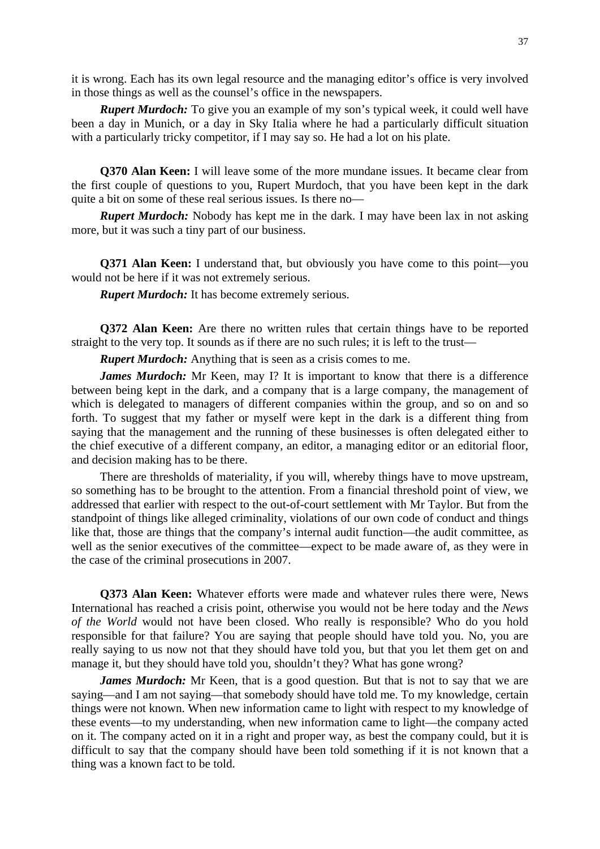it is wrong. Each has its own legal resource and the managing editor's office is very involved in those things as well as the counsel's office in the newspapers.

*Rupert Murdoch:* To give you an example of my son's typical week, it could well have been a day in Munich, or a day in Sky Italia where he had a particularly difficult situation with a particularly tricky competitor, if I may say so. He had a lot on his plate.

**Q370 Alan Keen:** I will leave some of the more mundane issues. It became clear from the first couple of questions to you, Rupert Murdoch, that you have been kept in the dark quite a bit on some of these real serious issues. Is there no—

*Rupert Murdoch:* Nobody has kept me in the dark. I may have been lax in not asking more, but it was such a tiny part of our business.

**Q371 Alan Keen:** I understand that, but obviously you have come to this point—you would not be here if it was not extremely serious.

*Rupert Murdoch:* It has become extremely serious.

**Q372 Alan Keen:** Are there no written rules that certain things have to be reported straight to the very top. It sounds as if there are no such rules; it is left to the trust—

*Rupert Murdoch:* Anything that is seen as a crisis comes to me.

*James Murdoch:* Mr Keen, may I? It is important to know that there is a difference between being kept in the dark, and a company that is a large company, the management of which is delegated to managers of different companies within the group, and so on and so forth. To suggest that my father or myself were kept in the dark is a different thing from saying that the management and the running of these businesses is often delegated either to the chief executive of a different company, an editor, a managing editor or an editorial floor, and decision making has to be there.

 There are thresholds of materiality, if you will, whereby things have to move upstream, so something has to be brought to the attention. From a financial threshold point of view, we addressed that earlier with respect to the out-of-court settlement with Mr Taylor. But from the standpoint of things like alleged criminality, violations of our own code of conduct and things like that, those are things that the company's internal audit function—the audit committee, as well as the senior executives of the committee—expect to be made aware of, as they were in the case of the criminal prosecutions in 2007.

**Q373 Alan Keen:** Whatever efforts were made and whatever rules there were, News International has reached a crisis point, otherwise you would not be here today and the *News of the World* would not have been closed. Who really is responsible? Who do you hold responsible for that failure? You are saying that people should have told you. No, you are really saying to us now not that they should have told you, but that you let them get on and manage it, but they should have told you, shouldn't they? What has gone wrong?

*James Murdoch:* Mr Keen, that is a good question. But that is not to say that we are saying—and I am not saying—that somebody should have told me. To my knowledge, certain things were not known. When new information came to light with respect to my knowledge of these events—to my understanding, when new information came to light—the company acted on it. The company acted on it in a right and proper way, as best the company could, but it is difficult to say that the company should have been told something if it is not known that a thing was a known fact to be told.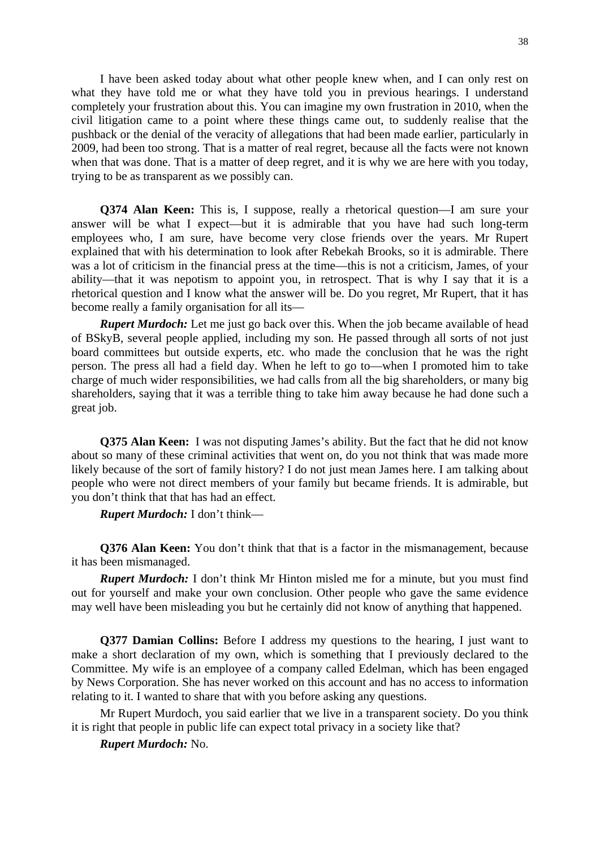I have been asked today about what other people knew when, and I can only rest on what they have told me or what they have told you in previous hearings. I understand completely your frustration about this. You can imagine my own frustration in 2010, when the civil litigation came to a point where these things came out, to suddenly realise that the pushback or the denial of the veracity of allegations that had been made earlier, particularly in 2009, had been too strong. That is a matter of real regret, because all the facts were not known when that was done. That is a matter of deep regret, and it is why we are here with you today, trying to be as transparent as we possibly can.

**Q374 Alan Keen:** This is, I suppose, really a rhetorical question—I am sure your answer will be what I expect—but it is admirable that you have had such long-term employees who, I am sure, have become very close friends over the years. Mr Rupert explained that with his determination to look after Rebekah Brooks, so it is admirable. There was a lot of criticism in the financial press at the time—this is not a criticism, James, of your ability—that it was nepotism to appoint you, in retrospect. That is why I say that it is a rhetorical question and I know what the answer will be. Do you regret, Mr Rupert, that it has become really a family organisation for all its—

**Rupert Murdoch:** Let me just go back over this. When the job became available of head of BSkyB, several people applied, including my son. He passed through all sorts of not just board committees but outside experts, etc. who made the conclusion that he was the right person. The press all had a field day. When he left to go to—when I promoted him to take charge of much wider responsibilities, we had calls from all the big shareholders, or many big shareholders, saying that it was a terrible thing to take him away because he had done such a great job.

**Q375 Alan Keen:** I was not disputing James's ability. But the fact that he did not know about so many of these criminal activities that went on, do you not think that was made more likely because of the sort of family history? I do not just mean James here. I am talking about people who were not direct members of your family but became friends. It is admirable, but you don't think that that has had an effect.

*Rupert Murdoch:* I don't think—

**Q376 Alan Keen:** You don't think that that is a factor in the mismanagement, because it has been mismanaged.

*Rupert Murdoch:* I don't think Mr Hinton misled me for a minute, but you must find out for yourself and make your own conclusion. Other people who gave the same evidence may well have been misleading you but he certainly did not know of anything that happened.

**Q377 Damian Collins:** Before I address my questions to the hearing, I just want to make a short declaration of my own, which is something that I previously declared to the Committee. My wife is an employee of a company called Edelman, which has been engaged by News Corporation. She has never worked on this account and has no access to information relating to it. I wanted to share that with you before asking any questions.

 Mr Rupert Murdoch, you said earlier that we live in a transparent society. Do you think it is right that people in public life can expect total privacy in a society like that?

*Rupert Murdoch:* No.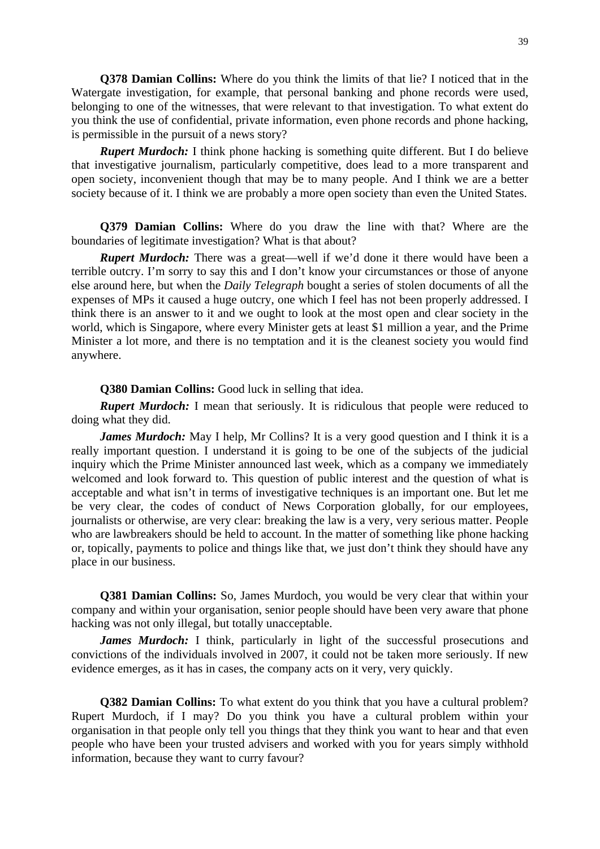**Q378 Damian Collins:** Where do you think the limits of that lie? I noticed that in the Watergate investigation, for example, that personal banking and phone records were used, belonging to one of the witnesses, that were relevant to that investigation. To what extent do you think the use of confidential, private information, even phone records and phone hacking, is permissible in the pursuit of a news story?

*Rupert Murdoch:* I think phone hacking is something quite different. But I do believe that investigative journalism, particularly competitive, does lead to a more transparent and open society, inconvenient though that may be to many people. And I think we are a better society because of it. I think we are probably a more open society than even the United States.

**Q379 Damian Collins:** Where do you draw the line with that? Where are the boundaries of legitimate investigation? What is that about?

**Rupert Murdoch:** There was a great—well if we'd done it there would have been a terrible outcry. I'm sorry to say this and I don't know your circumstances or those of anyone else around here, but when the *Daily Telegraph* bought a series of stolen documents of all the expenses of MPs it caused a huge outcry, one which I feel has not been properly addressed. I think there is an answer to it and we ought to look at the most open and clear society in the world, which is Singapore, where every Minister gets at least \$1 million a year, and the Prime Minister a lot more, and there is no temptation and it is the cleanest society you would find anywhere.

**Q380 Damian Collins:** Good luck in selling that idea.

**Rupert Murdoch:** I mean that seriously. It is ridiculous that people were reduced to doing what they did.

*James Murdoch:* May I help, Mr Collins? It is a very good question and I think it is a really important question. I understand it is going to be one of the subjects of the judicial inquiry which the Prime Minister announced last week, which as a company we immediately welcomed and look forward to. This question of public interest and the question of what is acceptable and what isn't in terms of investigative techniques is an important one. But let me be very clear, the codes of conduct of News Corporation globally, for our employees, journalists or otherwise, are very clear: breaking the law is a very, very serious matter. People who are lawbreakers should be held to account. In the matter of something like phone hacking or, topically, payments to police and things like that, we just don't think they should have any place in our business.

**Q381 Damian Collins:** So, James Murdoch, you would be very clear that within your company and within your organisation, senior people should have been very aware that phone hacking was not only illegal, but totally unacceptable.

James Murdoch: I think, particularly in light of the successful prosecutions and convictions of the individuals involved in 2007, it could not be taken more seriously. If new evidence emerges, as it has in cases, the company acts on it very, very quickly.

**Q382 Damian Collins:** To what extent do you think that you have a cultural problem? Rupert Murdoch, if I may? Do you think you have a cultural problem within your organisation in that people only tell you things that they think you want to hear and that even people who have been your trusted advisers and worked with you for years simply withhold information, because they want to curry favour?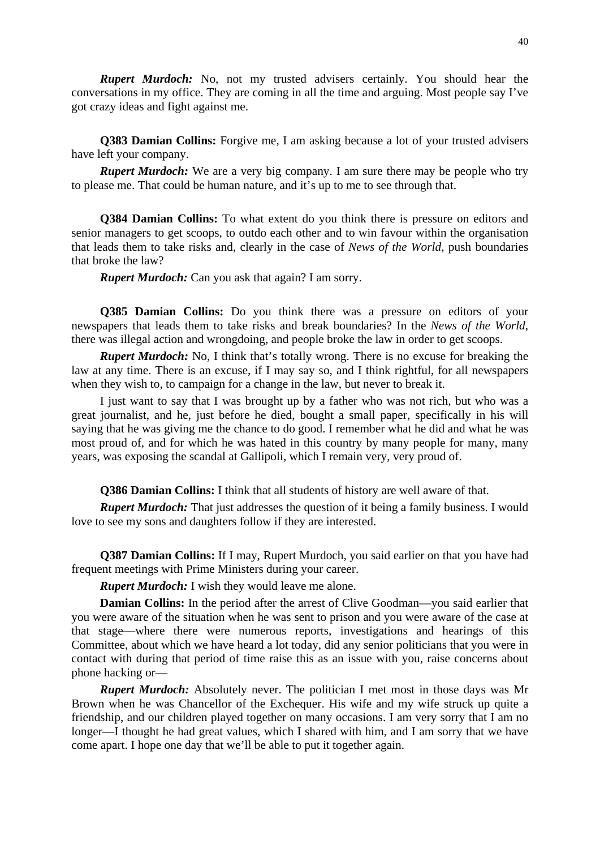*Rupert Murdoch:* No, not my trusted advisers certainly. You should hear the conversations in my office. They are coming in all the time and arguing. Most people say I've got crazy ideas and fight against me.

**Q383 Damian Collins:** Forgive me, I am asking because a lot of your trusted advisers have left your company.

*Rupert Murdoch:* We are a very big company. I am sure there may be people who try to please me. That could be human nature, and it's up to me to see through that.

**Q384 Damian Collins:** To what extent do you think there is pressure on editors and senior managers to get scoops, to outdo each other and to win favour within the organisation that leads them to take risks and, clearly in the case of *News of the World*, push boundaries that broke the law?

*Rupert Murdoch:* Can you ask that again? I am sorry.

**Q385 Damian Collins:** Do you think there was a pressure on editors of your newspapers that leads them to take risks and break boundaries? In the *News of the World*, there was illegal action and wrongdoing, and people broke the law in order to get scoops.

*Rupert Murdoch:* No, I think that's totally wrong. There is no excuse for breaking the law at any time. There is an excuse, if I may say so, and I think rightful, for all newspapers when they wish to, to campaign for a change in the law, but never to break it.

 I just want to say that I was brought up by a father who was not rich, but who was a great journalist, and he, just before he died, bought a small paper, specifically in his will saying that he was giving me the chance to do good. I remember what he did and what he was most proud of, and for which he was hated in this country by many people for many, many years, was exposing the scandal at Gallipoli, which I remain very, very proud of.

**Q386 Damian Collins:** I think that all students of history are well aware of that.

*Rupert Murdoch:* That just addresses the question of it being a family business. I would love to see my sons and daughters follow if they are interested.

**Q387 Damian Collins:** If I may, Rupert Murdoch, you said earlier on that you have had frequent meetings with Prime Ministers during your career.

*Rupert Murdoch:* I wish they would leave me alone.

**Damian Collins:** In the period after the arrest of Clive Goodman—you said earlier that you were aware of the situation when he was sent to prison and you were aware of the case at that stage—where there were numerous reports, investigations and hearings of this Committee, about which we have heard a lot today, did any senior politicians that you were in contact with during that period of time raise this as an issue with you, raise concerns about phone hacking or—

*Rupert Murdoch:* Absolutely never. The politician I met most in those days was Mr Brown when he was Chancellor of the Exchequer. His wife and my wife struck up quite a friendship, and our children played together on many occasions. I am very sorry that I am no longer—I thought he had great values, which I shared with him, and I am sorry that we have come apart. I hope one day that we'll be able to put it together again.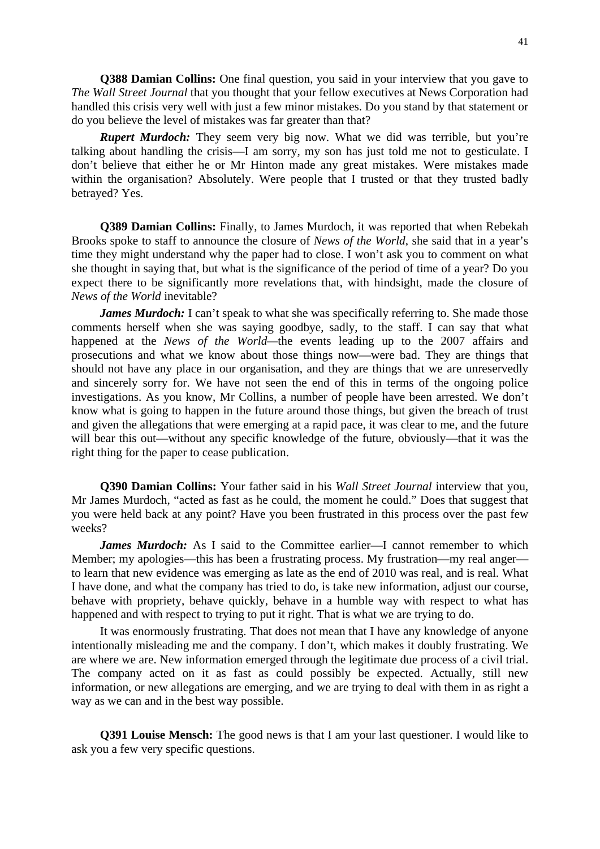**Q388 Damian Collins:** One final question, you said in your interview that you gave to *The Wall Street Journal* that you thought that your fellow executives at News Corporation had handled this crisis very well with just a few minor mistakes. Do you stand by that statement or do you believe the level of mistakes was far greater than that?

**Rupert Murdoch:** They seem very big now. What we did was terrible, but you're talking about handling the crisis—I am sorry, my son has just told me not to gesticulate. I don't believe that either he or Mr Hinton made any great mistakes. Were mistakes made within the organisation? Absolutely. Were people that I trusted or that they trusted badly betrayed? Yes.

**Q389 Damian Collins:** Finally, to James Murdoch, it was reported that when Rebekah Brooks spoke to staff to announce the closure of *News of the World*, she said that in a year's time they might understand why the paper had to close. I won't ask you to comment on what she thought in saying that, but what is the significance of the period of time of a year? Do you expect there to be significantly more revelations that, with hindsight, made the closure of *News of the World* inevitable?

*James Murdoch:* I can't speak to what she was specifically referring to. She made those comments herself when she was saying goodbye, sadly, to the staff. I can say that what happened at the *News of the World—*the events leading up to the 2007 affairs and prosecutions and what we know about those things now—were bad. They are things that should not have any place in our organisation, and they are things that we are unreservedly and sincerely sorry for. We have not seen the end of this in terms of the ongoing police investigations. As you know, Mr Collins, a number of people have been arrested. We don't know what is going to happen in the future around those things, but given the breach of trust and given the allegations that were emerging at a rapid pace, it was clear to me, and the future will bear this out—without any specific knowledge of the future, obviously—that it was the right thing for the paper to cease publication.

**Q390 Damian Collins:** Your father said in his *Wall Street Journal* interview that you, Mr James Murdoch, "acted as fast as he could, the moment he could." Does that suggest that you were held back at any point? Have you been frustrated in this process over the past few weeks?

*James Murdoch:* As I said to the Committee earlier—I cannot remember to which Member; my apologies—this has been a frustrating process. My frustration—my real anger to learn that new evidence was emerging as late as the end of 2010 was real, and is real. What I have done, and what the company has tried to do, is take new information, adjust our course, behave with propriety, behave quickly, behave in a humble way with respect to what has happened and with respect to trying to put it right. That is what we are trying to do.

 It was enormously frustrating. That does not mean that I have any knowledge of anyone intentionally misleading me and the company. I don't, which makes it doubly frustrating. We are where we are. New information emerged through the legitimate due process of a civil trial. The company acted on it as fast as could possibly be expected. Actually, still new information, or new allegations are emerging, and we are trying to deal with them in as right a way as we can and in the best way possible.

**Q391 Louise Mensch:** The good news is that I am your last questioner. I would like to ask you a few very specific questions.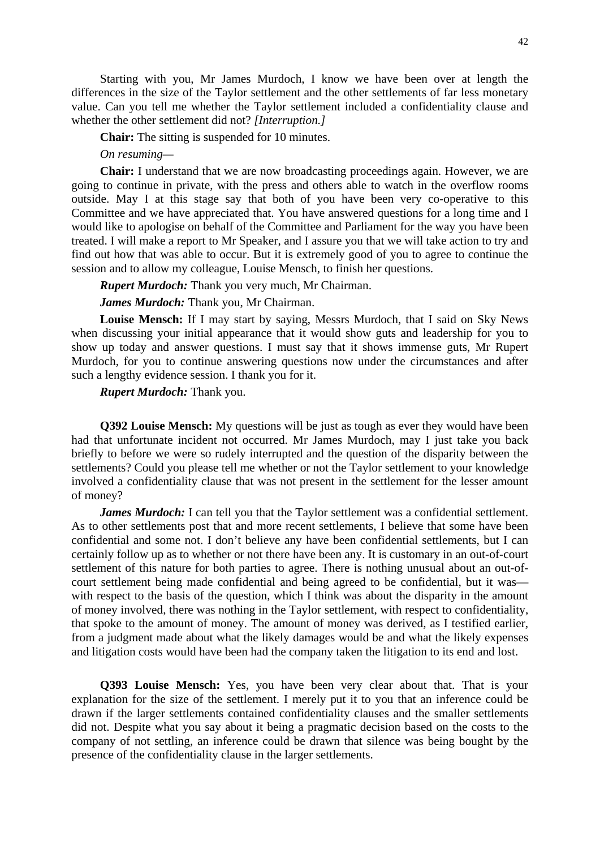Starting with you, Mr James Murdoch, I know we have been over at length the differences in the size of the Taylor settlement and the other settlements of far less monetary value. Can you tell me whether the Taylor settlement included a confidentiality clause and whether the other settlement did not? *[Interruption.]*

**Chair:** The sitting is suspended for 10 minutes.

*On resuming—* 

**Chair:** I understand that we are now broadcasting proceedings again. However, we are going to continue in private, with the press and others able to watch in the overflow rooms outside. May I at this stage say that both of you have been very co-operative to this Committee and we have appreciated that. You have answered questions for a long time and I would like to apologise on behalf of the Committee and Parliament for the way you have been treated. I will make a report to Mr Speaker, and I assure you that we will take action to try and find out how that was able to occur. But it is extremely good of you to agree to continue the session and to allow my colleague, Louise Mensch, to finish her questions.

*Rupert Murdoch:* Thank you very much, Mr Chairman.

*James Murdoch:* Thank you, Mr Chairman.

**Louise Mensch:** If I may start by saying, Messrs Murdoch, that I said on Sky News when discussing your initial appearance that it would show guts and leadership for you to show up today and answer questions. I must say that it shows immense guts, Mr Rupert Murdoch, for you to continue answering questions now under the circumstances and after such a lengthy evidence session. I thank you for it.

*Rupert Murdoch:* Thank you.

**Q392 Louise Mensch:** My questions will be just as tough as ever they would have been had that unfortunate incident not occurred. Mr James Murdoch, may I just take you back briefly to before we were so rudely interrupted and the question of the disparity between the settlements? Could you please tell me whether or not the Taylor settlement to your knowledge involved a confidentiality clause that was not present in the settlement for the lesser amount of money?

*James Murdoch:* I can tell you that the Taylor settlement was a confidential settlement. As to other settlements post that and more recent settlements, I believe that some have been confidential and some not. I don't believe any have been confidential settlements, but I can certainly follow up as to whether or not there have been any. It is customary in an out-of-court settlement of this nature for both parties to agree. There is nothing unusual about an out-ofcourt settlement being made confidential and being agreed to be confidential, but it was with respect to the basis of the question, which I think was about the disparity in the amount of money involved, there was nothing in the Taylor settlement, with respect to confidentiality, that spoke to the amount of money. The amount of money was derived, as I testified earlier, from a judgment made about what the likely damages would be and what the likely expenses and litigation costs would have been had the company taken the litigation to its end and lost.

**Q393 Louise Mensch:** Yes, you have been very clear about that. That is your explanation for the size of the settlement. I merely put it to you that an inference could be drawn if the larger settlements contained confidentiality clauses and the smaller settlements did not. Despite what you say about it being a pragmatic decision based on the costs to the company of not settling, an inference could be drawn that silence was being bought by the presence of the confidentiality clause in the larger settlements.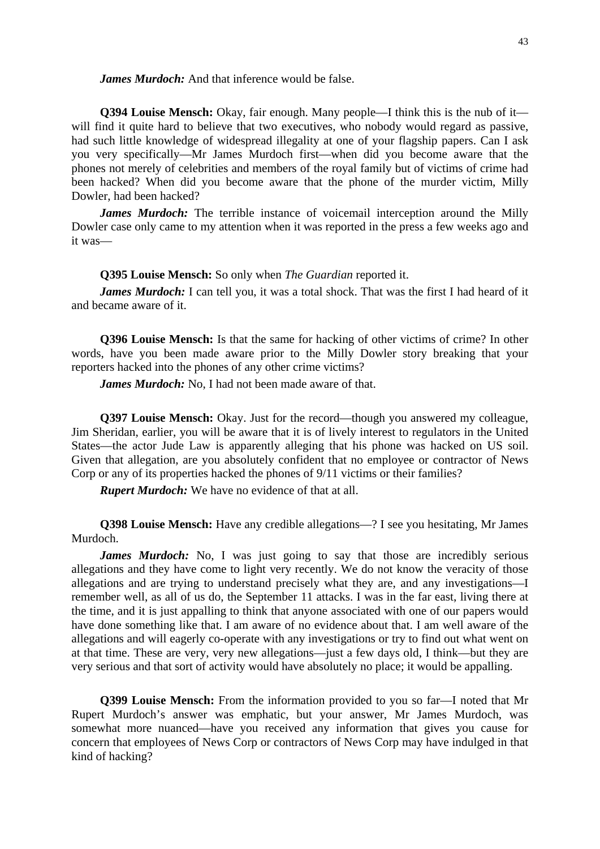*James Murdoch:* And that inference would be false.

**Q394 Louise Mensch:** Okay, fair enough. Many people—I think this is the nub of it will find it quite hard to believe that two executives, who nobody would regard as passive, had such little knowledge of widespread illegality at one of your flagship papers. Can I ask you very specifically—Mr James Murdoch first—when did you become aware that the phones not merely of celebrities and members of the royal family but of victims of crime had been hacked? When did you become aware that the phone of the murder victim, Milly Dowler, had been hacked?

James Murdoch: The terrible instance of voicemail interception around the Milly Dowler case only came to my attention when it was reported in the press a few weeks ago and it was—

#### **Q395 Louise Mensch:** So only when *The Guardian* reported it.

James Murdoch: I can tell you, it was a total shock. That was the first I had heard of it and became aware of it.

**Q396 Louise Mensch:** Is that the same for hacking of other victims of crime? In other words, have you been made aware prior to the Milly Dowler story breaking that your reporters hacked into the phones of any other crime victims?

*James Murdoch:* No. I had not been made aware of that.

**Q397 Louise Mensch:** Okay. Just for the record—though you answered my colleague, Jim Sheridan, earlier, you will be aware that it is of lively interest to regulators in the United States—the actor Jude Law is apparently alleging that his phone was hacked on US soil. Given that allegation, are you absolutely confident that no employee or contractor of News Corp or any of its properties hacked the phones of 9/11 victims or their families?

*Rupert Murdoch:* We have no evidence of that at all.

**Q398 Louise Mensch:** Have any credible allegations—? I see you hesitating, Mr James Murdoch.

*James Murdoch:* No, I was just going to say that those are incredibly serious allegations and they have come to light very recently. We do not know the veracity of those allegations and are trying to understand precisely what they are, and any investigations—I remember well, as all of us do, the September 11 attacks. I was in the far east, living there at the time, and it is just appalling to think that anyone associated with one of our papers would have done something like that. I am aware of no evidence about that. I am well aware of the allegations and will eagerly co-operate with any investigations or try to find out what went on at that time. These are very, very new allegations—just a few days old, I think—but they are very serious and that sort of activity would have absolutely no place; it would be appalling.

**Q399 Louise Mensch:** From the information provided to you so far—I noted that Mr Rupert Murdoch's answer was emphatic, but your answer, Mr James Murdoch, was somewhat more nuanced—have you received any information that gives you cause for concern that employees of News Corp or contractors of News Corp may have indulged in that kind of hacking?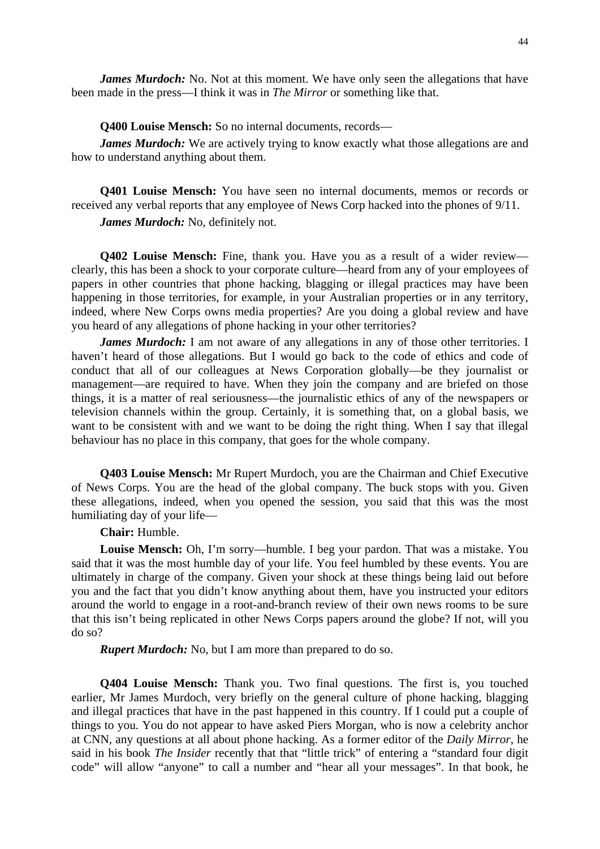*James Murdoch:* No. Not at this moment. We have only seen the allegations that have been made in the press—I think it was in *The Mirror* or something like that.

**Q400 Louise Mensch:** So no internal documents, records—

*James Murdoch:* We are actively trying to know exactly what those allegations are and how to understand anything about them.

**Q401 Louise Mensch:** You have seen no internal documents, memos or records or received any verbal reports that any employee of News Corp hacked into the phones of 9/11. James Murdoch: No, definitely not.

**Q402 Louise Mensch:** Fine, thank you. Have you as a result of a wider review clearly, this has been a shock to your corporate culture—heard from any of your employees of papers in other countries that phone hacking, blagging or illegal practices may have been happening in those territories, for example, in your Australian properties or in any territory, indeed, where New Corps owns media properties? Are you doing a global review and have you heard of any allegations of phone hacking in your other territories?

*James Murdoch:* I am not aware of any allegations in any of those other territories. I haven't heard of those allegations. But I would go back to the code of ethics and code of conduct that all of our colleagues at News Corporation globally—be they journalist or management—are required to have. When they join the company and are briefed on those things, it is a matter of real seriousness—the journalistic ethics of any of the newspapers or television channels within the group. Certainly, it is something that, on a global basis, we want to be consistent with and we want to be doing the right thing. When I say that illegal behaviour has no place in this company, that goes for the whole company.

**Q403 Louise Mensch:** Mr Rupert Murdoch, you are the Chairman and Chief Executive of News Corps. You are the head of the global company. The buck stops with you. Given these allegations, indeed, when you opened the session, you said that this was the most humiliating day of your life—

## **Chair:** Humble.

**Louise Mensch:** Oh, I'm sorry—humble. I beg your pardon. That was a mistake. You said that it was the most humble day of your life. You feel humbled by these events. You are ultimately in charge of the company. Given your shock at these things being laid out before you and the fact that you didn't know anything about them, have you instructed your editors around the world to engage in a root-and-branch review of their own news rooms to be sure that this isn't being replicated in other News Corps papers around the globe? If not, will you do so?

*Rupert Murdoch:* No, but I am more than prepared to do so.

**Q404 Louise Mensch:** Thank you. Two final questions. The first is, you touched earlier, Mr James Murdoch, very briefly on the general culture of phone hacking, blagging and illegal practices that have in the past happened in this country. If I could put a couple of things to you. You do not appear to have asked Piers Morgan, who is now a celebrity anchor at CNN, any questions at all about phone hacking. As a former editor of the *Daily Mirror*, he said in his book *The Insider* recently that that "little trick" of entering a "standard four digit code" will allow "anyone" to call a number and "hear all your messages". In that book, he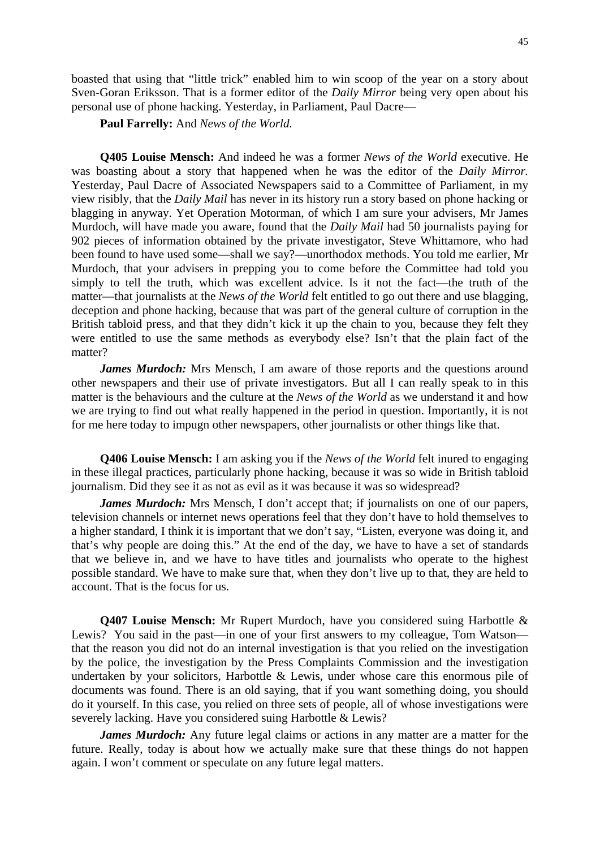boasted that using that "little trick" enabled him to win scoop of the year on a story about Sven-Goran Eriksson. That is a former editor of the *Daily Mirror* being very open about his personal use of phone hacking. Yesterday, in Parliament, Paul Dacre—

**Paul Farrelly:** And *News of the World.*

**Q405 Louise Mensch:** And indeed he was a former *News of the World* executive. He was boasting about a story that happened when he was the editor of the *Daily Mirror.* Yesterday, Paul Dacre of Associated Newspapers said to a Committee of Parliament, in my view risibly, that the *Daily Mail* has never in its history run a story based on phone hacking or blagging in anyway. Yet Operation Motorman, of which I am sure your advisers, Mr James Murdoch, will have made you aware, found that the *Daily Mail* had 50 journalists paying for 902 pieces of information obtained by the private investigator, Steve Whittamore, who had been found to have used some—shall we say?—unorthodox methods. You told me earlier, Mr Murdoch, that your advisers in prepping you to come before the Committee had told you simply to tell the truth, which was excellent advice. Is it not the fact—the truth of the matter—that journalists at the *News of the World* felt entitled to go out there and use blagging, deception and phone hacking, because that was part of the general culture of corruption in the British tabloid press, and that they didn't kick it up the chain to you, because they felt they were entitled to use the same methods as everybody else? Isn't that the plain fact of the matter?

*James Murdoch:* Mrs Mensch, I am aware of those reports and the questions around other newspapers and their use of private investigators. But all I can really speak to in this matter is the behaviours and the culture at the *News of the World* as we understand it and how we are trying to find out what really happened in the period in question. Importantly, it is not for me here today to impugn other newspapers, other journalists or other things like that.

**Q406 Louise Mensch:** I am asking you if the *News of the World* felt inured to engaging in these illegal practices, particularly phone hacking, because it was so wide in British tabloid journalism. Did they see it as not as evil as it was because it was so widespread?

*James Murdoch:* Mrs Mensch, I don't accept that; if journalists on one of our papers, television channels or internet news operations feel that they don't have to hold themselves to a higher standard, I think it is important that we don't say, "Listen, everyone was doing it, and that's why people are doing this." At the end of the day, we have to have a set of standards that we believe in, and we have to have titles and journalists who operate to the highest possible standard. We have to make sure that, when they don't live up to that, they are held to account. That is the focus for us.

**Q407 Louise Mensch:** Mr Rupert Murdoch, have you considered suing Harbottle & Lewis? You said in the past—in one of your first answers to my colleague, Tom Watson that the reason you did not do an internal investigation is that you relied on the investigation by the police, the investigation by the Press Complaints Commission and the investigation undertaken by your solicitors, Harbottle & Lewis, under whose care this enormous pile of documents was found. There is an old saying, that if you want something doing, you should do it yourself. In this case, you relied on three sets of people, all of whose investigations were severely lacking. Have you considered suing Harbottle & Lewis?

*James Murdoch:* Any future legal claims or actions in any matter are a matter for the future. Really, today is about how we actually make sure that these things do not happen again. I won't comment or speculate on any future legal matters.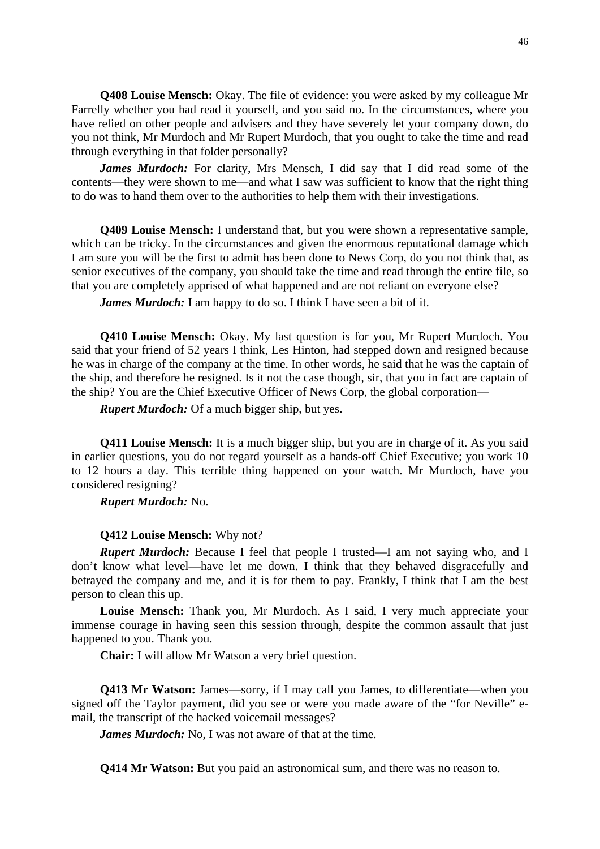**Q408 Louise Mensch:** Okay. The file of evidence: you were asked by my colleague Mr Farrelly whether you had read it yourself, and you said no. In the circumstances, where you have relied on other people and advisers and they have severely let your company down, do you not think, Mr Murdoch and Mr Rupert Murdoch, that you ought to take the time and read through everything in that folder personally?

James Murdoch: For clarity, Mrs Mensch, I did say that I did read some of the contents—they were shown to me—and what I saw was sufficient to know that the right thing to do was to hand them over to the authorities to help them with their investigations.

**Q409 Louise Mensch:** I understand that, but you were shown a representative sample, which can be tricky. In the circumstances and given the enormous reputational damage which I am sure you will be the first to admit has been done to News Corp, do you not think that, as senior executives of the company, you should take the time and read through the entire file, so that you are completely apprised of what happened and are not reliant on everyone else?

*James Murdoch:* I am happy to do so. I think I have seen a bit of it.

**Q410 Louise Mensch:** Okay. My last question is for you, Mr Rupert Murdoch. You said that your friend of 52 years I think, Les Hinton, had stepped down and resigned because he was in charge of the company at the time. In other words, he said that he was the captain of the ship, and therefore he resigned. Is it not the case though, sir, that you in fact are captain of the ship? You are the Chief Executive Officer of News Corp, the global corporation—

*Rupert Murdoch:* Of a much bigger ship, but yes.

**Q411 Louise Mensch:** It is a much bigger ship, but you are in charge of it. As you said in earlier questions, you do not regard yourself as a hands-off Chief Executive; you work 10 to 12 hours a day. This terrible thing happened on your watch. Mr Murdoch, have you considered resigning?

*Rupert Murdoch:* No.

## **Q412 Louise Mensch:** Why not?

*Rupert Murdoch:* Because I feel that people I trusted—I am not saying who, and I don't know what level—have let me down. I think that they behaved disgracefully and betrayed the company and me, and it is for them to pay. Frankly, I think that I am the best person to clean this up.

**Louise Mensch:** Thank you, Mr Murdoch. As I said, I very much appreciate your immense courage in having seen this session through, despite the common assault that just happened to you. Thank you.

**Chair:** I will allow Mr Watson a very brief question.

**Q413 Mr Watson:** James—sorry, if I may call you James, to differentiate—when you signed off the Taylor payment, did you see or were you made aware of the "for Neville" email, the transcript of the hacked voicemail messages?

*James Murdoch:* No, I was not aware of that at the time.

**Q414 Mr Watson:** But you paid an astronomical sum, and there was no reason to.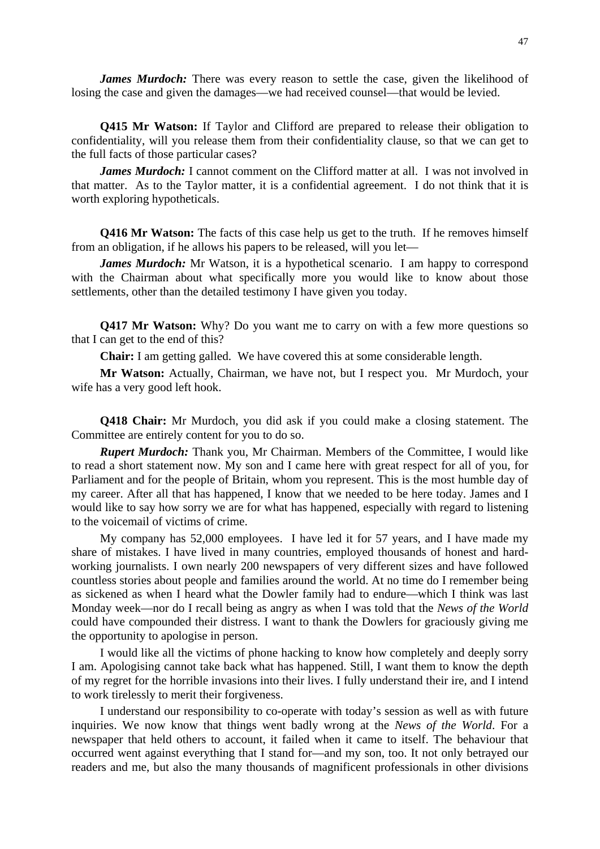*James Murdoch:* There was every reason to settle the case, given the likelihood of losing the case and given the damages—we had received counsel—that would be levied.

**Q415 Mr Watson:** If Taylor and Clifford are prepared to release their obligation to confidentiality, will you release them from their confidentiality clause, so that we can get to the full facts of those particular cases?

*James Murdoch:* I cannot comment on the Clifford matter at all. I was not involved in that matter. As to the Taylor matter, it is a confidential agreement. I do not think that it is worth exploring hypotheticals.

**Q416 Mr Watson:** The facts of this case help us get to the truth. If he removes himself from an obligation, if he allows his papers to be released, will you let—

*James Murdoch:* Mr Watson, it is a hypothetical scenario. I am happy to correspond with the Chairman about what specifically more you would like to know about those settlements, other than the detailed testimony I have given you today.

**Q417 Mr Watson:** Why? Do you want me to carry on with a few more questions so that I can get to the end of this?

**Chair:** I am getting galled. We have covered this at some considerable length.

**Mr Watson:** Actually, Chairman, we have not, but I respect you. Mr Murdoch, your wife has a very good left hook.

**Q418 Chair:** Mr Murdoch, you did ask if you could make a closing statement. The Committee are entirely content for you to do so.

*Rupert Murdoch:* Thank you, Mr Chairman. Members of the Committee, I would like to read a short statement now. My son and I came here with great respect for all of you, for Parliament and for the people of Britain, whom you represent. This is the most humble day of my career. After all that has happened, I know that we needed to be here today. James and I would like to say how sorry we are for what has happened, especially with regard to listening to the voicemail of victims of crime.

 My company has 52,000 employees. I have led it for 57 years, and I have made my share of mistakes. I have lived in many countries, employed thousands of honest and hardworking journalists. I own nearly 200 newspapers of very different sizes and have followed countless stories about people and families around the world. At no time do I remember being as sickened as when I heard what the Dowler family had to endure—which I think was last Monday week—nor do I recall being as angry as when I was told that the *News of the World*  could have compounded their distress. I want to thank the Dowlers for graciously giving me the opportunity to apologise in person.

 I would like all the victims of phone hacking to know how completely and deeply sorry I am. Apologising cannot take back what has happened. Still, I want them to know the depth of my regret for the horrible invasions into their lives. I fully understand their ire, and I intend to work tirelessly to merit their forgiveness.

 I understand our responsibility to co-operate with today's session as well as with future inquiries. We now know that things went badly wrong at the *News of the World*. For a newspaper that held others to account, it failed when it came to itself. The behaviour that occurred went against everything that I stand for—and my son, too. It not only betrayed our readers and me, but also the many thousands of magnificent professionals in other divisions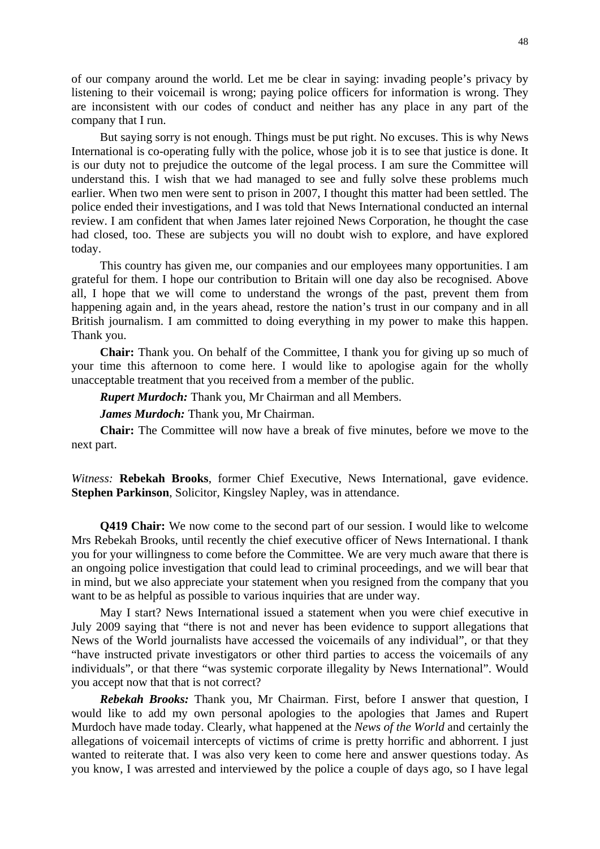of our company around the world. Let me be clear in saying: invading people's privacy by listening to their voicemail is wrong; paying police officers for information is wrong. They are inconsistent with our codes of conduct and neither has any place in any part of the company that I run.

 But saying sorry is not enough. Things must be put right. No excuses. This is why News International is co-operating fully with the police, whose job it is to see that justice is done. It is our duty not to prejudice the outcome of the legal process. I am sure the Committee will understand this. I wish that we had managed to see and fully solve these problems much earlier. When two men were sent to prison in 2007, I thought this matter had been settled. The police ended their investigations, and I was told that News International conducted an internal review. I am confident that when James later rejoined News Corporation, he thought the case had closed, too. These are subjects you will no doubt wish to explore, and have explored today.

 This country has given me, our companies and our employees many opportunities. I am grateful for them. I hope our contribution to Britain will one day also be recognised. Above all, I hope that we will come to understand the wrongs of the past, prevent them from happening again and, in the years ahead, restore the nation's trust in our company and in all British journalism. I am committed to doing everything in my power to make this happen. Thank you.

**Chair:** Thank you. On behalf of the Committee, I thank you for giving up so much of your time this afternoon to come here. I would like to apologise again for the wholly unacceptable treatment that you received from a member of the public.

*Rupert Murdoch:* Thank you, Mr Chairman and all Members.

*James Murdoch:* Thank you, Mr Chairman.

 **Chair:** The Committee will now have a break of five minutes, before we move to the next part.

*Witness:* **Rebekah Brooks**, former Chief Executive, News International, gave evidence. **Stephen Parkinson**, Solicitor, Kingsley Napley, was in attendance.

**Q419 Chair:** We now come to the second part of our session. I would like to welcome Mrs Rebekah Brooks, until recently the chief executive officer of News International. I thank you for your willingness to come before the Committee. We are very much aware that there is an ongoing police investigation that could lead to criminal proceedings, and we will bear that in mind, but we also appreciate your statement when you resigned from the company that you want to be as helpful as possible to various inquiries that are under way.

 May I start? News International issued a statement when you were chief executive in July 2009 saying that "there is not and never has been evidence to support allegations that News of the World journalists have accessed the voicemails of any individual", or that they "have instructed private investigators or other third parties to access the voicemails of any individuals", or that there "was systemic corporate illegality by News International". Would you accept now that that is not correct?

*Rebekah Brooks:* Thank you, Mr Chairman. First, before I answer that question, I would like to add my own personal apologies to the apologies that James and Rupert Murdoch have made today. Clearly, what happened at the *News of the World* and certainly the allegations of voicemail intercepts of victims of crime is pretty horrific and abhorrent. I just wanted to reiterate that. I was also very keen to come here and answer questions today. As you know, I was arrested and interviewed by the police a couple of days ago, so I have legal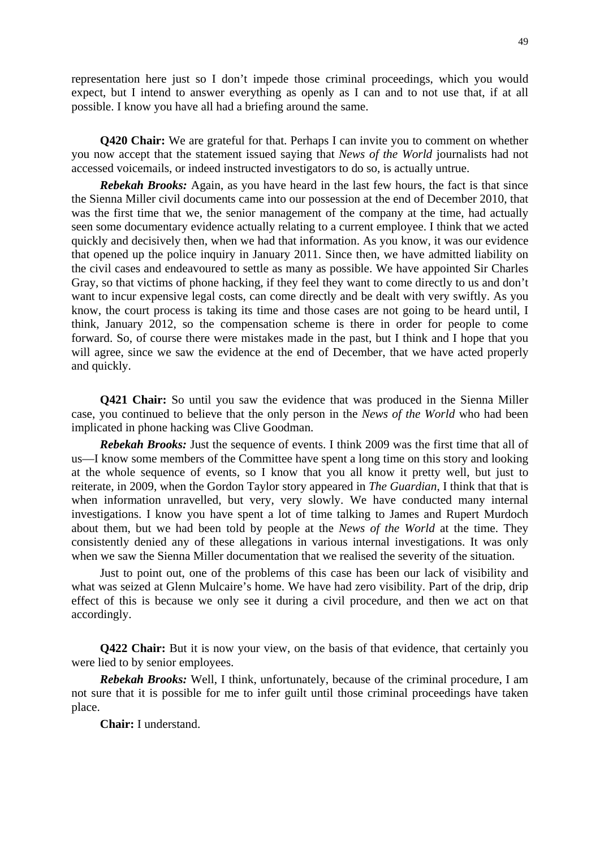representation here just so I don't impede those criminal proceedings, which you would expect, but I intend to answer everything as openly as I can and to not use that, if at all possible. I know you have all had a briefing around the same.

**Q420 Chair:** We are grateful for that. Perhaps I can invite you to comment on whether you now accept that the statement issued saying that *News of the World* journalists had not accessed voicemails, or indeed instructed investigators to do so, is actually untrue.

*Rebekah Brooks:* Again, as you have heard in the last few hours, the fact is that since the Sienna Miller civil documents came into our possession at the end of December 2010, that was the first time that we, the senior management of the company at the time, had actually seen some documentary evidence actually relating to a current employee. I think that we acted quickly and decisively then, when we had that information. As you know, it was our evidence that opened up the police inquiry in January 2011. Since then, we have admitted liability on the civil cases and endeavoured to settle as many as possible. We have appointed Sir Charles Gray, so that victims of phone hacking, if they feel they want to come directly to us and don't want to incur expensive legal costs, can come directly and be dealt with very swiftly. As you know, the court process is taking its time and those cases are not going to be heard until, I think, January 2012, so the compensation scheme is there in order for people to come forward. So, of course there were mistakes made in the past, but I think and I hope that you will agree, since we saw the evidence at the end of December, that we have acted properly and quickly.

**Q421 Chair:** So until you saw the evidence that was produced in the Sienna Miller case, you continued to believe that the only person in the *News of the World* who had been implicated in phone hacking was Clive Goodman.

*Rebekah Brooks:* Just the sequence of events. I think 2009 was the first time that all of us—I know some members of the Committee have spent a long time on this story and looking at the whole sequence of events, so I know that you all know it pretty well, but just to reiterate, in 2009, when the Gordon Taylor story appeared in *The Guardian*, I think that that is when information unravelled, but very, very slowly. We have conducted many internal investigations. I know you have spent a lot of time talking to James and Rupert Murdoch about them, but we had been told by people at the *News of the World* at the time. They consistently denied any of these allegations in various internal investigations. It was only when we saw the Sienna Miller documentation that we realised the severity of the situation.

 Just to point out, one of the problems of this case has been our lack of visibility and what was seized at Glenn Mulcaire's home. We have had zero visibility. Part of the drip, drip effect of this is because we only see it during a civil procedure, and then we act on that accordingly.

**Q422 Chair:** But it is now your view, on the basis of that evidence, that certainly you were lied to by senior employees.

*Rebekah Brooks:* Well, I think, unfortunately, because of the criminal procedure, I am not sure that it is possible for me to infer guilt until those criminal proceedings have taken place.

**Chair:** I understand.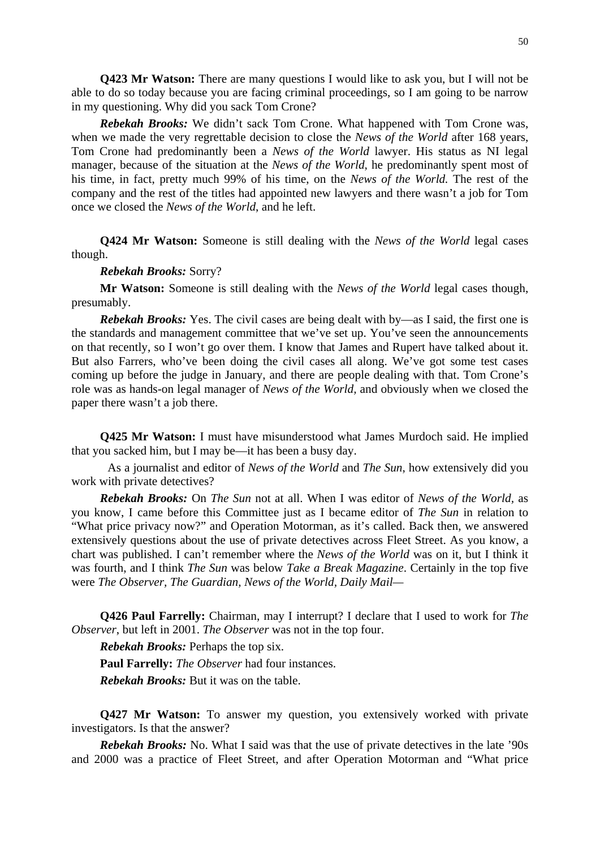**Q423 Mr Watson:** There are many questions I would like to ask you, but I will not be able to do so today because you are facing criminal proceedings, so I am going to be narrow in my questioning. Why did you sack Tom Crone?

*Rebekah Brooks:* We didn't sack Tom Crone. What happened with Tom Crone was, when we made the very regrettable decision to close the *News of the World* after 168 years, Tom Crone had predominantly been a *News of the World* lawyer. His status as NI legal manager, because of the situation at the *News of the World*, he predominantly spent most of his time, in fact, pretty much 99% of his time, on the *News of the World.* The rest of the company and the rest of the titles had appointed new lawyers and there wasn't a job for Tom once we closed the *News of the World*, and he left.

**Q424 Mr Watson:** Someone is still dealing with the *News of the World* legal cases though.

## *Rebekah Brooks:* Sorry?

**Mr Watson:** Someone is still dealing with the *News of the World* legal cases though, presumably.

*Rebekah Brooks:* Yes. The civil cases are being dealt with by—as I said, the first one is the standards and management committee that we've set up. You've seen the announcements on that recently, so I won't go over them. I know that James and Rupert have talked about it. But also Farrers, who've been doing the civil cases all along. We've got some test cases coming up before the judge in January, and there are people dealing with that. Tom Crone's role was as hands-on legal manager of *News of the World,* and obviously when we closed the paper there wasn't a job there.

**Q425 Mr Watson:** I must have misunderstood what James Murdoch said. He implied that you sacked him, but I may be—it has been a busy day.

 As a journalist and editor of *News of the World* and *The Sun*, how extensively did you work with private detectives?

*Rebekah Brooks:* On *The Sun* not at all. When I was editor of *News of the World,* as you know, I came before this Committee just as I became editor of *The Sun* in relation to "What price privacy now?" and Operation Motorman, as it's called. Back then, we answered extensively questions about the use of private detectives across Fleet Street. As you know, a chart was published. I can't remember where the *News of the World* was on it, but I think it was fourth, and I think *The Sun* was below *Take a Break Magazine*. Certainly in the top five were *The Observer, The Guardian, News of the World, Daily Mail—*

**Q426 Paul Farrelly:** Chairman, may I interrupt? I declare that I used to work for *The Observer*, but left in 2001. *The Observer* was not in the top four.

*Rebekah Brooks:* Perhaps the top six.

**Paul Farrelly:** *The Observer* had four instances.

*Rebekah Brooks:* But it was on the table.

**Q427 Mr Watson:** To answer my question, you extensively worked with private investigators. Is that the answer?

*Rebekah Brooks:* No. What I said was that the use of private detectives in the late '90s and 2000 was a practice of Fleet Street, and after Operation Motorman and "What price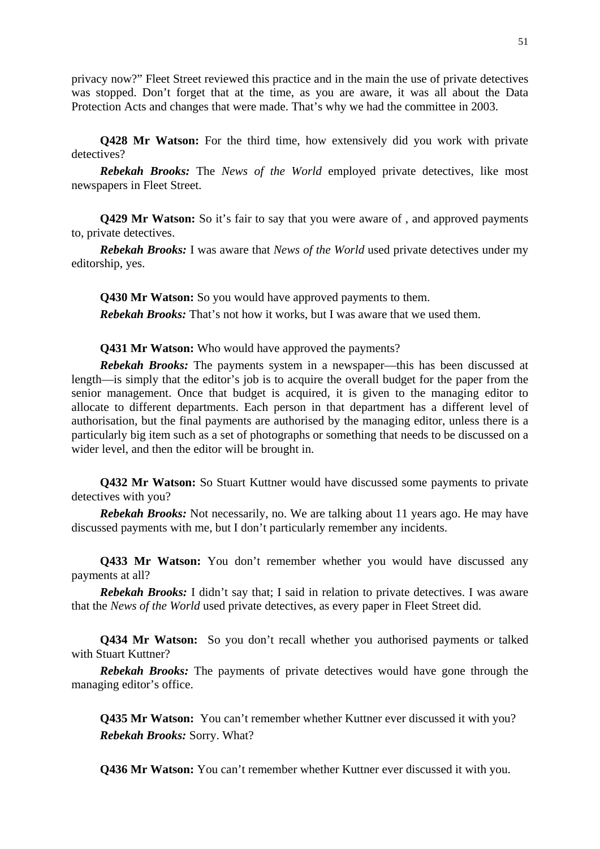privacy now?" Fleet Street reviewed this practice and in the main the use of private detectives was stopped. Don't forget that at the time, as you are aware, it was all about the Data Protection Acts and changes that were made. That's why we had the committee in 2003.

**Q428 Mr Watson:** For the third time, how extensively did you work with private detectives?

*Rebekah Brooks:* The *News of the World* employed private detectives, like most newspapers in Fleet Street.

**Q429 Mr Watson:** So it's fair to say that you were aware of , and approved payments to, private detectives.

*Rebekah Brooks:* I was aware that *News of the World* used private detectives under my editorship, yes.

**Q430 Mr Watson:** So you would have approved payments to them. *Rebekah Brooks:* That's not how it works, but I was aware that we used them.

 **Q431 Mr Watson:** Who would have approved the payments?

*Rebekah Brooks:* The payments system in a newspaper—this has been discussed at length—is simply that the editor's job is to acquire the overall budget for the paper from the senior management. Once that budget is acquired, it is given to the managing editor to allocate to different departments. Each person in that department has a different level of authorisation, but the final payments are authorised by the managing editor, unless there is a particularly big item such as a set of photographs or something that needs to be discussed on a wider level, and then the editor will be brought in.

**Q432 Mr Watson:** So Stuart Kuttner would have discussed some payments to private detectives with you?

*Rebekah Brooks:* Not necessarily, no. We are talking about 11 years ago. He may have discussed payments with me, but I don't particularly remember any incidents.

**Q433 Mr Watson:** You don't remember whether you would have discussed any payments at all?

*Rebekah Brooks:* I didn't say that; I said in relation to private detectives. I was aware that the *News of the World* used private detectives, as every paper in Fleet Street did.

**Q434 Mr Watson:** So you don't recall whether you authorised payments or talked with Stuart Kuttner?

*Rebekah Brooks:* The payments of private detectives would have gone through the managing editor's office.

**Q435 Mr Watson:** You can't remember whether Kuttner ever discussed it with you? *Rebekah Brooks:* Sorry. What?

**Q436 Mr Watson:** You can't remember whether Kuttner ever discussed it with you.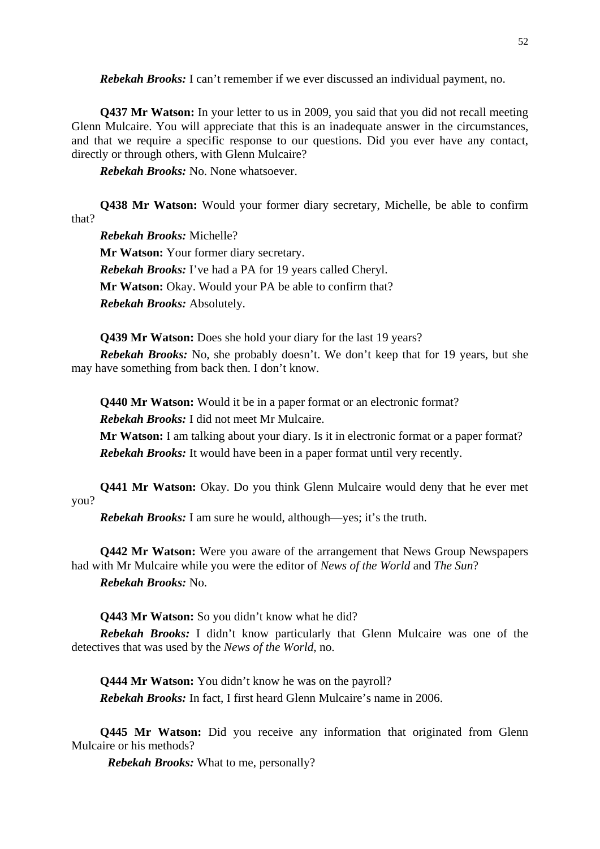*Rebekah Brooks:* I can't remember if we ever discussed an individual payment, no.

**Q437 Mr Watson:** In your letter to us in 2009, you said that you did not recall meeting Glenn Mulcaire. You will appreciate that this is an inadequate answer in the circumstances, and that we require a specific response to our questions. Did you ever have any contact, directly or through others, with Glenn Mulcaire?

*Rebekah Brooks:* No. None whatsoever.

**Q438 Mr Watson:** Would your former diary secretary, Michelle, be able to confirm that?

*Rebekah Brooks:* Michelle? **Mr Watson:** Your former diary secretary. *Rebekah Brooks:* I've had a PA for 19 years called Cheryl. **Mr Watson:** Okay. Would your PA be able to confirm that? *Rebekah Brooks:* Absolutely.

**Q439 Mr Watson:** Does she hold your diary for the last 19 years?

*Rebekah Brooks:* No, she probably doesn't. We don't keep that for 19 years, but she may have something from back then. I don't know.

**Q440 Mr Watson:** Would it be in a paper format or an electronic format?

*Rebekah Brooks:* I did not meet Mr Mulcaire.

**Mr Watson:** I am talking about your diary. Is it in electronic format or a paper format? *Rebekah Brooks:* It would have been in a paper format until very recently.

**Q441 Mr Watson:** Okay. Do you think Glenn Mulcaire would deny that he ever met you?

*Rebekah Brooks:* I am sure he would, although—yes; it's the truth.

**Q442 Mr Watson:** Were you aware of the arrangement that News Group Newspapers had with Mr Mulcaire while you were the editor of *News of the World* and *The Sun*?

*Rebekah Brooks:* No.

**Q443 Mr Watson:** So you didn't know what he did?

*Rebekah Brooks:* I didn't know particularly that Glenn Mulcaire was one of the detectives that was used by the *News of the World*, no.

**Q444 Mr Watson:** You didn't know he was on the payroll? *Rebekah Brooks:* In fact, I first heard Glenn Mulcaire's name in 2006.

**Q445 Mr Watson:** Did you receive any information that originated from Glenn Mulcaire or his methods?

*Rebekah Brooks:* What to me, personally?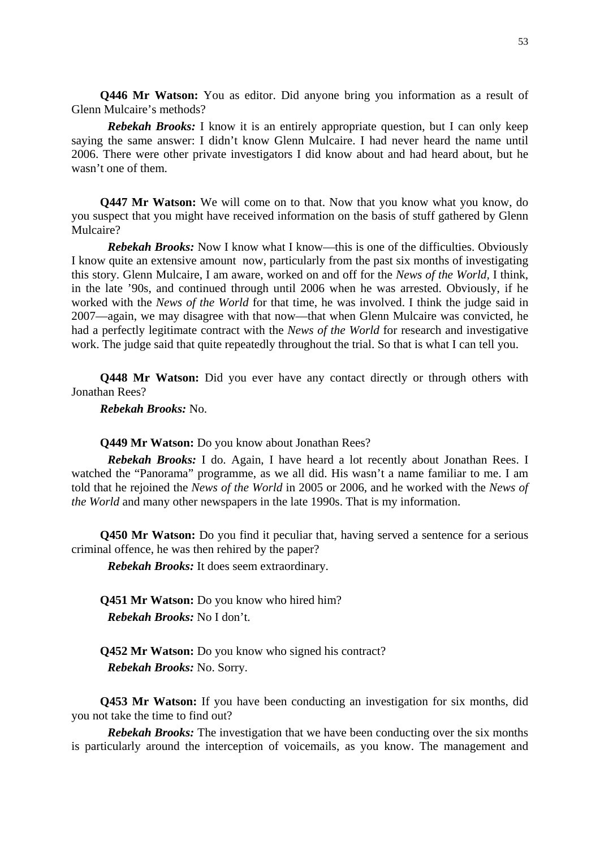**Q446 Mr Watson:** You as editor. Did anyone bring you information as a result of Glenn Mulcaire's methods?

 *Rebekah Brooks:* I know it is an entirely appropriate question, but I can only keep saying the same answer: I didn't know Glenn Mulcaire. I had never heard the name until 2006. There were other private investigators I did know about and had heard about, but he wasn't one of them.

**Q447 Mr Watson:** We will come on to that. Now that you know what you know, do you suspect that you might have received information on the basis of stuff gathered by Glenn Mulcaire?

 *Rebekah Brooks:* Now I know what I know—this is one of the difficulties. Obviously I know quite an extensive amount now, particularly from the past six months of investigating this story. Glenn Mulcaire, I am aware, worked on and off for the *News of the World,* I think, in the late '90s, and continued through until 2006 when he was arrested. Obviously, if he worked with the *News of the World* for that time, he was involved. I think the judge said in 2007—again, we may disagree with that now—that when Glenn Mulcaire was convicted, he had a perfectly legitimate contract with the *News of the World* for research and investigative work. The judge said that quite repeatedly throughout the trial. So that is what I can tell you.

**Q448 Mr Watson:** Did you ever have any contact directly or through others with Jonathan Rees?

*Rebekah Brooks:* No.

**Q449 Mr Watson:** Do you know about Jonathan Rees?

 *Rebekah Brooks:* I do. Again, I have heard a lot recently about Jonathan Rees. I watched the "Panorama" programme, as we all did. His wasn't a name familiar to me. I am told that he rejoined the *News of the World* in 2005 or 2006, and he worked with the *News of the World* and many other newspapers in the late 1990s. That is my information.

**Q450 Mr Watson:** Do you find it peculiar that, having served a sentence for a serious criminal offence, he was then rehired by the paper?

*Rebekah Brooks:* It does seem extraordinary.

**Q451 Mr Watson:** Do you know who hired him? *Rebekah Brooks:* No I don't.

**Q452 Mr Watson:** Do you know who signed his contract? *Rebekah Brooks:* No. Sorry.

**Q453 Mr Watson:** If you have been conducting an investigation for six months, did you not take the time to find out?

 *Rebekah Brooks:* The investigation that we have been conducting over the six months is particularly around the interception of voicemails, as you know. The management and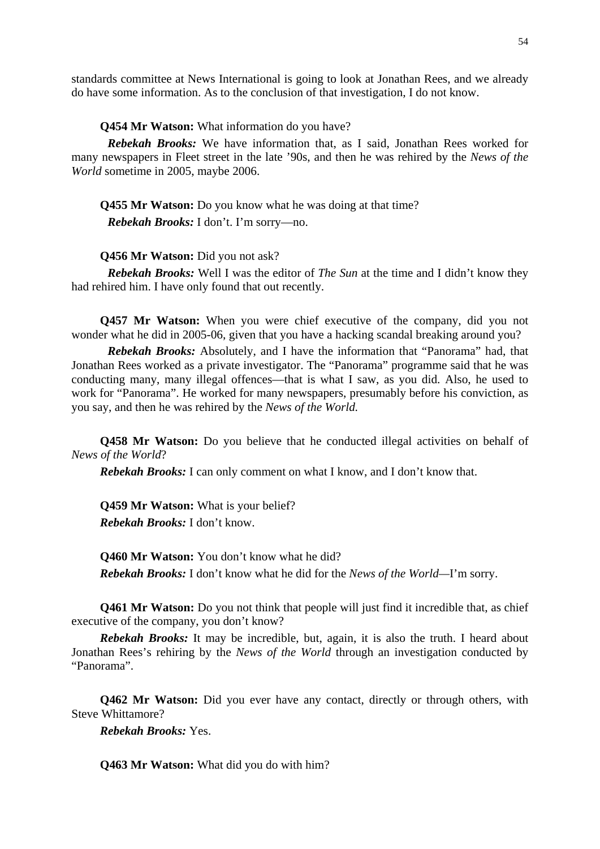standards committee at News International is going to look at Jonathan Rees, and we already do have some information. As to the conclusion of that investigation, I do not know.

#### **Q454 Mr Watson:** What information do you have?

 *Rebekah Brooks:* We have information that, as I said, Jonathan Rees worked for many newspapers in Fleet street in the late '90s, and then he was rehired by the *News of the World* sometime in 2005, maybe 2006.

**Q455 Mr Watson:** Do you know what he was doing at that time? *Rebekah Brooks:* I don't. I'm sorry—no.

**Q456 Mr Watson:** Did you not ask?

 *Rebekah Brooks:* Well I was the editor of *The Sun* at the time and I didn't know they had rehired him. I have only found that out recently.

**Q457 Mr Watson:** When you were chief executive of the company, did you not wonder what he did in 2005-06, given that you have a hacking scandal breaking around you?

 *Rebekah Brooks:* Absolutely, and I have the information that "Panorama" had, that Jonathan Rees worked as a private investigator. The "Panorama" programme said that he was conducting many, many illegal offences—that is what I saw, as you did. Also, he used to work for "Panorama". He worked for many newspapers, presumably before his conviction, as you say, and then he was rehired by the *News of the World.*

**Q458 Mr Watson:** Do you believe that he conducted illegal activities on behalf of *News of the World*?

*Rebekah Brooks:* I can only comment on what I know, and I don't know that.

**Q459 Mr Watson:** What is your belief? *Rebekah Brooks:* I don't know.

**Q460 Mr Watson:** You don't know what he did? *Rebekah Brooks:* I don't know what he did for the *News of the World—*I'm sorry.

**Q461 Mr Watson:** Do you not think that people will just find it incredible that, as chief executive of the company, you don't know?

*Rebekah Brooks:* It may be incredible, but, again, it is also the truth. I heard about Jonathan Rees's rehiring by the *News of the World* through an investigation conducted by "Panorama".

**Q462 Mr Watson:** Did you ever have any contact, directly or through others, with Steve Whittamore?

*Rebekah Brooks:* Yes.

**Q463 Mr Watson:** What did you do with him?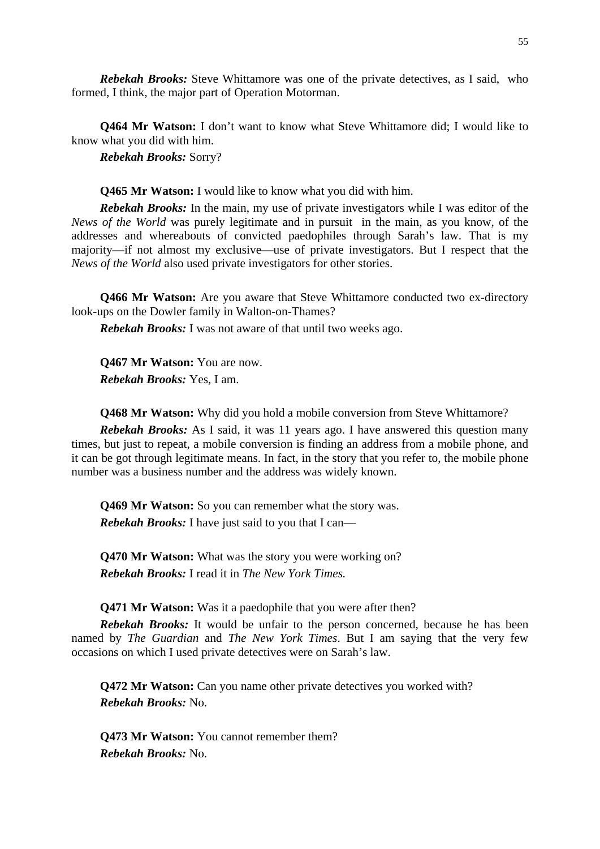*Rebekah Brooks:* Steve Whittamore was one of the private detectives, as I said, who formed, I think, the major part of Operation Motorman.

**Q464 Mr Watson:** I don't want to know what Steve Whittamore did; I would like to know what you did with him.

*Rebekah Brooks:* Sorry?

**Q465 Mr Watson:** I would like to know what you did with him.

*Rebekah Brooks:* In the main, my use of private investigators while I was editor of the *News of the World* was purely legitimate and in pursuit in the main, as you know, of the addresses and whereabouts of convicted paedophiles through Sarah's law. That is my majority—if not almost my exclusive—use of private investigators. But I respect that the *News of the World* also used private investigators for other stories.

**Q466 Mr Watson:** Are you aware that Steve Whittamore conducted two ex-directory look-ups on the Dowler family in Walton-on-Thames?

*Rebekah Brooks:* I was not aware of that until two weeks ago.

**Q467 Mr Watson:** You are now. *Rebekah Brooks:* Yes, I am.

**Q468 Mr Watson:** Why did you hold a mobile conversion from Steve Whittamore?

*Rebekah Brooks:* As I said, it was 11 years ago. I have answered this question many times, but just to repeat, a mobile conversion is finding an address from a mobile phone, and it can be got through legitimate means. In fact, in the story that you refer to, the mobile phone number was a business number and the address was widely known.

**Q469 Mr Watson:** So you can remember what the story was. *Rebekah Brooks:* I have just said to you that I can—

**Q470 Mr Watson:** What was the story you were working on? *Rebekah Brooks:* I read it in *The New York Times.* 

**Q471 Mr Watson:** Was it a paedophile that you were after then?

*Rebekah Brooks:* It would be unfair to the person concerned, because he has been named by *The Guardian* and *The New York Times*. But I am saying that the very few occasions on which I used private detectives were on Sarah's law.

**Q472 Mr Watson:** Can you name other private detectives you worked with? *Rebekah Brooks:* No.

**Q473 Mr Watson:** You cannot remember them? *Rebekah Brooks:* No.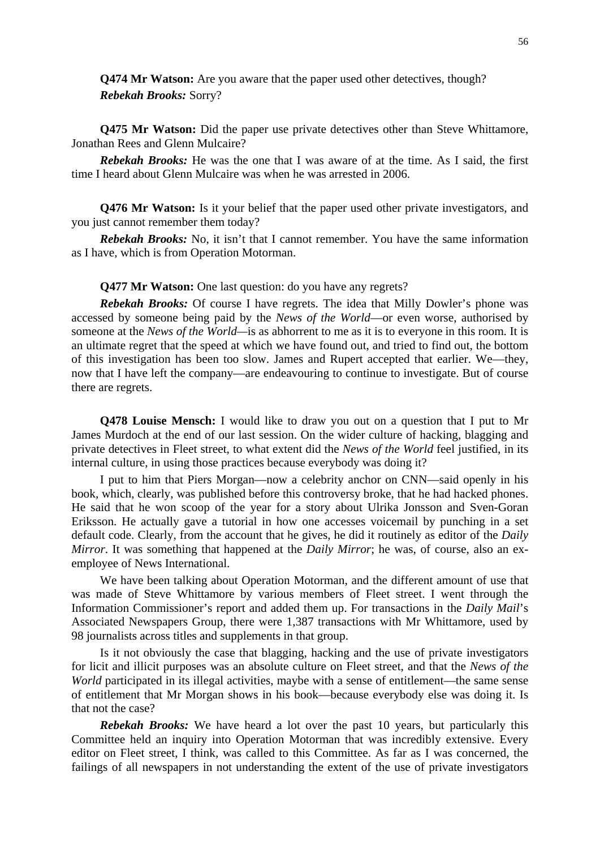**Q474 Mr Watson:** Are you aware that the paper used other detectives, though? *Rebekah Brooks:* Sorry?

**Q475 Mr Watson:** Did the paper use private detectives other than Steve Whittamore, Jonathan Rees and Glenn Mulcaire?

*Rebekah Brooks:* He was the one that I was aware of at the time. As I said, the first time I heard about Glenn Mulcaire was when he was arrested in 2006.

**Q476 Mr Watson:** Is it your belief that the paper used other private investigators, and you just cannot remember them today?

*Rebekah Brooks:* No, it isn't that I cannot remember. You have the same information as I have, which is from Operation Motorman.

#### **Q477 Mr Watson:** One last question: do you have any regrets?

*Rebekah Brooks:* Of course I have regrets. The idea that Milly Dowler's phone was accessed by someone being paid by the *News of the World*—or even worse, authorised by someone at the *News of the World—*is as abhorrent to me as it is to everyone in this room. It is an ultimate regret that the speed at which we have found out, and tried to find out, the bottom of this investigation has been too slow. James and Rupert accepted that earlier. We—they, now that I have left the company—are endeavouring to continue to investigate. But of course there are regrets.

**Q478 Louise Mensch:** I would like to draw you out on a question that I put to Mr James Murdoch at the end of our last session. On the wider culture of hacking, blagging and private detectives in Fleet street, to what extent did the *News of the World* feel justified, in its internal culture, in using those practices because everybody was doing it?

 I put to him that Piers Morgan—now a celebrity anchor on CNN—said openly in his book, which, clearly, was published before this controversy broke, that he had hacked phones. He said that he won scoop of the year for a story about Ulrika Jonsson and Sven-Goran Eriksson. He actually gave a tutorial in how one accesses voicemail by punching in a set default code. Clearly, from the account that he gives, he did it routinely as editor of the *Daily Mirror*. It was something that happened at the *Daily Mirror*; he was, of course, also an exemployee of News International.

 We have been talking about Operation Motorman, and the different amount of use that was made of Steve Whittamore by various members of Fleet street. I went through the Information Commissioner's report and added them up. For transactions in the *Daily Mail*'s Associated Newspapers Group, there were 1,387 transactions with Mr Whittamore, used by 98 journalists across titles and supplements in that group.

 Is it not obviously the case that blagging, hacking and the use of private investigators for licit and illicit purposes was an absolute culture on Fleet street, and that the *News of the World* participated in its illegal activities, maybe with a sense of entitlement—the same sense of entitlement that Mr Morgan shows in his book—because everybody else was doing it. Is that not the case?

*Rebekah Brooks:* We have heard a lot over the past 10 years, but particularly this Committee held an inquiry into Operation Motorman that was incredibly extensive. Every editor on Fleet street, I think, was called to this Committee. As far as I was concerned, the failings of all newspapers in not understanding the extent of the use of private investigators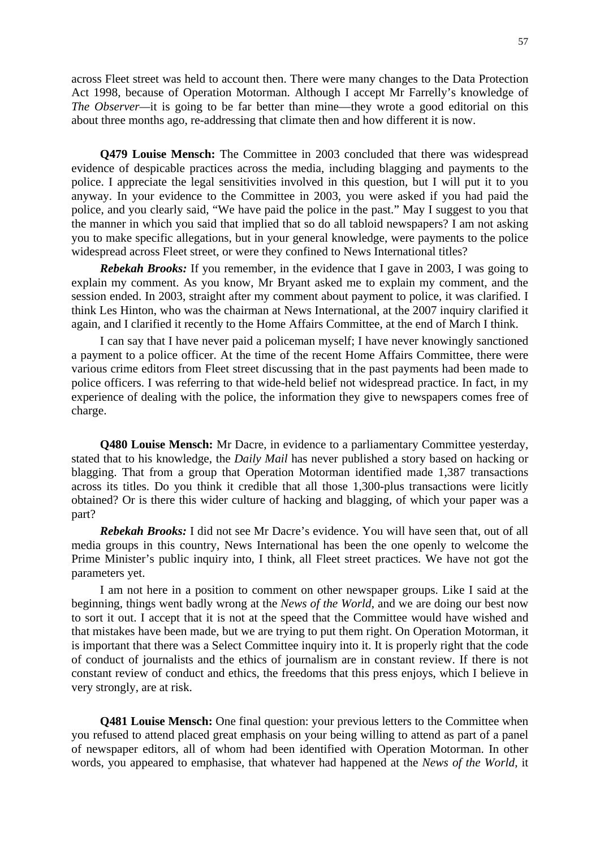across Fleet street was held to account then. There were many changes to the Data Protection Act 1998, because of Operation Motorman. Although I accept Mr Farrelly's knowledge of *The Observer—*it is going to be far better than mine—they wrote a good editorial on this about three months ago, re-addressing that climate then and how different it is now.

**Q479 Louise Mensch:** The Committee in 2003 concluded that there was widespread evidence of despicable practices across the media, including blagging and payments to the police. I appreciate the legal sensitivities involved in this question, but I will put it to you anyway. In your evidence to the Committee in 2003, you were asked if you had paid the police, and you clearly said, "We have paid the police in the past." May I suggest to you that the manner in which you said that implied that so do all tabloid newspapers? I am not asking you to make specific allegations, but in your general knowledge, were payments to the police widespread across Fleet street, or were they confined to News International titles?

*Rebekah Brooks:* If you remember, in the evidence that I gave in 2003, I was going to explain my comment. As you know, Mr Bryant asked me to explain my comment, and the session ended. In 2003, straight after my comment about payment to police, it was clarified. I think Les Hinton, who was the chairman at News International, at the 2007 inquiry clarified it again, and I clarified it recently to the Home Affairs Committee, at the end of March I think.

 I can say that I have never paid a policeman myself; I have never knowingly sanctioned a payment to a police officer. At the time of the recent Home Affairs Committee, there were various crime editors from Fleet street discussing that in the past payments had been made to police officers. I was referring to that wide-held belief not widespread practice. In fact, in my experience of dealing with the police, the information they give to newspapers comes free of charge.

**Q480 Louise Mensch:** Mr Dacre, in evidence to a parliamentary Committee yesterday, stated that to his knowledge, the *Daily Mail* has never published a story based on hacking or blagging. That from a group that Operation Motorman identified made 1,387 transactions across its titles. Do you think it credible that all those 1,300-plus transactions were licitly obtained? Or is there this wider culture of hacking and blagging, of which your paper was a part?

*Rebekah Brooks:* I did not see Mr Dacre's evidence. You will have seen that, out of all media groups in this country, News International has been the one openly to welcome the Prime Minister's public inquiry into, I think, all Fleet street practices. We have not got the parameters yet.

 I am not here in a position to comment on other newspaper groups. Like I said at the beginning, things went badly wrong at the *News of the World*, and we are doing our best now to sort it out. I accept that it is not at the speed that the Committee would have wished and that mistakes have been made, but we are trying to put them right. On Operation Motorman, it is important that there was a Select Committee inquiry into it. It is properly right that the code of conduct of journalists and the ethics of journalism are in constant review. If there is not constant review of conduct and ethics, the freedoms that this press enjoys, which I believe in very strongly, are at risk.

**Q481 Louise Mensch:** One final question: your previous letters to the Committee when you refused to attend placed great emphasis on your being willing to attend as part of a panel of newspaper editors, all of whom had been identified with Operation Motorman. In other words, you appeared to emphasise, that whatever had happened at the *News of the World*, it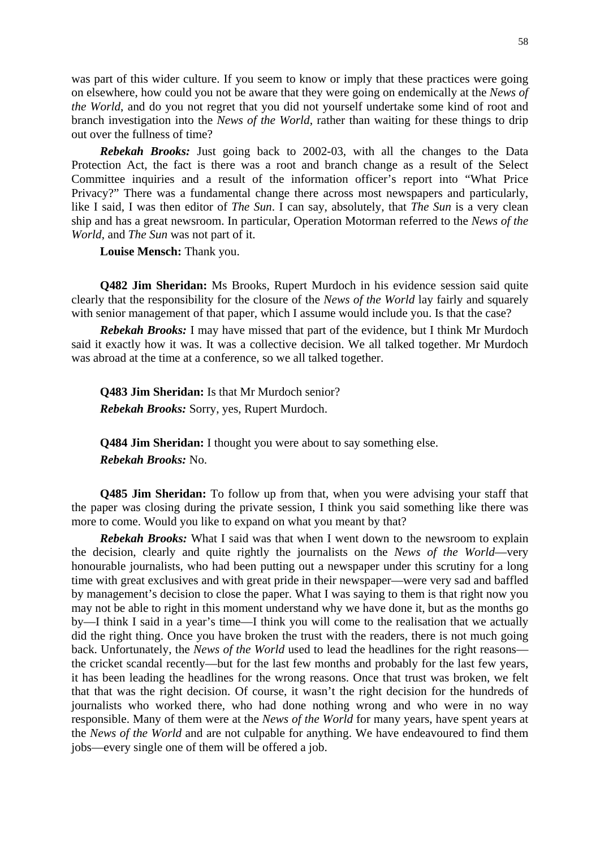was part of this wider culture. If you seem to know or imply that these practices were going on elsewhere, how could you not be aware that they were going on endemically at the *News of the World*, and do you not regret that you did not yourself undertake some kind of root and branch investigation into the *News of the World*, rather than waiting for these things to drip out over the fullness of time?

*Rebekah Brooks:* Just going back to 2002-03, with all the changes to the Data Protection Act, the fact is there was a root and branch change as a result of the Select Committee inquiries and a result of the information officer's report into "What Price Privacy?" There was a fundamental change there across most newspapers and particularly, like I said, I was then editor of *The Sun*. I can say, absolutely, that *The Sun* is a very clean ship and has a great newsroom. In particular, Operation Motorman referred to the *News of the World*, and *The Sun* was not part of it.

**Louise Mensch:** Thank you.

**Q482 Jim Sheridan:** Ms Brooks, Rupert Murdoch in his evidence session said quite clearly that the responsibility for the closure of the *News of the World* lay fairly and squarely with senior management of that paper, which I assume would include you. Is that the case?

*Rebekah Brooks:* I may have missed that part of the evidence, but I think Mr Murdoch said it exactly how it was. It was a collective decision. We all talked together. Mr Murdoch was abroad at the time at a conference, so we all talked together.

**Q483 Jim Sheridan:** Is that Mr Murdoch senior? *Rebekah Brooks:* Sorry, yes, Rupert Murdoch.

**Q484 Jim Sheridan:** I thought you were about to say something else. *Rebekah Brooks:* No.

**Q485 Jim Sheridan:** To follow up from that, when you were advising your staff that the paper was closing during the private session, I think you said something like there was more to come. Would you like to expand on what you meant by that?

*Rebekah Brooks:* What I said was that when I went down to the newsroom to explain the decision, clearly and quite rightly the journalists on the *News of the World*—very honourable journalists, who had been putting out a newspaper under this scrutiny for a long time with great exclusives and with great pride in their newspaper—were very sad and baffled by management's decision to close the paper. What I was saying to them is that right now you may not be able to right in this moment understand why we have done it, but as the months go by—I think I said in a year's time—I think you will come to the realisation that we actually did the right thing. Once you have broken the trust with the readers, there is not much going back. Unfortunately, the *News of the World* used to lead the headlines for the right reasons the cricket scandal recently—but for the last few months and probably for the last few years, it has been leading the headlines for the wrong reasons. Once that trust was broken, we felt that that was the right decision. Of course, it wasn't the right decision for the hundreds of journalists who worked there, who had done nothing wrong and who were in no way responsible. Many of them were at the *News of the World* for many years, have spent years at the *News of the World* and are not culpable for anything. We have endeavoured to find them jobs—every single one of them will be offered a job.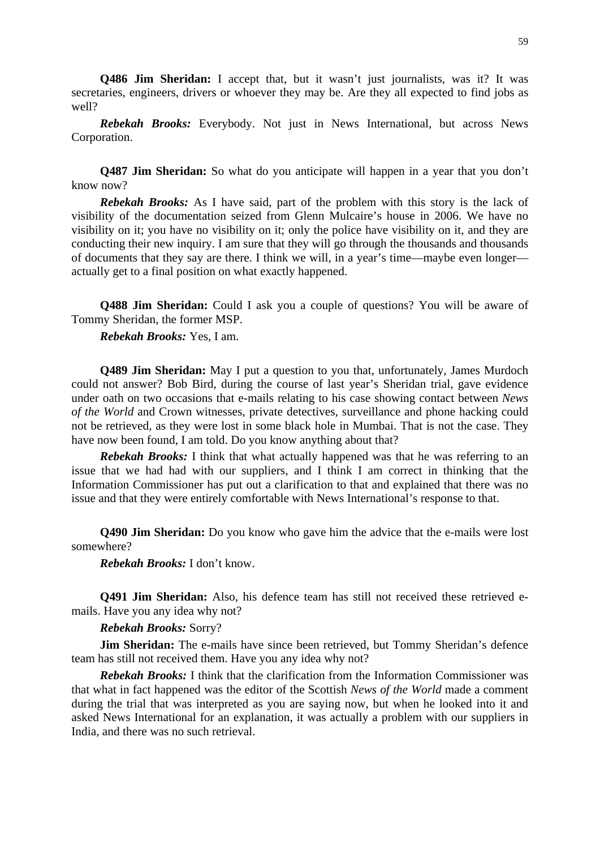**Q486 Jim Sheridan:** I accept that, but it wasn't just journalists, was it? It was secretaries, engineers, drivers or whoever they may be. Are they all expected to find jobs as well?

*Rebekah Brooks:* Everybody. Not just in News International, but across News Corporation.

**Q487 Jim Sheridan:** So what do you anticipate will happen in a year that you don't know now?

*Rebekah Brooks:* As I have said, part of the problem with this story is the lack of visibility of the documentation seized from Glenn Mulcaire's house in 2006. We have no visibility on it; you have no visibility on it; only the police have visibility on it, and they are conducting their new inquiry. I am sure that they will go through the thousands and thousands of documents that they say are there. I think we will, in a year's time—maybe even longer actually get to a final position on what exactly happened.

**Q488 Jim Sheridan:** Could I ask you a couple of questions? You will be aware of Tommy Sheridan, the former MSP.

*Rebekah Brooks:* Yes, I am.

**Q489 Jim Sheridan:** May I put a question to you that, unfortunately, James Murdoch could not answer? Bob Bird, during the course of last year's Sheridan trial, gave evidence under oath on two occasions that e-mails relating to his case showing contact between *News of the World* and Crown witnesses, private detectives, surveillance and phone hacking could not be retrieved, as they were lost in some black hole in Mumbai. That is not the case. They have now been found, I am told. Do you know anything about that?

*Rebekah Brooks:* I think that what actually happened was that he was referring to an issue that we had had with our suppliers, and I think I am correct in thinking that the Information Commissioner has put out a clarification to that and explained that there was no issue and that they were entirely comfortable with News International's response to that.

**Q490 Jim Sheridan:** Do you know who gave him the advice that the e-mails were lost somewhere?

*Rebekah Brooks:* I don't know.

**Q491 Jim Sheridan:** Also, his defence team has still not received these retrieved emails. Have you any idea why not?

#### *Rebekah Brooks:* Sorry?

**Jim Sheridan:** The e-mails have since been retrieved, but Tommy Sheridan's defence team has still not received them. Have you any idea why not?

*Rebekah Brooks:* I think that the clarification from the Information Commissioner was that what in fact happened was the editor of the Scottish *News of the World* made a comment during the trial that was interpreted as you are saying now, but when he looked into it and asked News International for an explanation, it was actually a problem with our suppliers in India, and there was no such retrieval.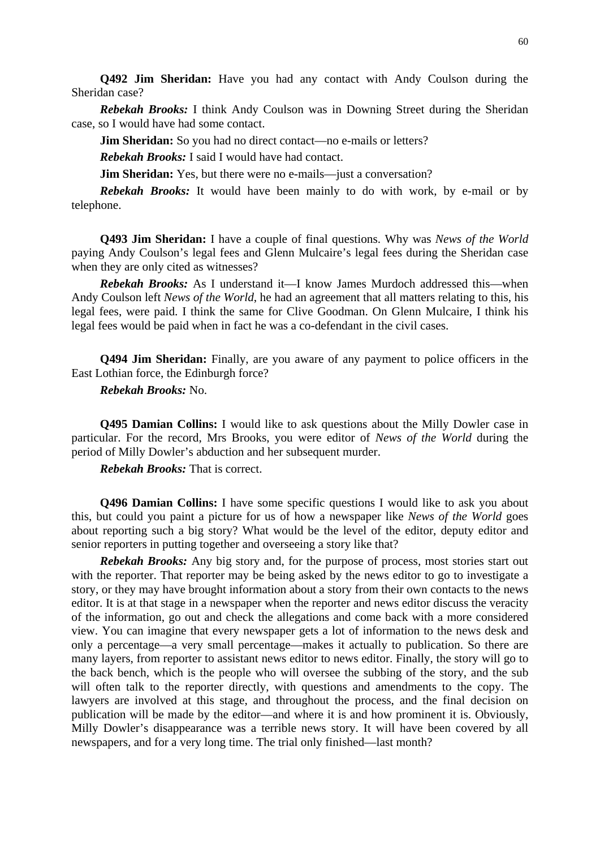**Q492 Jim Sheridan:** Have you had any contact with Andy Coulson during the Sheridan case?

*Rebekah Brooks:* I think Andy Coulson was in Downing Street during the Sheridan case, so I would have had some contact.

**Jim Sheridan:** So you had no direct contact—no e-mails or letters?

*Rebekah Brooks:* I said I would have had contact.

**Jim Sheridan:** Yes, but there were no e-mails—just a conversation?

*Rebekah Brooks:* It would have been mainly to do with work, by e-mail or by telephone.

**Q493 Jim Sheridan:** I have a couple of final questions. Why was *News of the World* paying Andy Coulson's legal fees and Glenn Mulcaire's legal fees during the Sheridan case when they are only cited as witnesses?

*Rebekah Brooks:* As I understand it—I know James Murdoch addressed this—when Andy Coulson left *News of the World*, he had an agreement that all matters relating to this, his legal fees, were paid. I think the same for Clive Goodman. On Glenn Mulcaire, I think his legal fees would be paid when in fact he was a co-defendant in the civil cases.

**Q494 Jim Sheridan:** Finally, are you aware of any payment to police officers in the East Lothian force, the Edinburgh force?

*Rebekah Brooks:* No.

**Q495 Damian Collins:** I would like to ask questions about the Milly Dowler case in particular. For the record, Mrs Brooks, you were editor of *News of the World* during the period of Milly Dowler's abduction and her subsequent murder.

*Rebekah Brooks:* That is correct.

**Q496 Damian Collins:** I have some specific questions I would like to ask you about this, but could you paint a picture for us of how a newspaper like *News of the World* goes about reporting such a big story? What would be the level of the editor, deputy editor and senior reporters in putting together and overseeing a story like that?

*Rebekah Brooks:* Any big story and, for the purpose of process, most stories start out with the reporter. That reporter may be being asked by the news editor to go to investigate a story, or they may have brought information about a story from their own contacts to the news editor. It is at that stage in a newspaper when the reporter and news editor discuss the veracity of the information, go out and check the allegations and come back with a more considered view. You can imagine that every newspaper gets a lot of information to the news desk and only a percentage—a very small percentage—makes it actually to publication. So there are many layers, from reporter to assistant news editor to news editor. Finally, the story will go to the back bench, which is the people who will oversee the subbing of the story, and the sub will often talk to the reporter directly, with questions and amendments to the copy. The lawyers are involved at this stage, and throughout the process, and the final decision on publication will be made by the editor—and where it is and how prominent it is. Obviously, Milly Dowler's disappearance was a terrible news story. It will have been covered by all newspapers, and for a very long time. The trial only finished—last month?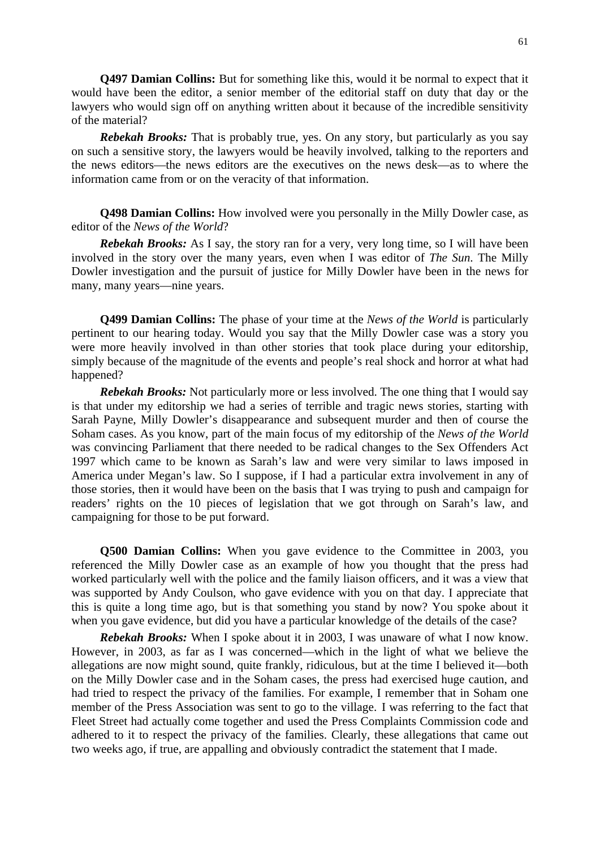**Q497 Damian Collins:** But for something like this, would it be normal to expect that it would have been the editor, a senior member of the editorial staff on duty that day or the lawyers who would sign off on anything written about it because of the incredible sensitivity of the material?

*Rebekah Brooks:* That is probably true, yes. On any story, but particularly as you say on such a sensitive story, the lawyers would be heavily involved, talking to the reporters and the news editors—the news editors are the executives on the news desk—as to where the information came from or on the veracity of that information.

**Q498 Damian Collins:** How involved were you personally in the Milly Dowler case, as editor of the *News of the World*?

*Rebekah Brooks:* As I say, the story ran for a very, very long time, so I will have been involved in the story over the many years, even when I was editor of *The Sun*. The Milly Dowler investigation and the pursuit of justice for Milly Dowler have been in the news for many, many years—nine years.

**Q499 Damian Collins:** The phase of your time at the *News of the World* is particularly pertinent to our hearing today. Would you say that the Milly Dowler case was a story you were more heavily involved in than other stories that took place during your editorship, simply because of the magnitude of the events and people's real shock and horror at what had happened?

*Rebekah Brooks:* Not particularly more or less involved. The one thing that I would say is that under my editorship we had a series of terrible and tragic news stories, starting with Sarah Payne, Milly Dowler's disappearance and subsequent murder and then of course the Soham cases. As you know, part of the main focus of my editorship of the *News of the World* was convincing Parliament that there needed to be radical changes to the Sex Offenders Act 1997 which came to be known as Sarah's law and were very similar to laws imposed in America under Megan's law. So I suppose, if I had a particular extra involvement in any of those stories, then it would have been on the basis that I was trying to push and campaign for readers' rights on the 10 pieces of legislation that we got through on Sarah's law, and campaigning for those to be put forward.

**Q500 Damian Collins:** When you gave evidence to the Committee in 2003, you referenced the Milly Dowler case as an example of how you thought that the press had worked particularly well with the police and the family liaison officers, and it was a view that was supported by Andy Coulson, who gave evidence with you on that day. I appreciate that this is quite a long time ago, but is that something you stand by now? You spoke about it when you gave evidence, but did you have a particular knowledge of the details of the case?

*Rebekah Brooks:* When I spoke about it in 2003, I was unaware of what I now know. However, in 2003, as far as I was concerned—which in the light of what we believe the allegations are now might sound, quite frankly, ridiculous, but at the time I believed it—both on the Milly Dowler case and in the Soham cases, the press had exercised huge caution, and had tried to respect the privacy of the families. For example, I remember that in Soham one member of the Press Association was sent to go to the village. I was referring to the fact that Fleet Street had actually come together and used the Press Complaints Commission code and adhered to it to respect the privacy of the families. Clearly, these allegations that came out two weeks ago, if true, are appalling and obviously contradict the statement that I made.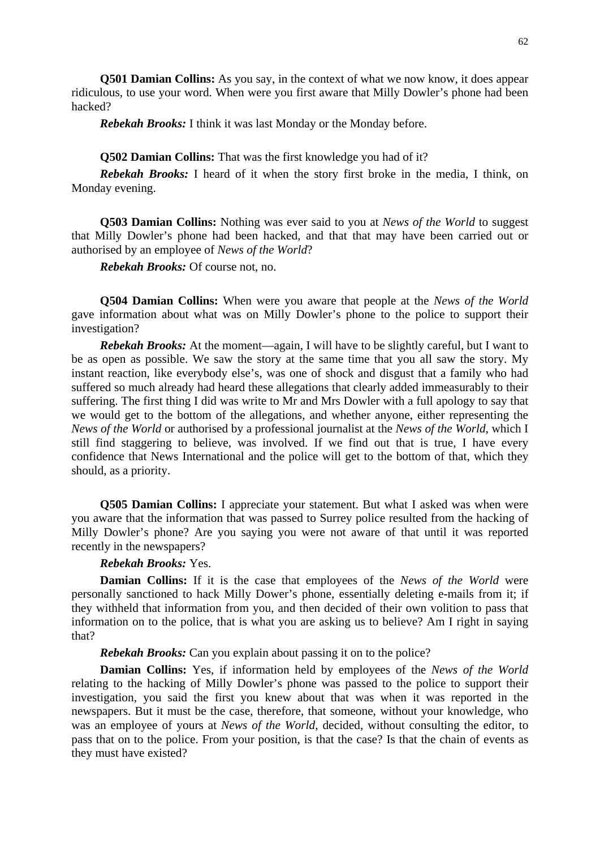**Q501 Damian Collins:** As you say, in the context of what we now know, it does appear ridiculous, to use your word. When were you first aware that Milly Dowler's phone had been hacked?

*Rebekah Brooks:* I think it was last Monday or the Monday before.

**Q502 Damian Collins:** That was the first knowledge you had of it?

*Rebekah Brooks:* I heard of it when the story first broke in the media, I think, on Monday evening.

**Q503 Damian Collins:** Nothing was ever said to you at *News of the World* to suggest that Milly Dowler's phone had been hacked, and that that may have been carried out or authorised by an employee of *News of the World*?

*Rebekah Brooks:* Of course not, no.

**Q504 Damian Collins:** When were you aware that people at the *News of the World* gave information about what was on Milly Dowler's phone to the police to support their investigation?

*Rebekah Brooks:* At the moment—again, I will have to be slightly careful, but I want to be as open as possible. We saw the story at the same time that you all saw the story. My instant reaction, like everybody else's, was one of shock and disgust that a family who had suffered so much already had heard these allegations that clearly added immeasurably to their suffering. The first thing I did was write to Mr and Mrs Dowler with a full apology to say that we would get to the bottom of the allegations, and whether anyone, either representing the *News of the World* or authorised by a professional journalist at the *News of the World*, which I still find staggering to believe, was involved. If we find out that is true, I have every confidence that News International and the police will get to the bottom of that, which they should, as a priority.

**Q505 Damian Collins:** I appreciate your statement. But what I asked was when were you aware that the information that was passed to Surrey police resulted from the hacking of Milly Dowler's phone? Are you saying you were not aware of that until it was reported recently in the newspapers?

## *Rebekah Brooks:* Yes.

**Damian Collins:** If it is the case that employees of the *News of the World* were personally sanctioned to hack Milly Dower's phone, essentially deleting e-mails from it; if they withheld that information from you, and then decided of their own volition to pass that information on to the police, that is what you are asking us to believe? Am I right in saying that?

*Rebekah Brooks:* Can you explain about passing it on to the police?

**Damian Collins:** Yes, if information held by employees of the *News of the World* relating to the hacking of Milly Dowler's phone was passed to the police to support their investigation, you said the first you knew about that was when it was reported in the newspapers. But it must be the case, therefore, that someone, without your knowledge, who was an employee of yours at *News of the World*, decided, without consulting the editor, to pass that on to the police. From your position, is that the case? Is that the chain of events as they must have existed?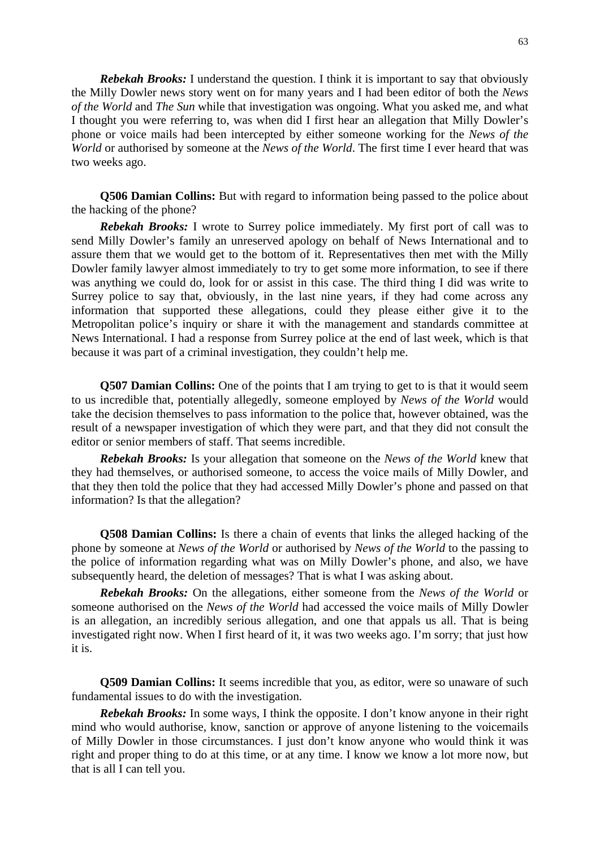*Rebekah Brooks:* I understand the question. I think it is important to say that obviously the Milly Dowler news story went on for many years and I had been editor of both the *News of the World* and *The Sun* while that investigation was ongoing. What you asked me, and what I thought you were referring to, was when did I first hear an allegation that Milly Dowler's phone or voice mails had been intercepted by either someone working for the *News of the World* or authorised by someone at the *News of the World*. The first time I ever heard that was two weeks ago.

**Q506 Damian Collins:** But with regard to information being passed to the police about the hacking of the phone?

*Rebekah Brooks:* I wrote to Surrey police immediately. My first port of call was to send Milly Dowler's family an unreserved apology on behalf of News International and to assure them that we would get to the bottom of it. Representatives then met with the Milly Dowler family lawyer almost immediately to try to get some more information, to see if there was anything we could do, look for or assist in this case. The third thing I did was write to Surrey police to say that, obviously, in the last nine years, if they had come across any information that supported these allegations, could they please either give it to the Metropolitan police's inquiry or share it with the management and standards committee at News International. I had a response from Surrey police at the end of last week, which is that because it was part of a criminal investigation, they couldn't help me.

**Q507 Damian Collins:** One of the points that I am trying to get to is that it would seem to us incredible that, potentially allegedly, someone employed by *News of the World* would take the decision themselves to pass information to the police that, however obtained, was the result of a newspaper investigation of which they were part, and that they did not consult the editor or senior members of staff. That seems incredible.

*Rebekah Brooks:* Is your allegation that someone on the *News of the World* knew that they had themselves, or authorised someone, to access the voice mails of Milly Dowler, and that they then told the police that they had accessed Milly Dowler's phone and passed on that information? Is that the allegation?

**Q508 Damian Collins:** Is there a chain of events that links the alleged hacking of the phone by someone at *News of the World* or authorised by *News of the World* to the passing to the police of information regarding what was on Milly Dowler's phone, and also, we have subsequently heard, the deletion of messages? That is what I was asking about.

*Rebekah Brooks:* On the allegations, either someone from the *News of the World* or someone authorised on the *News of the World* had accessed the voice mails of Milly Dowler is an allegation, an incredibly serious allegation, and one that appals us all. That is being investigated right now. When I first heard of it, it was two weeks ago. I'm sorry; that just how it is.

**Q509 Damian Collins:** It seems incredible that you, as editor, were so unaware of such fundamental issues to do with the investigation.

*Rebekah Brooks:* In some ways, I think the opposite. I don't know anyone in their right mind who would authorise, know, sanction or approve of anyone listening to the voicemails of Milly Dowler in those circumstances. I just don't know anyone who would think it was right and proper thing to do at this time, or at any time. I know we know a lot more now, but that is all I can tell you.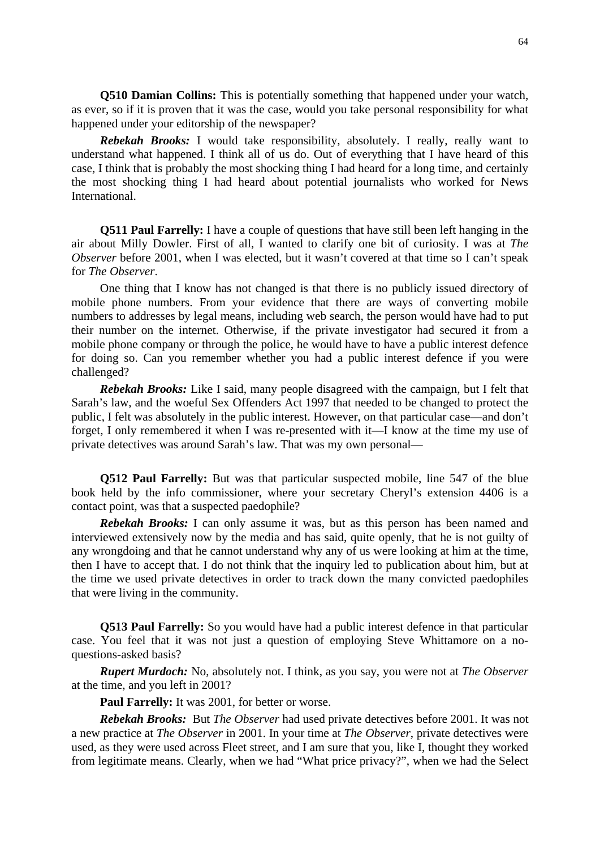**Q510 Damian Collins:** This is potentially something that happened under your watch, as ever, so if it is proven that it was the case, would you take personal responsibility for what happened under your editorship of the newspaper?

*Rebekah Brooks:* I would take responsibility, absolutely. I really, really want to understand what happened. I think all of us do. Out of everything that I have heard of this case, I think that is probably the most shocking thing I had heard for a long time, and certainly the most shocking thing I had heard about potential journalists who worked for News International.

**Q511 Paul Farrelly:** I have a couple of questions that have still been left hanging in the air about Milly Dowler. First of all, I wanted to clarify one bit of curiosity. I was at *The Observer* before 2001, when I was elected, but it wasn't covered at that time so I can't speak for *The Observer*.

 One thing that I know has not changed is that there is no publicly issued directory of mobile phone numbers. From your evidence that there are ways of converting mobile numbers to addresses by legal means, including web search, the person would have had to put their number on the internet. Otherwise, if the private investigator had secured it from a mobile phone company or through the police, he would have to have a public interest defence for doing so. Can you remember whether you had a public interest defence if you were challenged?

*Rebekah Brooks:* Like I said, many people disagreed with the campaign, but I felt that Sarah's law, and the woeful Sex Offenders Act 1997 that needed to be changed to protect the public, I felt was absolutely in the public interest. However, on that particular case—and don't forget, I only remembered it when I was re-presented with it—I know at the time my use of private detectives was around Sarah's law. That was my own personal—

**Q512 Paul Farrelly:** But was that particular suspected mobile, line 547 of the blue book held by the info commissioner, where your secretary Cheryl's extension 4406 is a contact point, was that a suspected paedophile?

*Rebekah Brooks:* I can only assume it was, but as this person has been named and interviewed extensively now by the media and has said, quite openly, that he is not guilty of any wrongdoing and that he cannot understand why any of us were looking at him at the time, then I have to accept that. I do not think that the inquiry led to publication about him, but at the time we used private detectives in order to track down the many convicted paedophiles that were living in the community.

**Q513 Paul Farrelly:** So you would have had a public interest defence in that particular case. You feel that it was not just a question of employing Steve Whittamore on a noquestions-asked basis?

*Rupert Murdoch:* No, absolutely not. I think, as you say, you were not at *The Observer* at the time, and you left in 2001?

**Paul Farrelly:** It was 2001, for better or worse.

*Rebekah Brooks:* But *The Observer* had used private detectives before 2001. It was not a new practice at *The Observer* in 2001. In your time at *The Observer*, private detectives were used, as they were used across Fleet street, and I am sure that you, like I, thought they worked from legitimate means. Clearly, when we had "What price privacy?", when we had the Select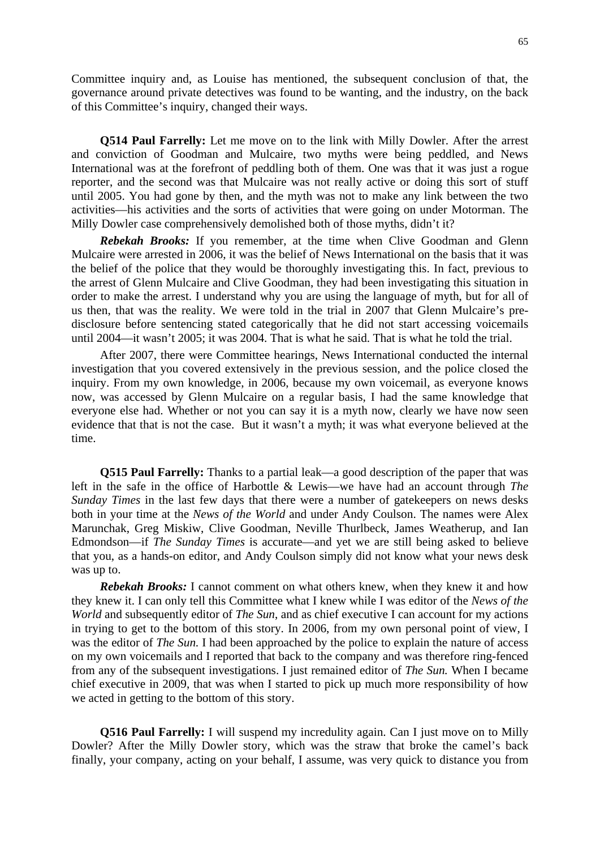Committee inquiry and, as Louise has mentioned, the subsequent conclusion of that, the governance around private detectives was found to be wanting, and the industry, on the back of this Committee's inquiry, changed their ways.

**Q514 Paul Farrelly:** Let me move on to the link with Milly Dowler. After the arrest and conviction of Goodman and Mulcaire, two myths were being peddled, and News International was at the forefront of peddling both of them. One was that it was just a rogue reporter, and the second was that Mulcaire was not really active or doing this sort of stuff until 2005. You had gone by then, and the myth was not to make any link between the two activities—his activities and the sorts of activities that were going on under Motorman. The Milly Dowler case comprehensively demolished both of those myths, didn't it?

**Rebekah Brooks:** If you remember, at the time when Clive Goodman and Glenn Mulcaire were arrested in 2006, it was the belief of News International on the basis that it was the belief of the police that they would be thoroughly investigating this. In fact, previous to the arrest of Glenn Mulcaire and Clive Goodman, they had been investigating this situation in order to make the arrest. I understand why you are using the language of myth, but for all of us then, that was the reality. We were told in the trial in 2007 that Glenn Mulcaire's predisclosure before sentencing stated categorically that he did not start accessing voicemails until 2004—it wasn't 2005; it was 2004. That is what he said. That is what he told the trial.

 After 2007, there were Committee hearings, News International conducted the internal investigation that you covered extensively in the previous session, and the police closed the inquiry. From my own knowledge, in 2006, because my own voicemail, as everyone knows now, was accessed by Glenn Mulcaire on a regular basis, I had the same knowledge that everyone else had. Whether or not you can say it is a myth now, clearly we have now seen evidence that that is not the case. But it wasn't a myth; it was what everyone believed at the time.

**Q515 Paul Farrelly:** Thanks to a partial leak—a good description of the paper that was left in the safe in the office of Harbottle & Lewis—we have had an account through *The Sunday Times* in the last few days that there were a number of gatekeepers on news desks both in your time at the *News of the World* and under Andy Coulson. The names were Alex Marunchak, Greg Miskiw, Clive Goodman, Neville Thurlbeck, James Weatherup, and Ian Edmondson—if *The Sunday Times* is accurate—and yet we are still being asked to believe that you, as a hands-on editor, and Andy Coulson simply did not know what your news desk was up to.

*Rebekah Brooks:* I cannot comment on what others knew, when they knew it and how they knew it. I can only tell this Committee what I knew while I was editor of the *News of the World* and subsequently editor of *The Sun*, and as chief executive I can account for my actions in trying to get to the bottom of this story. In 2006, from my own personal point of view, I was the editor of *The Sun.* I had been approached by the police to explain the nature of access on my own voicemails and I reported that back to the company and was therefore ring-fenced from any of the subsequent investigations. I just remained editor of *The Sun.* When I became chief executive in 2009, that was when I started to pick up much more responsibility of how we acted in getting to the bottom of this story.

**Q516 Paul Farrelly:** I will suspend my incredulity again. Can I just move on to Milly Dowler? After the Milly Dowler story, which was the straw that broke the camel's back finally, your company, acting on your behalf, I assume, was very quick to distance you from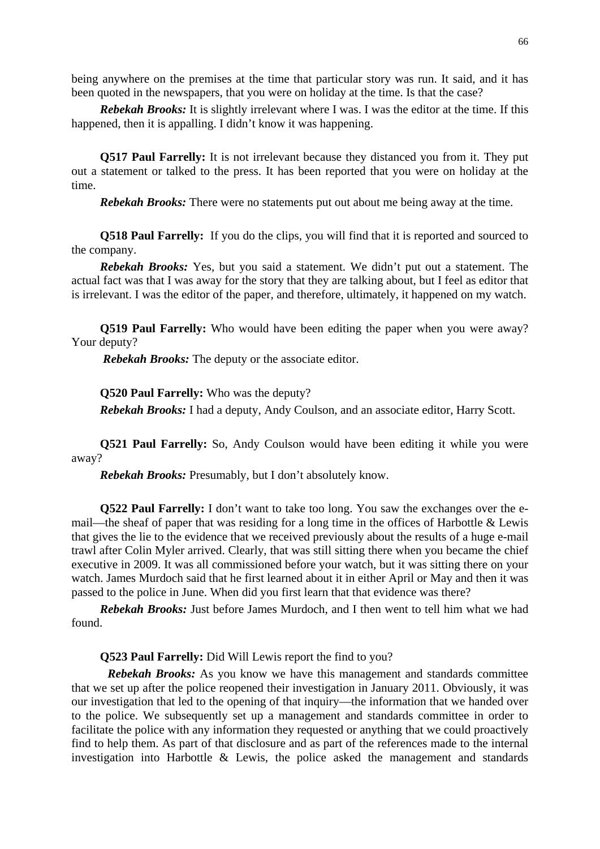being anywhere on the premises at the time that particular story was run. It said, and it has been quoted in the newspapers, that you were on holiday at the time. Is that the case?

*Rebekah Brooks:* It is slightly irrelevant where I was. I was the editor at the time. If this happened, then it is appalling. I didn't know it was happening.

**Q517 Paul Farrelly:** It is not irrelevant because they distanced you from it. They put out a statement or talked to the press. It has been reported that you were on holiday at the time.

*Rebekah Brooks:* There were no statements put out about me being away at the time.

 **Q518 Paul Farrelly:** If you do the clips, you will find that it is reported and sourced to the company.

*Rebekah Brooks:* Yes, but you said a statement. We didn't put out a statement. The actual fact was that I was away for the story that they are talking about, but I feel as editor that is irrelevant. I was the editor of the paper, and therefore, ultimately, it happened on my watch.

**Q519 Paul Farrelly:** Who would have been editing the paper when you were away? Your deputy?

*Rebekah Brooks:* The deputy or the associate editor.

**Q520 Paul Farrelly:** Who was the deputy?

*Rebekah Brooks:* I had a deputy, Andy Coulson, and an associate editor, Harry Scott.

**Q521 Paul Farrelly:** So, Andy Coulson would have been editing it while you were away?

*Rebekah Brooks:* Presumably, but I don't absolutely know.

**Q522 Paul Farrelly:** I don't want to take too long. You saw the exchanges over the email—the sheaf of paper that was residing for a long time in the offices of Harbottle & Lewis that gives the lie to the evidence that we received previously about the results of a huge e-mail trawl after Colin Myler arrived. Clearly, that was still sitting there when you became the chief executive in 2009. It was all commissioned before your watch, but it was sitting there on your watch. James Murdoch said that he first learned about it in either April or May and then it was passed to the police in June. When did you first learn that that evidence was there?

*Rebekah Brooks:* Just before James Murdoch, and I then went to tell him what we had found.

## **Q523 Paul Farrelly:** Did Will Lewis report the find to you?

 *Rebekah Brooks:* As you know we have this management and standards committee that we set up after the police reopened their investigation in January 2011. Obviously, it was our investigation that led to the opening of that inquiry—the information that we handed over to the police. We subsequently set up a management and standards committee in order to facilitate the police with any information they requested or anything that we could proactively find to help them. As part of that disclosure and as part of the references made to the internal investigation into Harbottle & Lewis, the police asked the management and standards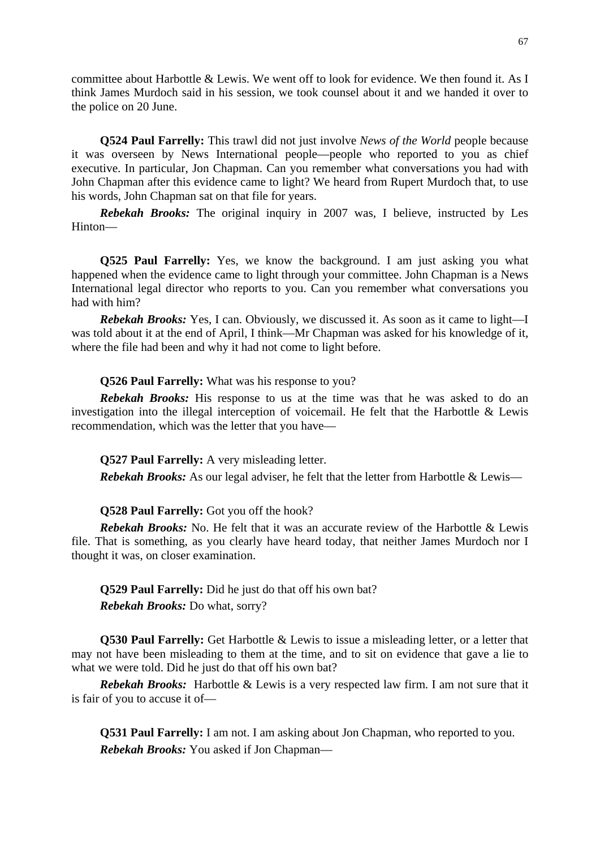committee about Harbottle & Lewis. We went off to look for evidence. We then found it. As I think James Murdoch said in his session, we took counsel about it and we handed it over to the police on 20 June.

**Q524 Paul Farrelly:** This trawl did not just involve *News of the World* people because it was overseen by News International people—people who reported to you as chief executive. In particular, Jon Chapman. Can you remember what conversations you had with John Chapman after this evidence came to light? We heard from Rupert Murdoch that, to use his words, John Chapman sat on that file for years.

*Rebekah Brooks:* The original inquiry in 2007 was, I believe, instructed by Les Hinton—

**Q525 Paul Farrelly:** Yes, we know the background. I am just asking you what happened when the evidence came to light through your committee. John Chapman is a News International legal director who reports to you. Can you remember what conversations you had with him?

*Rebekah Brooks:* Yes, I can. Obviously, we discussed it. As soon as it came to light—I was told about it at the end of April, I think—Mr Chapman was asked for his knowledge of it, where the file had been and why it had not come to light before.

## **Q526 Paul Farrelly:** What was his response to you?

*Rebekah Brooks:* His response to us at the time was that he was asked to do an investigation into the illegal interception of voicemail. He felt that the Harbottle  $\&$  Lewis recommendation, which was the letter that you have—

**Q527 Paul Farrelly:** A very misleading letter.

*Rebekah Brooks:* As our legal adviser, he felt that the letter from Harbottle & Lewis—

## **Q528 Paul Farrelly:** Got you off the hook?

*Rebekah Brooks:* No. He felt that it was an accurate review of the Harbottle & Lewis file. That is something, as you clearly have heard today, that neither James Murdoch nor I thought it was, on closer examination.

**Q529 Paul Farrelly:** Did he just do that off his own bat? *Rebekah Brooks:* Do what, sorry?

**Q530 Paul Farrelly:** Get Harbottle & Lewis to issue a misleading letter, or a letter that may not have been misleading to them at the time, and to sit on evidence that gave a lie to what we were told. Did he just do that off his own bat?

*Rebekah Brooks:* Harbottle & Lewis is a very respected law firm. I am not sure that it is fair of you to accuse it of—

**Q531 Paul Farrelly:** I am not. I am asking about Jon Chapman, who reported to you. *Rebekah Brooks:* You asked if Jon Chapman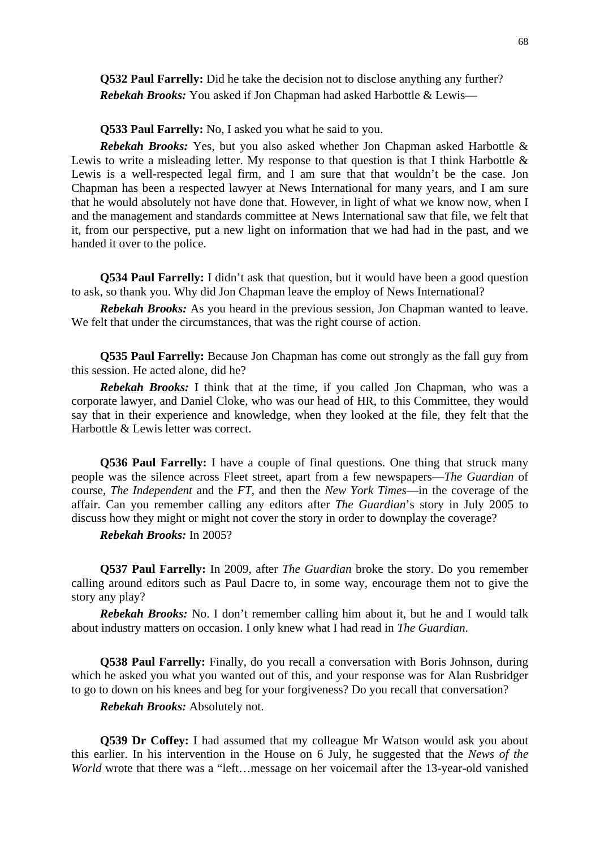**Q532 Paul Farrelly:** Did he take the decision not to disclose anything any further? *Rebekah Brooks:* You asked if Jon Chapman had asked Harbottle & Lewis—

**Q533 Paul Farrelly:** No, I asked you what he said to you.

*Rebekah Brooks:* Yes, but you also asked whether Jon Chapman asked Harbottle & Lewis to write a misleading letter. My response to that question is that I think Harbottle & Lewis is a well-respected legal firm, and I am sure that that wouldn't be the case. Jon Chapman has been a respected lawyer at News International for many years, and I am sure that he would absolutely not have done that. However, in light of what we know now, when I and the management and standards committee at News International saw that file, we felt that it, from our perspective, put a new light on information that we had had in the past, and we handed it over to the police.

**Q534 Paul Farrelly:** I didn't ask that question, but it would have been a good question to ask, so thank you. Why did Jon Chapman leave the employ of News International?

*Rebekah Brooks:* As you heard in the previous session, Jon Chapman wanted to leave. We felt that under the circumstances, that was the right course of action.

**Q535 Paul Farrelly:** Because Jon Chapman has come out strongly as the fall guy from this session. He acted alone, did he?

*Rebekah Brooks:* I think that at the time, if you called Jon Chapman, who was a corporate lawyer, and Daniel Cloke, who was our head of HR, to this Committee, they would say that in their experience and knowledge, when they looked at the file, they felt that the Harbottle & Lewis letter was correct.

**Q536 Paul Farrelly:** I have a couple of final questions. One thing that struck many people was the silence across Fleet street, apart from a few newspapers—*The Guardian* of course, *The Independent* and the *FT*, and then the *New York Times*—in the coverage of the affair. Can you remember calling any editors after *The Guardian*'s story in July 2005 to discuss how they might or might not cover the story in order to downplay the coverage?

## *Rebekah Brooks:* In 2005?

**Q537 Paul Farrelly:** In 2009, after *The Guardian* broke the story. Do you remember calling around editors such as Paul Dacre to, in some way, encourage them not to give the story any play?

*Rebekah Brooks:* No. I don't remember calling him about it, but he and I would talk about industry matters on occasion. I only knew what I had read in *The Guardian*.

**Q538 Paul Farrelly:** Finally, do you recall a conversation with Boris Johnson, during which he asked you what you wanted out of this, and your response was for Alan Rusbridger to go to down on his knees and beg for your forgiveness? Do you recall that conversation?

*Rebekah Brooks:* Absolutely not.

**Q539 Dr Coffey:** I had assumed that my colleague Mr Watson would ask you about this earlier. In his intervention in the House on 6 July, he suggested that the *News of the World* wrote that there was a "left...message on her voicemail after the 13-year-old vanished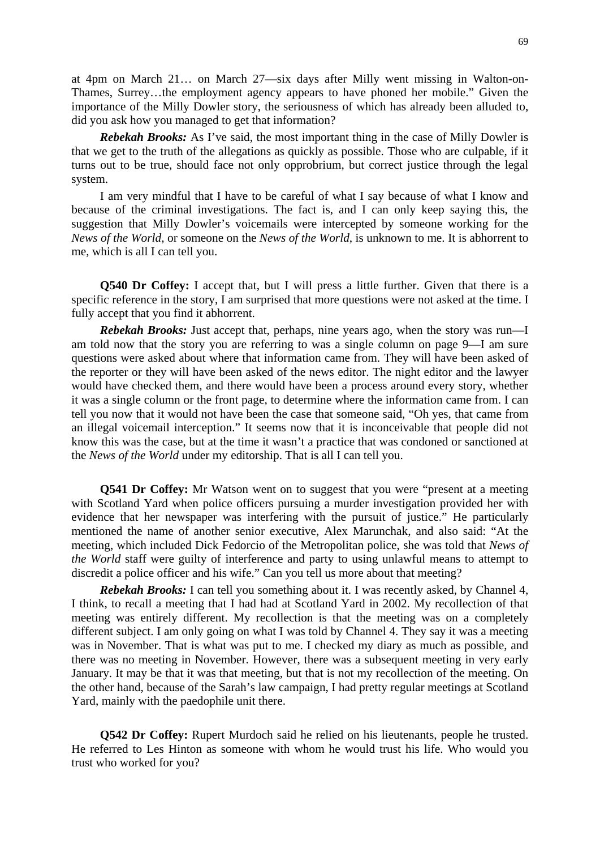at 4pm on March 21… on March 27—six days after Milly went missing in Walton-on-Thames, Surrey…the employment agency appears to have phoned her mobile." Given the importance of the Milly Dowler story, the seriousness of which has already been alluded to, did you ask how you managed to get that information?

*Rebekah Brooks:* As I've said, the most important thing in the case of Milly Dowler is that we get to the truth of the allegations as quickly as possible. Those who are culpable, if it turns out to be true, should face not only opprobrium, but correct justice through the legal system.

 I am very mindful that I have to be careful of what I say because of what I know and because of the criminal investigations. The fact is, and I can only keep saying this, the suggestion that Milly Dowler's voicemails were intercepted by someone working for the *News of the World*, or someone on the *News of the World*, is unknown to me. It is abhorrent to me, which is all I can tell you.

**Q540 Dr Coffey:** I accept that, but I will press a little further. Given that there is a specific reference in the story, I am surprised that more questions were not asked at the time. I fully accept that you find it abhorrent.

*Rebekah Brooks:* Just accept that, perhaps, nine years ago, when the story was run—I am told now that the story you are referring to was a single column on page 9—I am sure questions were asked about where that information came from. They will have been asked of the reporter or they will have been asked of the news editor. The night editor and the lawyer would have checked them, and there would have been a process around every story, whether it was a single column or the front page, to determine where the information came from. I can tell you now that it would not have been the case that someone said, "Oh yes, that came from an illegal voicemail interception." It seems now that it is inconceivable that people did not know this was the case, but at the time it wasn't a practice that was condoned or sanctioned at the *News of the World* under my editorship. That is all I can tell you.

**Q541 Dr Coffey:** Mr Watson went on to suggest that you were "present at a meeting with Scotland Yard when police officers pursuing a murder investigation provided her with evidence that her newspaper was interfering with the pursuit of justice." He particularly mentioned the name of another senior executive, Alex Marunchak, and also said: "At the meeting, which included Dick Fedorcio of the Metropolitan police, she was told that *News of the World* staff were guilty of interference and party to using unlawful means to attempt to discredit a police officer and his wife." Can you tell us more about that meeting?

*Rebekah Brooks:* I can tell you something about it. I was recently asked, by Channel 4, I think, to recall a meeting that I had had at Scotland Yard in 2002. My recollection of that meeting was entirely different. My recollection is that the meeting was on a completely different subject. I am only going on what I was told by Channel 4. They say it was a meeting was in November. That is what was put to me. I checked my diary as much as possible, and there was no meeting in November. However, there was a subsequent meeting in very early January. It may be that it was that meeting, but that is not my recollection of the meeting. On the other hand, because of the Sarah's law campaign, I had pretty regular meetings at Scotland Yard, mainly with the paedophile unit there.

**Q542 Dr Coffey:** Rupert Murdoch said he relied on his lieutenants, people he trusted. He referred to Les Hinton as someone with whom he would trust his life. Who would you trust who worked for you?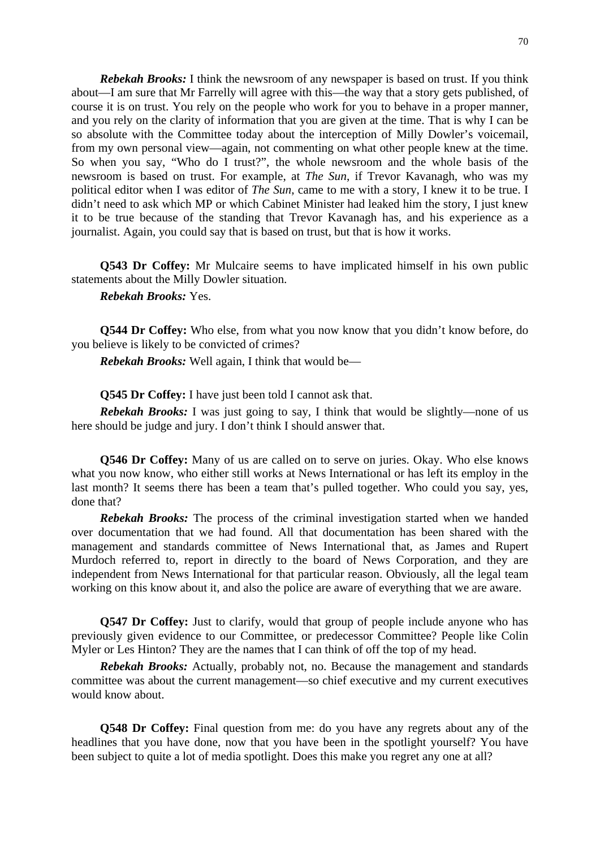*Rebekah Brooks:* I think the newsroom of any newspaper is based on trust. If you think about—I am sure that Mr Farrelly will agree with this—the way that a story gets published, of course it is on trust. You rely on the people who work for you to behave in a proper manner, and you rely on the clarity of information that you are given at the time. That is why I can be so absolute with the Committee today about the interception of Milly Dowler's voicemail, from my own personal view—again, not commenting on what other people knew at the time. So when you say, "Who do I trust?", the whole newsroom and the whole basis of the newsroom is based on trust. For example, at *The Sun*, if Trevor Kavanagh, who was my political editor when I was editor of *The Sun*, came to me with a story, I knew it to be true. I didn't need to ask which MP or which Cabinet Minister had leaked him the story, I just knew it to be true because of the standing that Trevor Kavanagh has, and his experience as a journalist. Again, you could say that is based on trust, but that is how it works.

**Q543 Dr Coffey:** Mr Mulcaire seems to have implicated himself in his own public statements about the Milly Dowler situation.

*Rebekah Brooks:* Yes.

**Q544 Dr Coffey:** Who else, from what you now know that you didn't know before, do you believe is likely to be convicted of crimes?

*Rebekah Brooks:* Well again, I think that would be—

**Q545 Dr Coffey:** I have just been told I cannot ask that.

*Rebekah Brooks:* I was just going to say, I think that would be slightly—none of us here should be judge and jury. I don't think I should answer that.

 **Q546 Dr Coffey:** Many of us are called on to serve on juries. Okay. Who else knows what you now know, who either still works at News International or has left its employ in the last month? It seems there has been a team that's pulled together. Who could you say, yes, done that?

*Rebekah Brooks:* The process of the criminal investigation started when we handed over documentation that we had found. All that documentation has been shared with the management and standards committee of News International that, as James and Rupert Murdoch referred to, report in directly to the board of News Corporation, and they are independent from News International for that particular reason. Obviously, all the legal team working on this know about it, and also the police are aware of everything that we are aware.

**Q547 Dr Coffey:** Just to clarify, would that group of people include anyone who has previously given evidence to our Committee, or predecessor Committee? People like Colin Myler or Les Hinton? They are the names that I can think of off the top of my head.

*Rebekah Brooks:* Actually, probably not, no. Because the management and standards committee was about the current management—so chief executive and my current executives would know about.

**Q548 Dr Coffey:** Final question from me: do you have any regrets about any of the headlines that you have done, now that you have been in the spotlight yourself? You have been subject to quite a lot of media spotlight. Does this make you regret any one at all?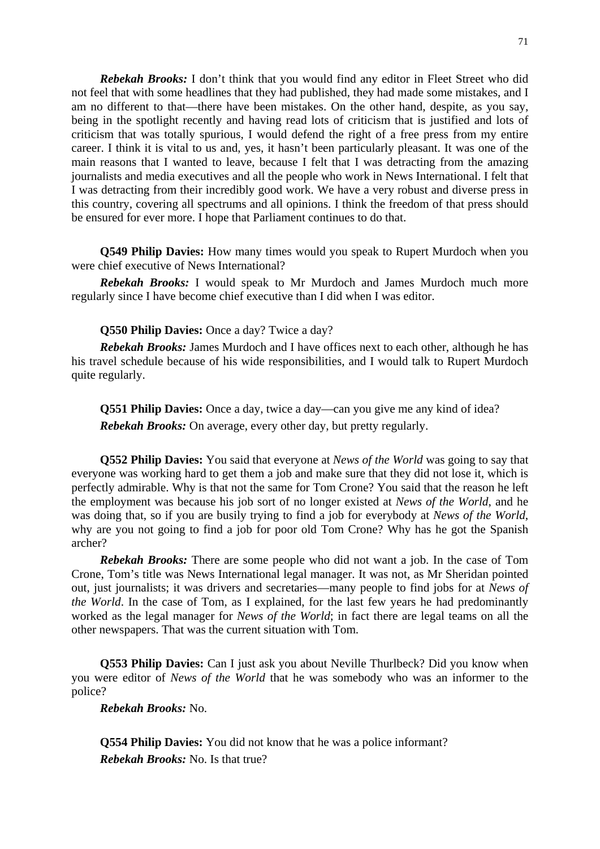*Rebekah Brooks:* I don't think that you would find any editor in Fleet Street who did not feel that with some headlines that they had published, they had made some mistakes, and I am no different to that—there have been mistakes. On the other hand, despite, as you say, being in the spotlight recently and having read lots of criticism that is justified and lots of criticism that was totally spurious, I would defend the right of a free press from my entire career. I think it is vital to us and, yes, it hasn't been particularly pleasant. It was one of the main reasons that I wanted to leave, because I felt that I was detracting from the amazing journalists and media executives and all the people who work in News International. I felt that I was detracting from their incredibly good work. We have a very robust and diverse press in this country, covering all spectrums and all opinions. I think the freedom of that press should be ensured for ever more. I hope that Parliament continues to do that.

**Q549 Philip Davies:** How many times would you speak to Rupert Murdoch when you were chief executive of News International?

*Rebekah Brooks:* I would speak to Mr Murdoch and James Murdoch much more regularly since I have become chief executive than I did when I was editor.

**Q550 Philip Davies:** Once a day? Twice a day?

*Rebekah Brooks:* James Murdoch and I have offices next to each other, although he has his travel schedule because of his wide responsibilities, and I would talk to Rupert Murdoch quite regularly.

**Q551 Philip Davies:** Once a day, twice a day—can you give me any kind of idea? *Rebekah Brooks:* On average, every other day, but pretty regularly.

**Q552 Philip Davies:** You said that everyone at *News of the World* was going to say that everyone was working hard to get them a job and make sure that they did not lose it, which is perfectly admirable. Why is that not the same for Tom Crone? You said that the reason he left the employment was because his job sort of no longer existed at *News of the World*, and he was doing that, so if you are busily trying to find a job for everybody at *News of the World*, why are you not going to find a job for poor old Tom Crone? Why has he got the Spanish archer?

*Rebekah Brooks:* There are some people who did not want a job. In the case of Tom Crone, Tom's title was News International legal manager. It was not, as Mr Sheridan pointed out, just journalists; it was drivers and secretaries—many people to find jobs for at *News of the World*. In the case of Tom, as I explained, for the last few years he had predominantly worked as the legal manager for *News of the World*; in fact there are legal teams on all the other newspapers. That was the current situation with Tom.

**Q553 Philip Davies:** Can I just ask you about Neville Thurlbeck? Did you know when you were editor of *News of the World* that he was somebody who was an informer to the police?

*Rebekah Brooks:* No.

 **Q554 Philip Davies:** You did not know that he was a police informant? *Rebekah Brooks:* No. Is that true?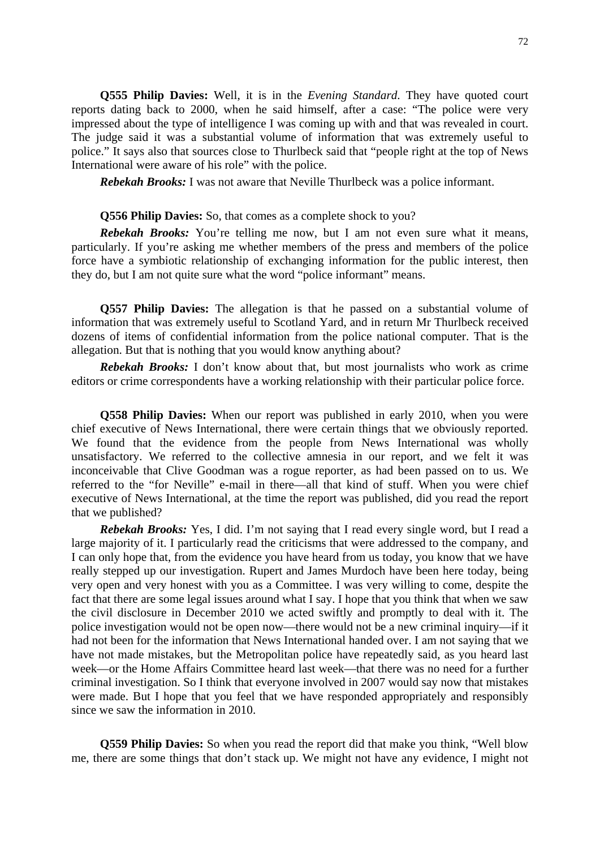**Q555 Philip Davies:** Well, it is in the *Evening Standard*. They have quoted court reports dating back to 2000, when he said himself, after a case: "The police were very impressed about the type of intelligence I was coming up with and that was revealed in court. The judge said it was a substantial volume of information that was extremely useful to police." It says also that sources close to Thurlbeck said that "people right at the top of News International were aware of his role" with the police.

*Rebekah Brooks:* I was not aware that Neville Thurlbeck was a police informant.

## **Q556 Philip Davies:** So, that comes as a complete shock to you?

*Rebekah Brooks:* You're telling me now, but I am not even sure what it means, particularly. If you're asking me whether members of the press and members of the police force have a symbiotic relationship of exchanging information for the public interest, then they do, but I am not quite sure what the word "police informant" means.

**Q557 Philip Davies:** The allegation is that he passed on a substantial volume of information that was extremely useful to Scotland Yard, and in return Mr Thurlbeck received dozens of items of confidential information from the police national computer. That is the allegation. But that is nothing that you would know anything about?

*Rebekah Brooks:* I don't know about that, but most journalists who work as crime editors or crime correspondents have a working relationship with their particular police force.

**Q558 Philip Davies:** When our report was published in early 2010, when you were chief executive of News International, there were certain things that we obviously reported. We found that the evidence from the people from News International was wholly unsatisfactory. We referred to the collective amnesia in our report, and we felt it was inconceivable that Clive Goodman was a rogue reporter, as had been passed on to us. We referred to the "for Neville" e-mail in there—all that kind of stuff. When you were chief executive of News International, at the time the report was published, did you read the report that we published?

*Rebekah Brooks:* Yes, I did. I'm not saying that I read every single word, but I read a large majority of it. I particularly read the criticisms that were addressed to the company, and I can only hope that, from the evidence you have heard from us today, you know that we have really stepped up our investigation. Rupert and James Murdoch have been here today, being very open and very honest with you as a Committee. I was very willing to come, despite the fact that there are some legal issues around what I say. I hope that you think that when we saw the civil disclosure in December 2010 we acted swiftly and promptly to deal with it. The police investigation would not be open now—there would not be a new criminal inquiry—if it had not been for the information that News International handed over. I am not saying that we have not made mistakes, but the Metropolitan police have repeatedly said, as you heard last week—or the Home Affairs Committee heard last week—that there was no need for a further criminal investigation. So I think that everyone involved in 2007 would say now that mistakes were made. But I hope that you feel that we have responded appropriately and responsibly since we saw the information in 2010.

**Q559 Philip Davies:** So when you read the report did that make you think, "Well blow me, there are some things that don't stack up. We might not have any evidence, I might not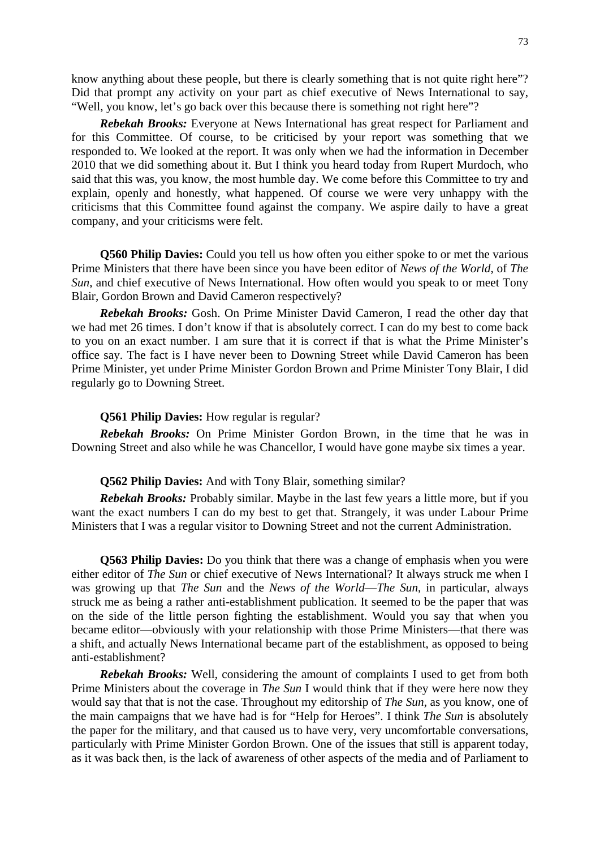know anything about these people, but there is clearly something that is not quite right here"? Did that prompt any activity on your part as chief executive of News International to say, "Well, you know, let's go back over this because there is something not right here"?

*Rebekah Brooks:* Everyone at News International has great respect for Parliament and for this Committee. Of course, to be criticised by your report was something that we responded to. We looked at the report. It was only when we had the information in December 2010 that we did something about it. But I think you heard today from Rupert Murdoch, who said that this was, you know, the most humble day. We come before this Committee to try and explain, openly and honestly, what happened. Of course we were very unhappy with the criticisms that this Committee found against the company. We aspire daily to have a great company, and your criticisms were felt.

**Q560 Philip Davies:** Could you tell us how often you either spoke to or met the various Prime Ministers that there have been since you have been editor of *News of the World*, of *The Sun*, and chief executive of News International. How often would you speak to or meet Tony Blair, Gordon Brown and David Cameron respectively?

*Rebekah Brooks:* Gosh. On Prime Minister David Cameron, I read the other day that we had met 26 times. I don't know if that is absolutely correct. I can do my best to come back to you on an exact number. I am sure that it is correct if that is what the Prime Minister's office say. The fact is I have never been to Downing Street while David Cameron has been Prime Minister, yet under Prime Minister Gordon Brown and Prime Minister Tony Blair, I did regularly go to Downing Street.

## **Q561 Philip Davies:** How regular is regular?

*Rebekah Brooks:* On Prime Minister Gordon Brown, in the time that he was in Downing Street and also while he was Chancellor, I would have gone maybe six times a year.

## **Q562 Philip Davies:** And with Tony Blair, something similar?

*Rebekah Brooks:* Probably similar. Maybe in the last few years a little more, but if you want the exact numbers I can do my best to get that. Strangely, it was under Labour Prime Ministers that I was a regular visitor to Downing Street and not the current Administration.

**Q563 Philip Davies:** Do you think that there was a change of emphasis when you were either editor of *The Sun* or chief executive of News International? It always struck me when I was growing up that *The Sun* and the *News of the World*—*The Sun*, in particular, always struck me as being a rather anti-establishment publication. It seemed to be the paper that was on the side of the little person fighting the establishment. Would you say that when you became editor—obviously with your relationship with those Prime Ministers—that there was a shift, and actually News International became part of the establishment, as opposed to being anti-establishment?

*Rebekah Brooks:* Well, considering the amount of complaints I used to get from both Prime Ministers about the coverage in *The Sun* I would think that if they were here now they would say that that is not the case. Throughout my editorship of *The Sun,* as you know, one of the main campaigns that we have had is for "Help for Heroes". I think *The Sun* is absolutely the paper for the military, and that caused us to have very, very uncomfortable conversations, particularly with Prime Minister Gordon Brown. One of the issues that still is apparent today, as it was back then, is the lack of awareness of other aspects of the media and of Parliament to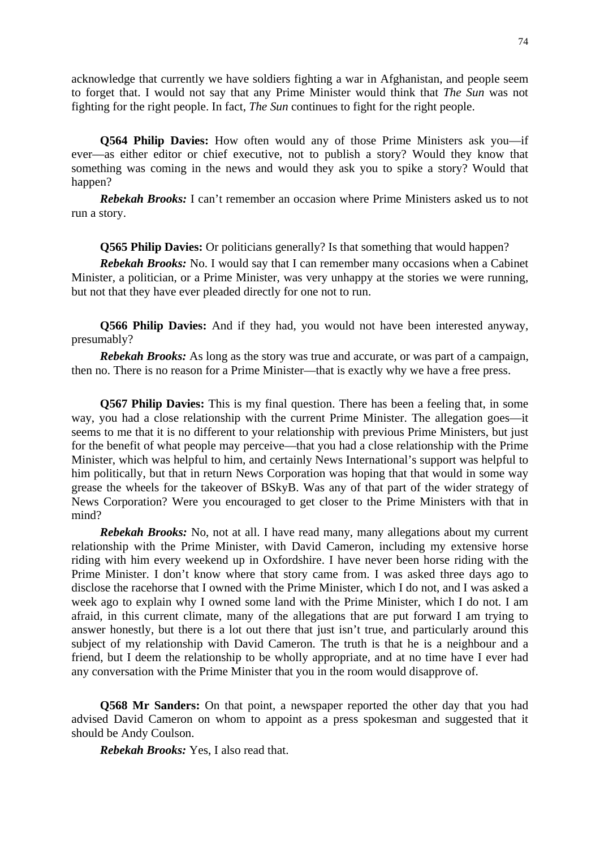acknowledge that currently we have soldiers fighting a war in Afghanistan, and people seem to forget that. I would not say that any Prime Minister would think that *The Sun* was not fighting for the right people. In fact, *The Sun* continues to fight for the right people.

**Q564 Philip Davies:** How often would any of those Prime Ministers ask you—if ever—as either editor or chief executive, not to publish a story? Would they know that something was coming in the news and would they ask you to spike a story? Would that happen?

*Rebekah Brooks:* I can't remember an occasion where Prime Ministers asked us to not run a story.

**Q565 Philip Davies:** Or politicians generally? Is that something that would happen?

*Rebekah Brooks:* No. I would say that I can remember many occasions when a Cabinet Minister, a politician, or a Prime Minister, was very unhappy at the stories we were running, but not that they have ever pleaded directly for one not to run.

**Q566 Philip Davies:** And if they had, you would not have been interested anyway, presumably?

*Rebekah Brooks:* As long as the story was true and accurate, or was part of a campaign, then no. There is no reason for a Prime Minister—that is exactly why we have a free press.

**Q567 Philip Davies:** This is my final question. There has been a feeling that, in some way, you had a close relationship with the current Prime Minister. The allegation goes—it seems to me that it is no different to your relationship with previous Prime Ministers, but just for the benefit of what people may perceive—that you had a close relationship with the Prime Minister, which was helpful to him, and certainly News International's support was helpful to him politically, but that in return News Corporation was hoping that that would in some way grease the wheels for the takeover of BSkyB. Was any of that part of the wider strategy of News Corporation? Were you encouraged to get closer to the Prime Ministers with that in mind?

*Rebekah Brooks:* No, not at all. I have read many, many allegations about my current relationship with the Prime Minister, with David Cameron, including my extensive horse riding with him every weekend up in Oxfordshire. I have never been horse riding with the Prime Minister. I don't know where that story came from. I was asked three days ago to disclose the racehorse that I owned with the Prime Minister, which I do not, and I was asked a week ago to explain why I owned some land with the Prime Minister, which I do not. I am afraid, in this current climate, many of the allegations that are put forward I am trying to answer honestly, but there is a lot out there that just isn't true, and particularly around this subject of my relationship with David Cameron. The truth is that he is a neighbour and a friend, but I deem the relationship to be wholly appropriate, and at no time have I ever had any conversation with the Prime Minister that you in the room would disapprove of.

**Q568 Mr Sanders:** On that point, a newspaper reported the other day that you had advised David Cameron on whom to appoint as a press spokesman and suggested that it should be Andy Coulson.

*Rebekah Brooks:* Yes, I also read that.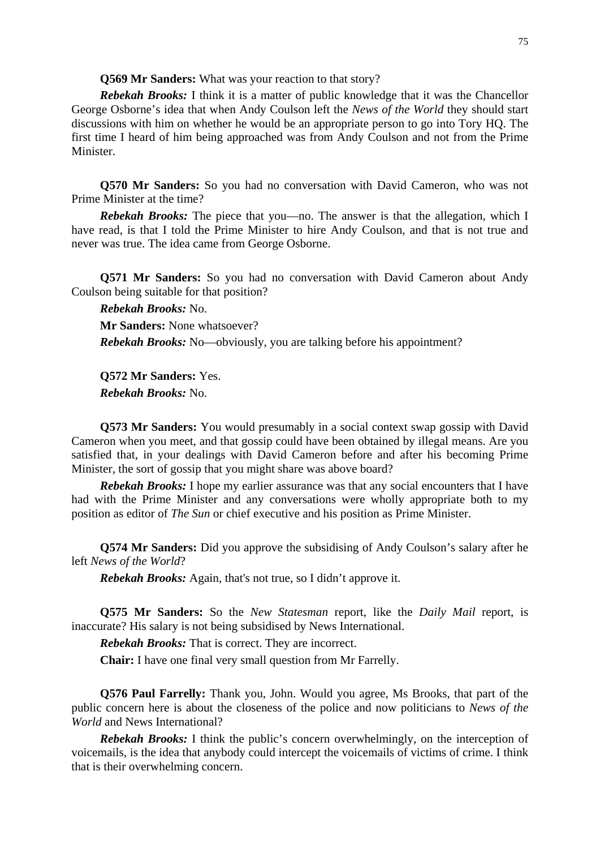**Q569 Mr Sanders:** What was your reaction to that story?

*Rebekah Brooks:* I think it is a matter of public knowledge that it was the Chancellor George Osborne's idea that when Andy Coulson left the *News of the World* they should start discussions with him on whether he would be an appropriate person to go into Tory HQ. The first time I heard of him being approached was from Andy Coulson and not from the Prime **Minister** 

**Q570 Mr Sanders:** So you had no conversation with David Cameron, who was not Prime Minister at the time?

*Rebekah Brooks:* The piece that you—no. The answer is that the allegation, which I have read, is that I told the Prime Minister to hire Andy Coulson, and that is not true and never was true. The idea came from George Osborne.

**Q571 Mr Sanders:** So you had no conversation with David Cameron about Andy Coulson being suitable for that position?

*Rebekah Brooks:* No.

**Mr Sanders:** None whatsoever?

*Rebekah Brooks:* No—obviously, you are talking before his appointment?

 **Q572 Mr Sanders:** Yes. *Rebekah Brooks:* No.

**Q573 Mr Sanders:** You would presumably in a social context swap gossip with David Cameron when you meet, and that gossip could have been obtained by illegal means. Are you satisfied that, in your dealings with David Cameron before and after his becoming Prime Minister, the sort of gossip that you might share was above board?

*Rebekah Brooks:* I hope my earlier assurance was that any social encounters that I have had with the Prime Minister and any conversations were wholly appropriate both to my position as editor of *The Sun* or chief executive and his position as Prime Minister.

**Q574 Mr Sanders:** Did you approve the subsidising of Andy Coulson's salary after he left *News of the World*?

*Rebekah Brooks:* Again, that's not true, so I didn't approve it.

**Q575 Mr Sanders:** So the *New Statesman* report, like the *Daily Mail* report, is inaccurate? His salary is not being subsidised by News International.

*Rebekah Brooks:* That is correct. They are incorrect.

**Chair:** I have one final very small question from Mr Farrelly.

**Q576 Paul Farrelly:** Thank you, John. Would you agree, Ms Brooks, that part of the public concern here is about the closeness of the police and now politicians to *News of the World* and News International?

*Rebekah Brooks:* I think the public's concern overwhelmingly, on the interception of voicemails, is the idea that anybody could intercept the voicemails of victims of crime. I think that is their overwhelming concern.